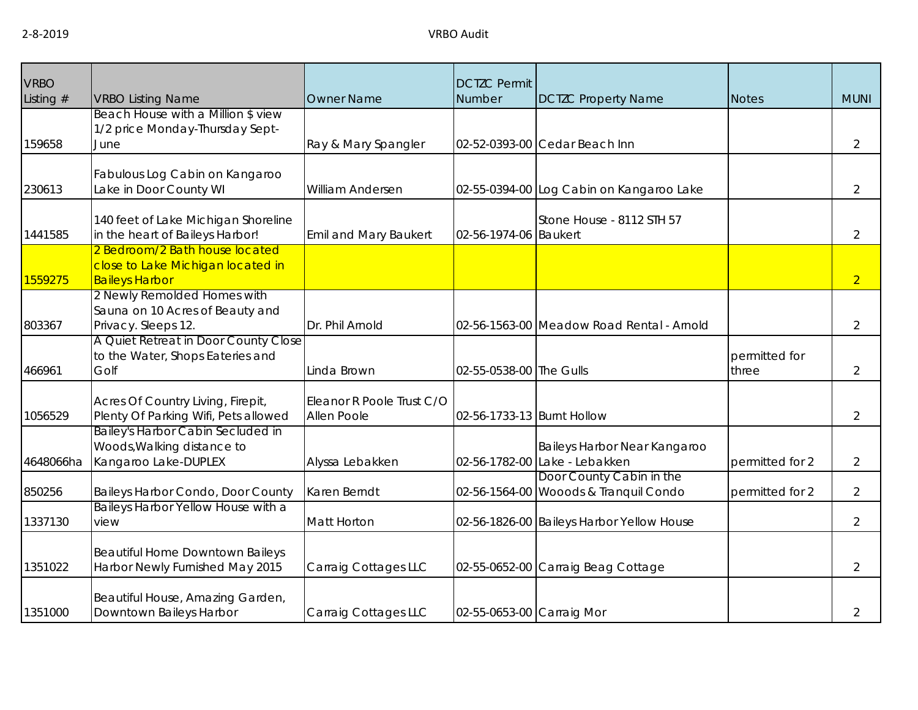| <b>VRBO</b><br>Listing $#$ | <b>VRBO Listing Name</b>                                                                     | <b>Owner Name</b>                        | <b>DCTZC Permit</b><br>Number | <b>DCTZC Property Name</b>                                        | <b>Notes</b>           | <b>MUNI</b>    |
|----------------------------|----------------------------------------------------------------------------------------------|------------------------------------------|-------------------------------|-------------------------------------------------------------------|------------------------|----------------|
| 159658                     | Beach House with a Million \$ view<br>1/2 price Monday-Thursday Sept-<br>June                | Ray & Mary Spangler                      |                               | 02-52-0393-00 Cedar Beach Inn                                     |                        | 2              |
| 230613                     | Fabulous Log Cabin on Kangaroo<br>Lake in Door County WI                                     | William Andersen                         |                               | 02-55-0394-00 Log Cabin on Kangaroo Lake                          |                        | $\overline{2}$ |
| 1441585                    | 140 feet of Lake Michigan Shoreline<br>in the heart of Baileys Harbor!                       | Emil and Mary Baukert                    | 02-56-1974-06 Baukert         | Stone House - 8112 STH 57                                         |                        | $\overline{2}$ |
| 1559275                    | 2 Bedroom/2 Bath house located<br>close to Lake Michigan located in<br><b>Baileys Harbor</b> |                                          |                               |                                                                   |                        | $\overline{2}$ |
| 803367                     | 2 Newly Remolded Homes with<br>Sauna on 10 Acres of Beauty and<br>Privacy. Sleeps 12.        | Dr. Phil Arnold                          |                               | 02-56-1563-00 Meadow Road Rental - Arnold                         |                        | $\overline{2}$ |
| 466961                     | A Quiet Retreat in Door County Close<br>to the Water, Shops Eateries and<br>Golf             | Linda Brown                              | 02-55-0538-00 The Gulls       |                                                                   | permitted for<br>three | $\overline{2}$ |
| 1056529                    | Acres Of Country Living, Firepit,<br>Plenty Of Parking Wifi, Pets allowed                    | Eleanor R Poole Trust C/O<br>Allen Poole | 02-56-1733-13 Burnt Hollow    |                                                                   |                        | 2              |
| 4648066ha                  | Bailey's Harbor Cabin Secluded in<br>Woods, Walking distance to<br>Kangaroo Lake-DUPLEX      | Alyssa Lebakken                          |                               | Baileys Harbor Near Kangaroo<br>02-56-1782-00 Lake - Lebakken     | permitted for 2        | $\overline{2}$ |
| 850256                     | Baileys Harbor Condo, Door County                                                            | Karen Berndt                             |                               | Door County Cabin in the<br>02-56-1564-00 Wooods & Tranquil Condo | permitted for 2        | $\overline{2}$ |
| 1337130                    | Baileys Harbor Yellow House with a<br>view                                                   | Matt Horton                              |                               | 02-56-1826-00 Baileys Harbor Yellow House                         |                        | $\overline{2}$ |
| 1351022                    | Beautiful Home Downtown Baileys<br>Harbor Newly Furnished May 2015                           | Carraig Cottages LLC                     |                               | 02-55-0652-00 Carraig Beag Cottage                                |                        | $\overline{2}$ |
| 1351000                    | Beautiful House, Amazing Garden,<br>Downtown Baileys Harbor                                  | Carraig Cottages LLC                     | 02-55-0653-00 Carraig Mor     |                                                                   |                        | $\overline{2}$ |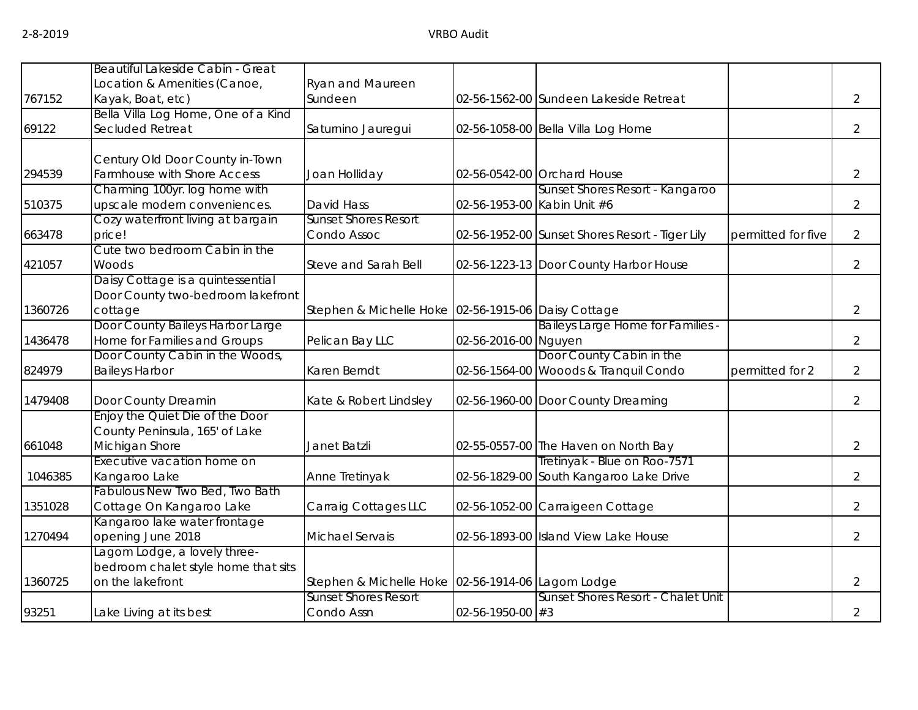|         | Beautiful Lakeside Cabin - Great                           |                                                     |                      |                                                 |                    |                |
|---------|------------------------------------------------------------|-----------------------------------------------------|----------------------|-------------------------------------------------|--------------------|----------------|
|         | Location & Amenities (Canoe,                               | Ryan and Maureen                                    |                      |                                                 |                    |                |
| 767152  | Kayak, Boat, etc)                                          | Sundeen                                             |                      | 02-56-1562-00 Sundeen Lakeside Retreat          |                    | $\overline{2}$ |
|         | Bella Villa Log Home, One of a Kind                        |                                                     |                      |                                                 |                    |                |
| 69122   | Secluded Retreat                                           | Saturnino Jauregui                                  |                      | 02-56-1058-00 Bella Villa Log Home              |                    | $\overline{2}$ |
|         | Century Old Door County in-Town                            |                                                     |                      |                                                 |                    |                |
| 294539  | Farmhouse with Shore Access                                | Joan Holliday                                       |                      | 02-56-0542-00 Orchard House                     |                    | $\overline{2}$ |
|         | Charming 100yr. log home with                              |                                                     |                      | Sunset Shores Resort - Kangaroo                 |                    |                |
| 510375  | upscale modern conveniences.                               | David Hass                                          |                      | 02-56-1953-00 Kabin Unit #6                     |                    | $\overline{2}$ |
|         | Cozy waterfront living at bargain                          | <b>Sunset Shores Resort</b>                         |                      |                                                 |                    |                |
| 663478  | price!                                                     | Condo Assoc                                         |                      | 02-56-1952-00 Sunset Shores Resort - Tiger Lily | permitted for five | $\overline{2}$ |
|         | Cute two bedroom Cabin in the                              |                                                     |                      |                                                 |                    |                |
| 421057  | Woods                                                      | Steve and Sarah Bell                                |                      | 02-56-1223-13 Door County Harbor House          |                    | $\overline{2}$ |
|         | Daisy Cottage is a quintessential                          |                                                     |                      |                                                 |                    |                |
| 1360726 | Door County two-bedroom lakefront<br>cottage               | Stephen & Michelle Hoke 02-56-1915-06 Daisy Cottage |                      |                                                 |                    | $\overline{2}$ |
|         | Door County Baileys Harbor Large                           |                                                     |                      | Baileys Large Home for Families -               |                    |                |
| 1436478 | Home for Families and Groups                               | Pelican Bay LLC                                     | 02-56-2016-00 Nguyen |                                                 |                    | $\overline{2}$ |
|         | Door County Cabin in the Woods,                            |                                                     |                      | Door County Cabin in the                        |                    |                |
| 824979  | <b>Baileys Harbor</b>                                      | Karen Berndt                                        |                      | 02-56-1564-00 Wooods & Tranquil Condo           | permitted for 2    | $\overline{2}$ |
| 1479408 | Door County Dreamin                                        | Kate & Robert Lindsley                              |                      | 02-56-1960-00 Door County Dreaming              |                    | $\overline{2}$ |
|         | Enjoy the Quiet Die of the Door                            |                                                     |                      |                                                 |                    |                |
|         | County Peninsula, 165' of Lake                             |                                                     |                      |                                                 |                    |                |
| 661048  | Michigan Shore                                             | Janet Batzli                                        |                      | 02-55-0557-00 The Haven on North Bay            |                    | $\overline{2}$ |
|         | Executive vacation home on                                 |                                                     |                      | Tretinyak - Blue on Roo-7571                    |                    |                |
| 1046385 | Kangaroo Lake                                              | Anne Tretinyak                                      |                      | 02-56-1829-00 South Kangaroo Lake Drive         |                    | $\overline{2}$ |
| 1351028 | Fabulous New Two Bed, Two Bath<br>Cottage On Kangaroo Lake |                                                     |                      |                                                 |                    | $\overline{2}$ |
|         | Kangaroo lake water frontage                               | Carraig Cottages LLC                                |                      | 02-56-1052-00 Carraigeen Cottage                |                    |                |
| 1270494 | opening June 2018                                          | Michael Servais                                     |                      | 02-56-1893-00 Island View Lake House            |                    | $\overline{2}$ |
|         | Lagom Lodge, a lovely three-                               |                                                     |                      |                                                 |                    |                |
|         | bedroom chalet style home that sits                        |                                                     |                      |                                                 |                    |                |
| 1360725 | on the lakefront                                           | Stephen & Michelle Hoke 02-56-1914-06 Lagom Lodge   |                      |                                                 |                    | $\overline{2}$ |
|         |                                                            | <b>Sunset Shores Resort</b>                         |                      | Sunset Shores Resort - Chalet Unit              |                    |                |
| 93251   | Lake Living at its best                                    | Condo Assn                                          | 02-56-1950-00 #3     |                                                 |                    | $\overline{2}$ |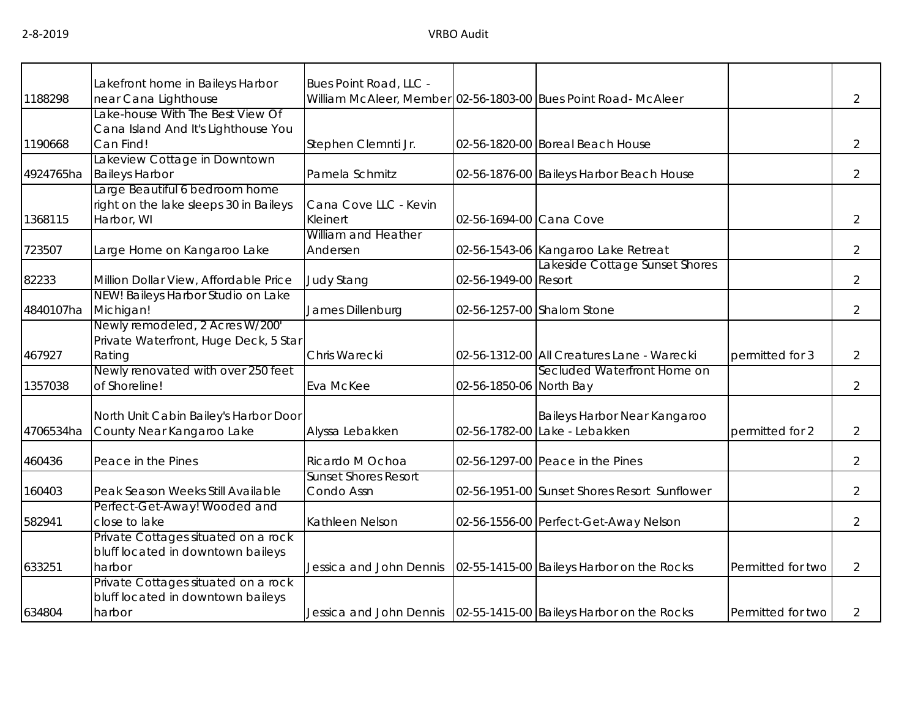|           | akefront home in Baileys Harbor        | Bues Point Road, LLC -      |                         |                                                                     |                   |                |
|-----------|----------------------------------------|-----------------------------|-------------------------|---------------------------------------------------------------------|-------------------|----------------|
| 1188298   | near Cana Lighthouse                   |                             |                         | William McAleer, Member 02-56-1803-00 Bues Point Road- McAleer      |                   | $\overline{2}$ |
|           | Lake-house With The Best View Of       |                             |                         |                                                                     |                   |                |
|           | Cana Island And It's Lighthouse You    |                             |                         |                                                                     |                   |                |
| 1190668   | Can Find!                              | Stephen Clemnti Jr.         |                         | 02-56-1820-00 Boreal Beach House                                    |                   | $\overline{2}$ |
|           | Lakeview Cottage in Downtown           |                             |                         |                                                                     |                   |                |
| 4924765ha | <b>Baileys Harbor</b>                  | Pamela Schmitz              |                         | 02-56-1876-00 Baileys Harbor Beach House                            |                   | $\overline{2}$ |
|           | Large Beautiful 6 bedroom home         |                             |                         |                                                                     |                   |                |
|           | right on the lake sleeps 30 in Baileys | Cana Cove LLC - Kevin       |                         |                                                                     |                   |                |
| 1368115   | Harbor, WI                             | Kleinert                    | 02-56-1694-00 Cana Cove |                                                                     |                   | $\overline{2}$ |
|           |                                        | William and Heather         |                         |                                                                     |                   |                |
| 723507    | Large Home on Kangaroo Lake            | Andersen                    |                         | 02-56-1543-06 Kangaroo Lake Retreat                                 |                   | $\overline{2}$ |
|           |                                        |                             |                         | Lakeside Cottage Sunset Shores                                      |                   |                |
| 82233     | Million Dollar View, Affordable Price  | <b>Judy Stang</b>           | 02-56-1949-00 Resort    |                                                                     |                   | $\overline{2}$ |
|           | NEW! Baileys Harbor Studio on Lake     |                             |                         |                                                                     |                   |                |
| 4840107ha | Michigan!                              | James Dillenburg            |                         | 02-56-1257-00 Shalom Stone                                          |                   | $\overline{2}$ |
|           | Newly remodeled, 2 Acres W/200'        |                             |                         |                                                                     |                   |                |
|           | Private Waterfront, Huge Deck, 5 Star  |                             |                         |                                                                     |                   |                |
| 467927    | Rating                                 | Chris Warecki               |                         | 02-56-1312-00 All Creatures Lane - Warecki                          | permitted for 3   | $\overline{2}$ |
|           | Newly renovated with over 250 feet     |                             |                         | Secluded Waterfront Home on                                         |                   |                |
| 1357038   | of Shoreline!                          | Eva McKee                   | 02-56-1850-06 North Bay |                                                                     |                   | $\overline{2}$ |
|           |                                        |                             |                         |                                                                     |                   |                |
|           | North Unit Cabin Bailey's Harbor Door  |                             |                         | Baileys Harbor Near Kangaroo                                        |                   |                |
| 4706534ha | County Near Kangaroo Lake              | Alyssa Lebakken             |                         | 02-56-1782-00 Lake - Lebakken                                       | permitted for 2   | $\overline{2}$ |
|           |                                        |                             |                         |                                                                     |                   |                |
| 460436    | Peace in the Pines                     | Ricardo M Ochoa             |                         | 02-56-1297-00 Peace in the Pines                                    |                   | $\overline{2}$ |
|           |                                        | <b>Sunset Shores Resort</b> |                         |                                                                     |                   |                |
| 160403    | Peak Season Weeks Still Available      | Condo Assn                  |                         | 02-56-1951-00 Sunset Shores Resort Sunflower                        |                   | $\overline{2}$ |
|           | Perfect-Get-Away! Wooded and           |                             |                         |                                                                     |                   |                |
| 582941    | close to lake                          | Kathleen Nelson             |                         | 02-56-1556-00 Perfect-Get-Away Nelson                               |                   | $\overline{2}$ |
|           | Private Cottages situated on a rock    |                             |                         |                                                                     |                   |                |
|           | bluff located in downtown baileys      |                             |                         |                                                                     |                   |                |
| 633251    | harbor                                 | Jessica and John Dennis     |                         | 02-55-1415-00 Baileys Harbor on the Rocks                           | Permitted for two | $\overline{2}$ |
|           | Private Cottages situated on a rock    |                             |                         |                                                                     |                   |                |
|           | bluff located in downtown baileys      |                             |                         |                                                                     |                   |                |
| 634804    | harbor                                 |                             |                         | Jessica and John Dennis   02-55-1415-00 Baileys Harbor on the Rocks | Permitted for two | 2              |
|           |                                        |                             |                         |                                                                     |                   |                |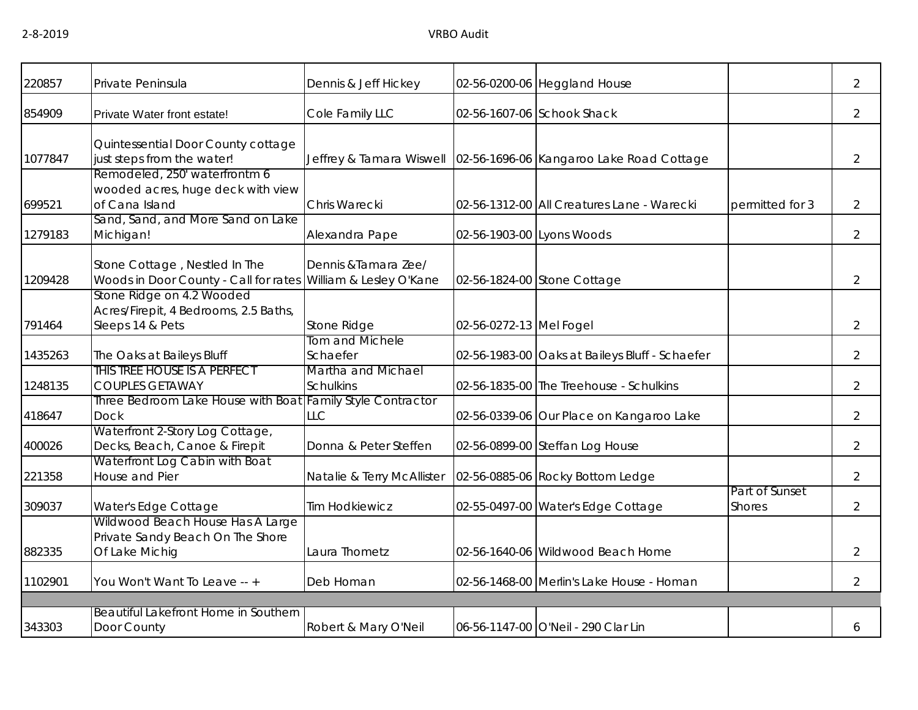| 220857  | Private Peninsula                                                                                 | Dennis & Jeff Hickey                   |                           | 02-56-0200-06 Heggland House                   |                                 | $\overline{2}$ |
|---------|---------------------------------------------------------------------------------------------------|----------------------------------------|---------------------------|------------------------------------------------|---------------------------------|----------------|
| 854909  | Private Water front estate!                                                                       | Cole Family LLC                        |                           | 02-56-1607-06 Schook Shack                     |                                 | $\overline{2}$ |
| 1077847 | Quintessential Door County cottage<br>just steps from the water!<br>Remodeled, 250' waterfrontm 6 | Jeffrey & Tamara Wiswell               |                           | 02-56-1696-06 Kangaroo Lake Road Cottage       |                                 | $\overline{2}$ |
| 699521  | wooded acres, huge deck with view<br>of Cana Island                                               | Chris Warecki                          |                           | 02-56-1312-00 All Creatures Lane - Warecki     | permitted for 3                 | $\overline{2}$ |
| 1279183 | Sand, Sand, and More Sand on Lake<br>Michigan!                                                    | Alexandra Pape                         | 02-56-1903-00 Lyons Woods |                                                |                                 | $\overline{2}$ |
| 1209428 | Stone Cottage, Nestled In The<br>Woods in Door County - Call for rates William & Lesley O'Kane    | Dennis & Tamara Zee/                   |                           | 02-56-1824-00 Stone Cottage                    |                                 | $\overline{2}$ |
| 791464  | Stone Ridge on 4.2 Wooded<br>Acres/Firepit, 4 Bedrooms, 2.5 Baths,<br>Sleeps 14 & Pets            | Stone Ridge                            | 02-56-0272-13 Mel Fogel   |                                                |                                 | $\overline{2}$ |
| 1435263 | The Oaks at Baileys Bluff                                                                         | Tom and Michele<br>Schaefer            |                           | 02-56-1983-00 Oaks at Baileys Bluff - Schaefer |                                 | $\overline{2}$ |
| 1248135 | This tree house is a perfect<br><b>COUPLES GETAWAY</b>                                            | Martha and Michael<br><b>Schulkins</b> |                           | 02-56-1835-00 The Treehouse - Schulkins        |                                 | $\overline{2}$ |
| 418647  | Three Bedroom Lake House with Boat Family Style Contractor<br><b>Dock</b>                         | <b>LLC</b>                             |                           | 02-56-0339-06 Our Place on Kangaroo Lake       |                                 | $\overline{2}$ |
| 400026  | Waterfront 2-Story Log Cottage,<br>Decks, Beach, Canoe & Firepit                                  | Donna & Peter Steffen                  |                           | 02-56-0899-00 Steffan Log House                |                                 | $\overline{2}$ |
| 221358  | Waterfront Log Cabin with Boat<br>House and Pier                                                  | Natalie & Terry McAllister             |                           | 02-56-0885-06 Rocky Bottom Ledge               |                                 | $\overline{2}$ |
| 309037  | Water's Edge Cottage                                                                              | <b>Tim Hodkiewicz</b>                  |                           | 02-55-0497-00 Water's Edge Cottage             | Part of Sunset<br><b>Shores</b> | $\overline{2}$ |
| 882335  | Wildwood Beach House Has A Large<br>Private Sandy Beach On The Shore<br>Of Lake Michig            | Laura Thometz                          |                           | 02-56-1640-06 Wildwood Beach Home              |                                 | $\overline{2}$ |
| 1102901 | You Won't Want To Leave -- +                                                                      | Deb Homan                              |                           | 02-56-1468-00 Merlin's Lake House - Homan      |                                 | $\overline{2}$ |
|         | Beautiful Lakefront Home in Southern                                                              |                                        |                           |                                                |                                 |                |
| 343303  | Door County                                                                                       | Robert & Mary O'Neil                   |                           | 06-56-1147-00 O'Neil - 290 Clar Lin            |                                 | 6              |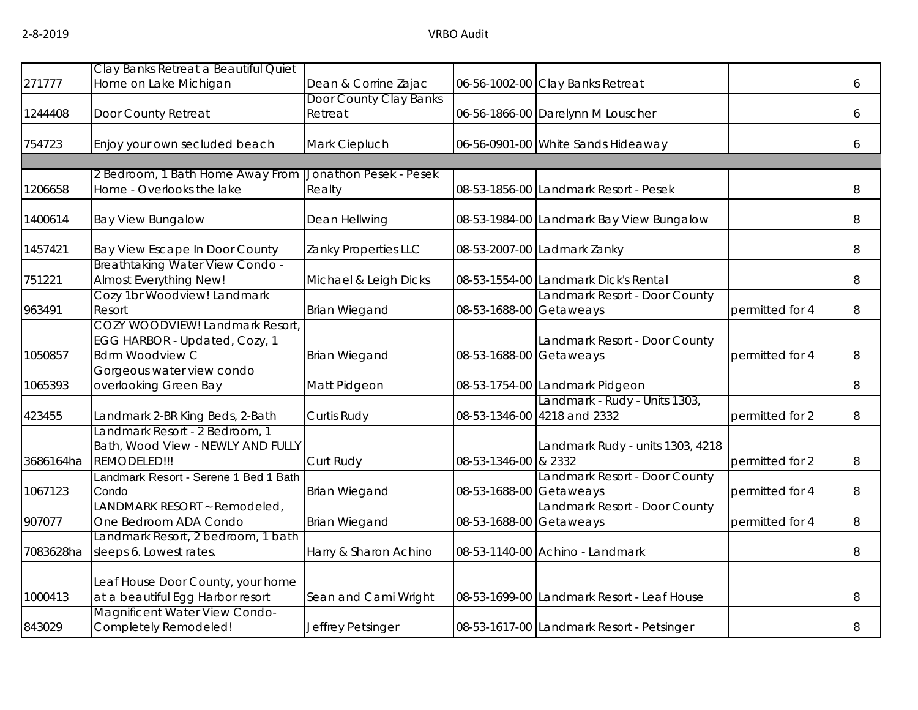|           | Clay Banks Retreat a Beautiful Quiet                                                      |                        |                      |                                                              |                 |   |
|-----------|-------------------------------------------------------------------------------------------|------------------------|----------------------|--------------------------------------------------------------|-----------------|---|
| 271777    | Home on Lake Michigan                                                                     | Dean & Corrine Zajac   |                      | 06-56-1002-00 Clay Banks Retreat                             |                 | 6 |
|           |                                                                                           | Door County Clay Banks |                      |                                                              |                 |   |
| 1244408   | Door County Retreat                                                                       | Retreat                |                      | 06-56-1866-00 Darelynn M Louscher                            |                 | 6 |
| 754723    | Enjoy your own secluded beach                                                             | Mark Ciepluch          |                      | 06-56-0901-00 White Sands Hideaway                           |                 | 6 |
|           | 2 Bedroom, 1 Bath Home Away From                                                          | Jonathon Pesek - Pesek |                      |                                                              |                 |   |
| 1206658   | Home - Overlooks the lake                                                                 | Realty                 |                      | 08-53-1856-00 Landmark Resort - Pesek                        |                 | 8 |
| 1400614   | <b>Bay View Bungalow</b>                                                                  | Dean Hellwing          |                      | 08-53-1984-00 Landmark Bay View Bungalow                     |                 | 8 |
| 1457421   | Bay View Escape In Door County                                                            | Zanky Properties LLC   |                      | 08-53-2007-00 Ladmark Zanky                                  |                 | 8 |
| 751221    | Breathtaking Water View Condo -<br>Almost Everything New!                                 | Michael & Leigh Dicks  |                      | 08-53-1554-00 Landmark Dick's Rental                         |                 | 8 |
| 963491    | Cozy 1br Woodview! Landmark<br>Resort                                                     | <b>Brian Wiegand</b>   | 08-53-1688-00        | Landmark Resort - Door County<br>Getaweays                   | permitted for 4 | 8 |
| 1050857   | COZY WOODVIEW! Landmark Resort<br>EGG HARBOR - Updated, Cozy, 1<br><b>Bdrm Woodview C</b> | <b>Brian Wiegand</b>   | 08-53-1688-00        | Landmark Resort - Door County<br>Getaweays                   | permitted for 4 | 8 |
| 1065393   | Gorgeous water view condo<br>overlooking Green Bay                                        | Matt Pidgeon           |                      | 08-53-1754-00 Landmark Pidgeon                               |                 | 8 |
| 423455    | Landmark 2-BR King Beds, 2-Bath                                                           | Curtis Rudy            |                      | Landmark - Rudy - Units 1303,<br>08-53-1346-00 4218 and 2332 | permitted for 2 | 8 |
| 3686164ha | Landmark Resort - 2 Bedroom, 1<br>Bath, Wood View - NEWLY AND FULLY<br>REMODELED!!!       | Curt Rudy              | 08-53-1346-00 & 2332 | Landmark Rudy - units 1303, 4218                             | permitted for 2 | 8 |
| 1067123   | Landmark Resort - Serene 1 Bed 1 Bath<br>Condo                                            | <b>Brian Wiegand</b>   | 08-53-1688-00        | Landmark Resort - Door County<br>Getaweays                   | permitted for 4 | 8 |
| 907077    | LANDMARK RESORT ~ Remodeled,<br>One Bedroom ADA Condo                                     | <b>Brian Wiegand</b>   | 08-53-1688-00        | Landmark Resort - Door County<br>Getaweays                   | permitted for 4 | 8 |
| 7083628ha | Landmark Resort, 2 bedroom, 1 bath<br>sleeps 6. Lowest rates.                             | Harry & Sharon Achino  |                      | 08-53-1140-00 Achino - Landmark                              |                 | 8 |
| 1000413   | Leaf House Door County, your home<br>at a beautiful Egg Harbor resort                     | Sean and Cami Wright   |                      | 08-53-1699-00 Landmark Resort - Leaf House                   |                 | 8 |
| 843029    | Magnificent Water View Condo-<br>Completely Remodeled!                                    | Jeffrey Petsinger      |                      | 08-53-1617-00 Landmark Resort - Petsinger                    |                 | 8 |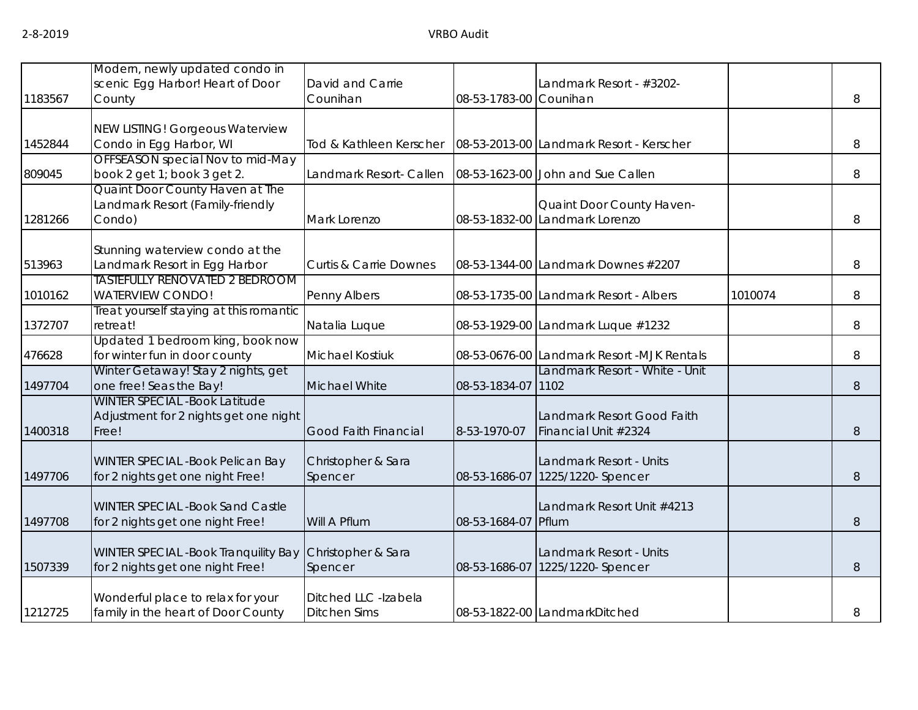| 1183567 | Modern, newly updated condo in<br>scenic Egg Harbor! Heart of Door<br>County           | David and Carrie<br>Counihan                | 08-53-1783-00 Counihan | Landmark Resort - #3202-                                    |         | 8 |
|---------|----------------------------------------------------------------------------------------|---------------------------------------------|------------------------|-------------------------------------------------------------|---------|---|
| 1452844 | NEW LISTING! Gorgeous Waterview<br>Condo in Egg Harbor, WI                             | Tod & Kathleen Kerscher                     |                        | 08-53-2013-00 Landmark Resort - Kerscher                    |         | 8 |
| 809045  | OFFSEASON special Nov to mid-May<br>book 2 get 1; book 3 get 2.                        | Landmark Resort- Callen                     |                        | 08-53-1623-00 John and Sue Callen                           |         | 8 |
| 1281266 | Quaint Door County Haven at The<br>Landmark Resort (Family-friendly<br>Condo)          | Mark Lorenzo                                |                        | Quaint Door County Haven-<br>08-53-1832-00 Landmark Lorenzo |         | 8 |
| 513963  | Stunning waterview condo at the<br>Landmark Resort in Egg Harbor                       | <b>Curtis &amp; Carrie Downes</b>           |                        | 08-53-1344-00 Landmark Downes #2207                         |         | 8 |
| 1010162 | <b>TASTEFULLY RENOVATED 2 BEDROOM</b><br><b>WATERVIEW CONDO!</b>                       | Penny Albers                                |                        | 08-53-1735-00 Landmark Resort - Albers                      | 1010074 | 8 |
| 1372707 | Treat yourself staying at this romantic<br>retreat!                                    | Natalia Luque                               |                        | 08-53-1929-00 Landmark Luque #1232                          |         | 8 |
| 476628  | Updated 1 bedroom king, book now<br>for winter fun in door county                      | <b>Michael Kostiuk</b>                      |                        | 08-53-0676-00 Landmark Resort -MJK Rentals                  |         | 8 |
| 1497704 | Winter Getaway! Stay 2 nights, get<br>one free! Seas the Bay!                          | Michael White                               | 08-53-1834-07 1102     | Landmark Resort - White - Unit                              |         | 8 |
| 1400318 | <b>WINTER SPECIAL -Book Latitude</b><br>Adjustment for 2 nights get one night<br>Free! | <b>Good Faith Financial</b>                 | 8-53-1970-07           | Landmark Resort Good Faith<br>Financial Unit #2324          |         | 8 |
| 1497706 | <b>WINTER SPECIAL -Book Pelican Bay</b><br>for 2 nights get one night Free!            | Christopher & Sara<br>Spencer               |                        | Landmark Resort - Units<br>08-53-1686-07 1225/1220- Spencer |         | 8 |
| 1497708 | <b>WINTER SPECIAL -Book Sand Castle</b><br>for 2 nights get one night Free!            | Will A Pflum                                | 08-53-1684-07 Pflum    | Landmark Resort Unit #4213                                  |         | 8 |
| 1507339 | WINTER SPECIAL -Book Tranquility Bay<br>for 2 nights get one night Free!               | Christopher & Sara<br>Spencer               |                        | Landmark Resort - Units<br>08-53-1686-07 1225/1220- Spencer |         | 8 |
| 1212725 | Wonderful place to relax for your<br>family in the heart of Door County                | Ditched LLC -Izabela<br><b>Ditchen Sims</b> |                        | 08-53-1822-00 LandmarkDitched                               |         | 8 |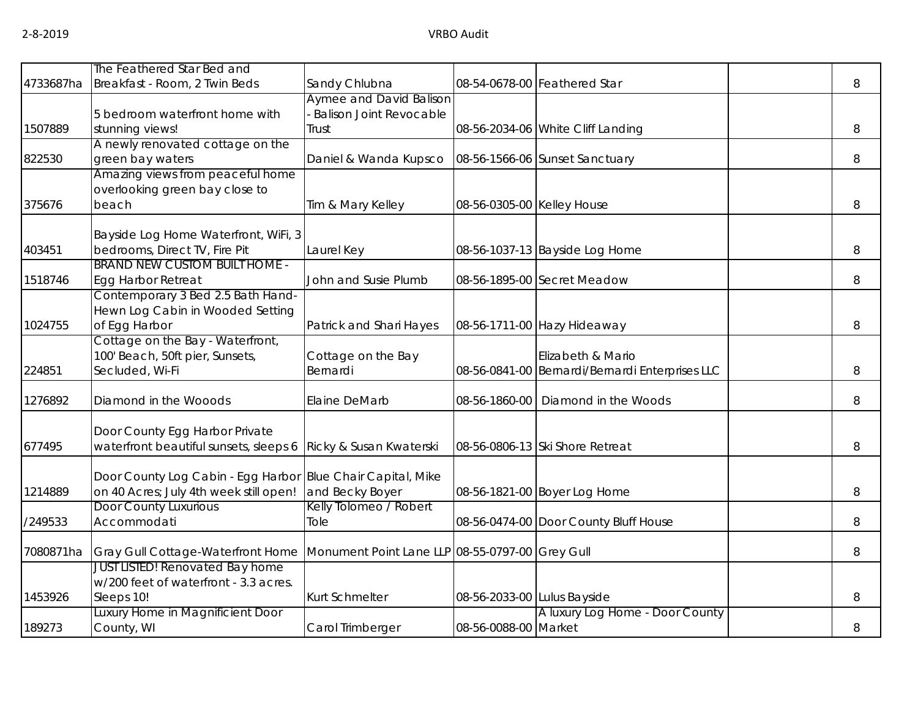|           | The Feathered Star Bed and                                            |                                                 |                             |                                                 |   |
|-----------|-----------------------------------------------------------------------|-------------------------------------------------|-----------------------------|-------------------------------------------------|---|
| 4733687ha | Breakfast - Room, 2 Twin Beds                                         | Sandy Chlubna                                   |                             | 08-54-0678-00 Feathered Star                    | 8 |
|           |                                                                       | <b>Aymee and David Balison</b>                  |                             |                                                 |   |
|           | 5 bedroom waterfront home with                                        | <b>Balison Joint Revocable</b>                  |                             |                                                 |   |
| 1507889   | stunning views!                                                       | Trust                                           |                             | 08-56-2034-06 White Cliff Landing               | 8 |
|           | A newly renovated cottage on the                                      |                                                 |                             |                                                 |   |
| 822530    | green bay waters                                                      | Daniel & Wanda Kupsco                           |                             | 08-56-1566-06 Sunset Sanctuary                  | 8 |
|           | Amazing views from peaceful home                                      |                                                 |                             |                                                 |   |
|           | overlooking green bay close to                                        |                                                 |                             |                                                 |   |
| 375676    | beach                                                                 | Tim & Mary Kelley                               | 08-56-0305-00 Kelley House  |                                                 | 8 |
|           |                                                                       |                                                 |                             |                                                 |   |
|           | Bayside Log Home Waterfront, WiFi, 3                                  |                                                 |                             |                                                 |   |
| 403451    | bedrooms, Direct TV, Fire Pit<br><b>BRAND NEW CUSTOM BUILT HOME -</b> | Laurel Key                                      |                             | 08-56-1037-13 Bayside Log Home                  | 8 |
| 1518746   |                                                                       | John and Susie Plumb                            |                             | 08-56-1895-00 Secret Meadow                     |   |
|           | Egg Harbor Retreat<br>Contemporary 3 Bed 2.5 Bath Hand-               |                                                 |                             |                                                 | 8 |
|           | Hewn Log Cabin in Wooded Setting                                      |                                                 |                             |                                                 |   |
| 1024755   | of Egg Harbor                                                         |                                                 |                             |                                                 | 8 |
|           | Cottage on the Bay - Waterfront,                                      | Patrick and Shari Hayes                         |                             | 08-56-1711-00 Hazy Hideaway                     |   |
|           | 100' Beach, 50ft pier, Sunsets,                                       | Cottage on the Bay                              |                             | Elizabeth & Mario                               |   |
| 224851    | Secluded, Wi-Fi                                                       | Bernardi                                        |                             | 08-56-0841-00 Bernardi/Bernardi Enterprises LLC | 8 |
|           |                                                                       |                                                 |                             |                                                 |   |
| 1276892   | Diamond in the Wooods                                                 | Elaine DeMarb                                   | 08-56-1860-00               | Diamond in the Woods                            | 8 |
|           |                                                                       |                                                 |                             |                                                 |   |
|           | Door County Egg Harbor Private                                        |                                                 |                             |                                                 |   |
| 677495    | waterfront beautiful sunsets, sleeps 6                                | Ricky & Susan Kwaterski                         |                             | 08-56-0806-13 Ski Shore Retreat                 | 8 |
|           | Door County Log Cabin - Egg Harbor Blue Chair Capital, Mike           |                                                 |                             |                                                 |   |
| 1214889   | on 40 Acres; July 4th week still open!                                | and Becky Boyer                                 |                             | 08-56-1821-00 Boyer Log Home                    | 8 |
|           | Door County Luxurious                                                 | Kelly Tolomeo / Robert                          |                             |                                                 |   |
| /249533   | Accommodati                                                           | Tole                                            |                             | 08-56-0474-00 Door County Bluff House           | 8 |
|           |                                                                       |                                                 |                             |                                                 |   |
| 7080871ha | Gray Gull Cottage-Waterfront Home                                     | Monument Point Lane LLP 08-55-0797-00 Grey Gull |                             |                                                 | 8 |
|           | <b>JUST LISTED! Renovated Bay home</b>                                |                                                 |                             |                                                 |   |
|           | w/200 feet of waterfront - 3.3 acres.                                 |                                                 |                             |                                                 |   |
| 1453926   | Sleeps 10!                                                            | Kurt Schmelter                                  | 08-56-2033-00 Lulus Bayside |                                                 | 8 |
|           | Luxury Home in Magnificient Door                                      |                                                 |                             | A luxury Log Home - Door County                 |   |
| 189273    | County, WI                                                            | Carol Trimberger                                | 08-56-0088-00 Market        |                                                 | 8 |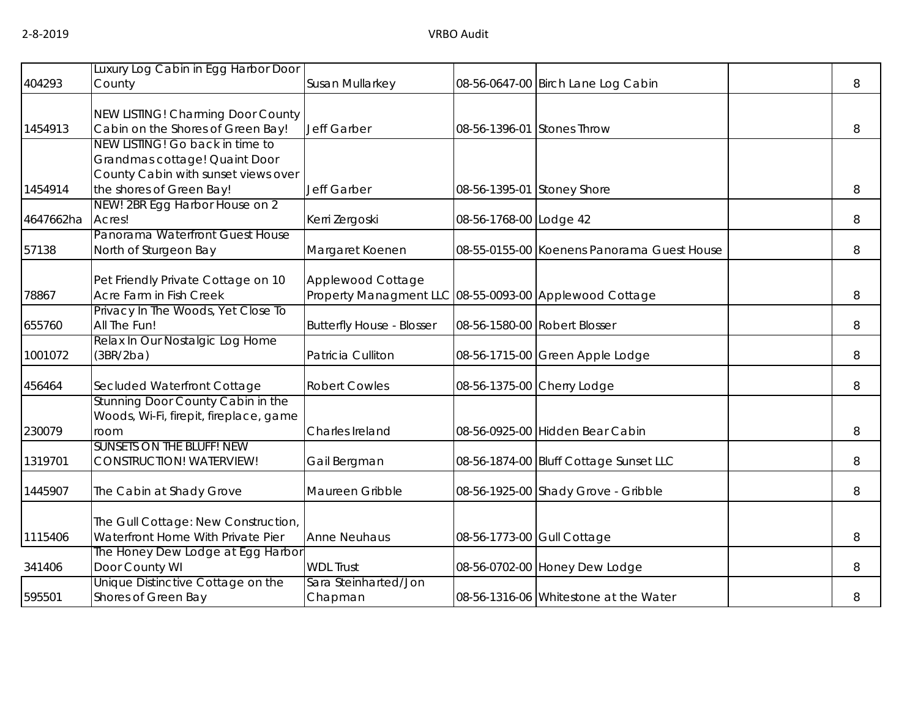|           | Luxury Log Cabin in Egg Harbor Door    |                                                        |                            |                                            |   |
|-----------|----------------------------------------|--------------------------------------------------------|----------------------------|--------------------------------------------|---|
| 404293    | County                                 | Susan Mullarkey                                        |                            | 08-56-0647-00 Birch Lane Log Cabin         | 8 |
|           |                                        |                                                        |                            |                                            |   |
|           | NEW LISTING! Charming Door County      |                                                        |                            |                                            |   |
| 1454913   | Cabin on the Shores of Green Bay!      | Jeff Garber                                            | 08-56-1396-01 Stones Throw |                                            | 8 |
|           | NEW LISTING! Go back in time to        |                                                        |                            |                                            |   |
|           | Grandmas cottage! Quaint Door          |                                                        |                            |                                            |   |
|           | County Cabin with sunset views over    |                                                        |                            |                                            |   |
| 1454914   | the shores of Green Bay!               | Jeff Garber                                            | 08-56-1395-01 Stoney Shore |                                            | 8 |
|           | NEW! 2BR Egg Harbor House on 2         |                                                        |                            |                                            |   |
| 4647662ha | Acres!                                 | Kerri Zergoski                                         | 08-56-1768-00 Lodge 42     |                                            | 8 |
|           | Panorama Waterfront Guest House        |                                                        |                            |                                            |   |
| 57138     | North of Sturgeon Bay                  | Margaret Koenen                                        |                            | 08-55-0155-00 Koenens Panorama Guest House | 8 |
|           |                                        |                                                        |                            |                                            |   |
|           | Pet Friendly Private Cottage on 10     | Applewood Cottage                                      |                            |                                            |   |
| 78867     | Acre Farm in Fish Creek                | Property Managment LLC 08-55-0093-00 Applewood Cottage |                            |                                            | 8 |
|           | Privacy In The Woods, Yet Close To     |                                                        |                            |                                            |   |
| 655760    | All The Fun!                           | <b>Butterfly House - Blosser</b>                       |                            | 08-56-1580-00 Robert Blosser               | 8 |
|           | Relax In Our Nostalgic Log Home        |                                                        |                            |                                            |   |
| 1001072   | (3BR/2ba)                              | Patricia Culliton                                      |                            | 08-56-1715-00 Green Apple Lodge            | 8 |
|           |                                        |                                                        |                            |                                            |   |
| 456464    | Secluded Waterfront Cottage            | <b>Robert Cowles</b>                                   |                            | 08-56-1375-00 Cherry Lodge                 | 8 |
|           | Stunning Door County Cabin in the      |                                                        |                            |                                            |   |
|           | Woods, Wi-Fi, firepit, fireplace, game |                                                        |                            |                                            |   |
| 230079    | room                                   | Charles Ireland                                        |                            | 08-56-0925-00 Hidden Bear Cabin            | 8 |
|           | <b>SUNSETS ON THE BLUFF! NEW</b>       |                                                        |                            |                                            |   |
| 1319701   | <b>CONSTRUCTION! WATERVIEW!</b>        | Gail Bergman                                           |                            | 08-56-1874-00 Bluff Cottage Sunset LLC     | 8 |
|           |                                        |                                                        |                            |                                            |   |
| 1445907   | The Cabin at Shady Grove               | Maureen Gribble                                        |                            | 08-56-1925-00 Shady Grove - Gribble        | 8 |
|           |                                        |                                                        |                            |                                            |   |
|           | The Gull Cottage: New Construction,    |                                                        |                            |                                            |   |
| 1115406   | Waterfront Home With Private Pier      | <b>Anne Neuhaus</b>                                    | 08-56-1773-00 Gull Cottage |                                            | 8 |
|           | The Honey Dew Lodge at Egg Harbor      |                                                        |                            |                                            |   |
| 341406    | Door County WI                         | <b>WDL Trust</b>                                       |                            | 08-56-0702-00 Honey Dew Lodge              | 8 |
|           | Unique Distinctive Cottage on the      | Sara Steinharted/Jon                                   |                            |                                            |   |
| 595501    | Shores of Green Bay                    | Chapman                                                |                            | 08-56-1316-06 Whitestone at the Water      | 8 |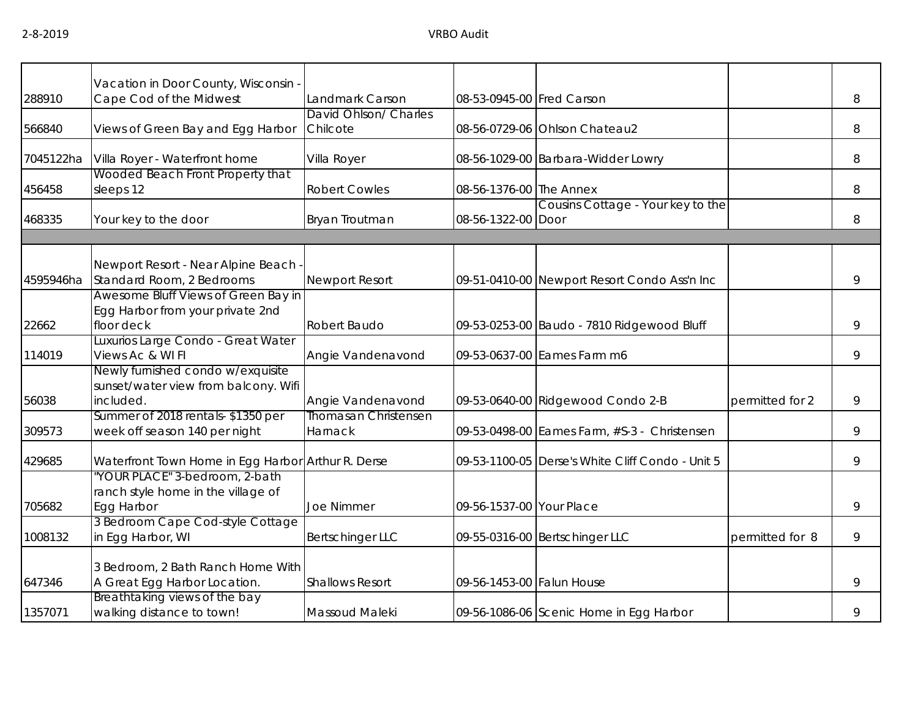|           | Vacation in Door County, Wisconsin -                                                   |                                   |                           |                                                  |                 |   |
|-----------|----------------------------------------------------------------------------------------|-----------------------------------|---------------------------|--------------------------------------------------|-----------------|---|
| 288910    | Cape Cod of the Midwest                                                                | Landmark Carson                   | 08-53-0945-00 Fred Carson |                                                  |                 | 8 |
| 566840    | Views of Green Bay and Egg Harbor                                                      | David Ohlson/ Charles<br>Chilcote |                           | 08-56-0729-06 Ohlson Chateau2                    |                 | 8 |
| 7045122ha | Villa Royer - Waterfront home                                                          | Villa Royer                       |                           | 08-56-1029-00 Barbara-Widder Lowry               |                 | 8 |
| 456458    | Wooded Beach Front Property that<br>sleeps 12                                          | <b>Robert Cowles</b>              | 08-56-1376-00 The Annex   |                                                  |                 | 8 |
| 468335    | Your key to the door                                                                   | Bryan Troutman                    | 08-56-1322-00 Door        | Cousins Cottage - Your key to the                |                 | 8 |
|           |                                                                                        |                                   |                           |                                                  |                 |   |
| 4595946ha | Newport Resort - Near Alpine Beach -<br>Standard Room, 2 Bedrooms                      | <b>Newport Resort</b>             |                           | 09-51-0410-00 Newport Resort Condo Ass'n Inc     |                 | 9 |
| 22662     | Awesome Bluff Views of Green Bay in<br>Egg Harbor from your private 2nd<br>floor deck  | Robert Baudo                      |                           | 09-53-0253-00 Baudo - 7810 Ridgewood Bluff       |                 | 9 |
| 114019    | Luxurios Large Condo - Great Water<br>Views Ac & WI FI                                 | Angie Vandenavond                 |                           | 09-53-0637-00 Eames Farm m6                      |                 | 9 |
| 56038     | Newly furnished condo w/exquisite<br>sunset/water view from balcony. Wifi<br>included. | Angie Vandenavond                 |                           | 09-53-0640-00 Ridgewood Condo 2-B                | permitted for 2 | 9 |
| 309573    | Summer of 2018 rentals-\$1350 per<br>week off season 140 per night                     | Thomasan Christensen<br>Harnack   |                           | 09-53-0498-00 Eames Farm, #S-3 - Christensen     |                 | 9 |
| 429685    | Waterfront Town Home in Egg Harbor Arthur R. Derse                                     |                                   |                           | 09-53-1100-05 Derse's White Cliff Condo - Unit 5 |                 | 9 |
| 705682    | 'YOUR PLACE" 3-bedroom, 2-bath<br>ranch style home in the village of<br>Egg Harbor     | Joe Nimmer                        | 09-56-1537-00 Your Place  |                                                  |                 | 9 |
| 1008132   | 3 Bedroom Cape Cod-style Cottage<br>in Egg Harbor, WI                                  | Bertschinger LLC                  |                           | 09-55-0316-00 Bertschinger LLC                   | permitted for 8 | 9 |
| 647346    | 3 Bedroom, 2 Bath Ranch Home With<br>A Great Egg Harbor Location.                      | <b>Shallows Resort</b>            | 09-56-1453-00 Falun House |                                                  |                 | 9 |
| 1357071   | Breathtaking views of the bay<br>walking distance to town!                             | Massoud Maleki                    |                           | 09-56-1086-06 Scenic Home in Egg Harbor          |                 | 9 |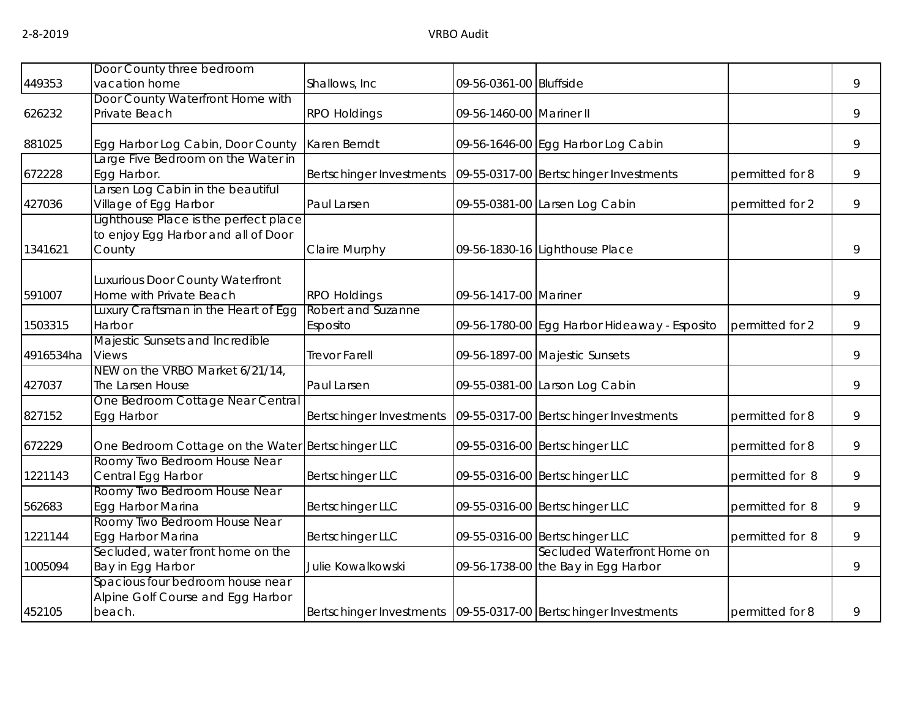|           | Door County three bedroom                         |                                                                     |                          |                                              |                 |   |
|-----------|---------------------------------------------------|---------------------------------------------------------------------|--------------------------|----------------------------------------------|-----------------|---|
| 449353    | vacation home                                     | Shallows, Inc                                                       | 09-56-0361-00 Bluffside  |                                              |                 | 9 |
|           | Door County Waterfront Home with                  |                                                                     |                          |                                              |                 |   |
| 626232    | Private Beach                                     | <b>RPO Holdings</b>                                                 | 09-56-1460-00 Mariner II |                                              |                 | 9 |
|           |                                                   |                                                                     |                          |                                              |                 |   |
| 881025    | Egg Harbor Log Cabin, Door County                 | Karen Berndt                                                        |                          | 09-56-1646-00 Egg Harbor Log Cabin           |                 | 9 |
|           | Large Five Bedroom on the Water in                |                                                                     |                          |                                              |                 |   |
| 672228    | Egg Harbor.                                       | Bertschinger Investments                                            |                          | 09-55-0317-00 Bertschinger Investments       | permitted for 8 | 9 |
|           | arsen Log Cabin in the beautiful                  |                                                                     |                          |                                              |                 |   |
| 427036    | Village of Egg Harbor                             | Paul Larsen                                                         |                          | 09-55-0381-00 Larsen Log Cabin               | permitted for 2 | 9 |
|           | ighthouse Place is the perfect place              |                                                                     |                          |                                              |                 |   |
|           | to enjoy Egg Harbor and all of Door               |                                                                     |                          |                                              |                 |   |
| 1341621   | County                                            | Claire Murphy                                                       |                          | 09-56-1830-16 Lighthouse Place               |                 | 9 |
|           |                                                   |                                                                     |                          |                                              |                 |   |
|           | Luxurious Door County Waterfront                  |                                                                     |                          |                                              |                 |   |
| 591007    | Home with Private Beach                           | <b>RPO Holdings</b>                                                 | 09-56-1417-00 Mariner    |                                              |                 | 9 |
|           | Luxury Craftsman in the Heart of Egg              | Robert and Suzanne                                                  |                          |                                              |                 |   |
| 1503315   | Harbor                                            | Esposito                                                            |                          | 09-56-1780-00 Egg Harbor Hideaway - Esposito | permitted for 2 | 9 |
| 4916534ha | Majestic Sunsets and Incredible<br>Views          | <b>Trevor Farell</b>                                                |                          | 09-56-1897-00 Majestic Sunsets               |                 | 9 |
|           | NEW on the VRBO Market 6/21/14,                   |                                                                     |                          |                                              |                 |   |
| 427037    | The Larsen House                                  | Paul Larsen                                                         |                          | 09-55-0381-00 Larson Log Cabin               |                 | 9 |
|           | One Bedroom Cottage Near Central                  |                                                                     |                          |                                              |                 |   |
| 827152    | Egg Harbor                                        | Bertschinger Investments                                            |                          | 09-55-0317-00 Bertschinger Investments       | permitted for 8 | 9 |
|           |                                                   |                                                                     |                          |                                              |                 |   |
| 672229    | One Bedroom Cottage on the Water Bertschinger LLC |                                                                     |                          | 09-55-0316-00 Bertschinger LLC               | permitted for 8 | 9 |
|           | Roomy Two Bedroom House Near                      |                                                                     |                          |                                              |                 |   |
| 1221143   | Central Egg Harbor                                | <b>Bertschinger LLC</b>                                             |                          | 09-55-0316-00 Bertschinger LLC               | permitted for 8 | 9 |
|           | Roomy Two Bedroom House Near                      |                                                                     |                          |                                              |                 |   |
| 562683    | Egg Harbor Marina                                 | <b>Bertschinger LLC</b>                                             |                          | 09-55-0316-00 Bertschinger LLC               | permitted for 8 | 9 |
|           | Roomy Two Bedroom House Near                      |                                                                     |                          |                                              |                 |   |
| 1221144   | Egg Harbor Marina                                 | <b>Bertschinger LLC</b>                                             |                          | 09-55-0316-00 Bertschinger LLC               | permitted for 8 | 9 |
|           | Secluded, water front home on the                 |                                                                     |                          | Secluded Waterfront Home on                  |                 |   |
| 1005094   | Bay in Egg Harbor                                 | Julie Kowalkowski                                                   |                          | 09-56-1738-00 the Bay in Egg Harbor          |                 | 9 |
|           | Spacious four bedroom house near                  |                                                                     |                          |                                              |                 |   |
|           | Alpine Golf Course and Egg Harbor                 |                                                                     |                          |                                              |                 |   |
| 452105    | beach.                                            | Bertschinger Investments   09-55-0317-00   Bertschinger Investments |                          |                                              | permitted for 8 | 9 |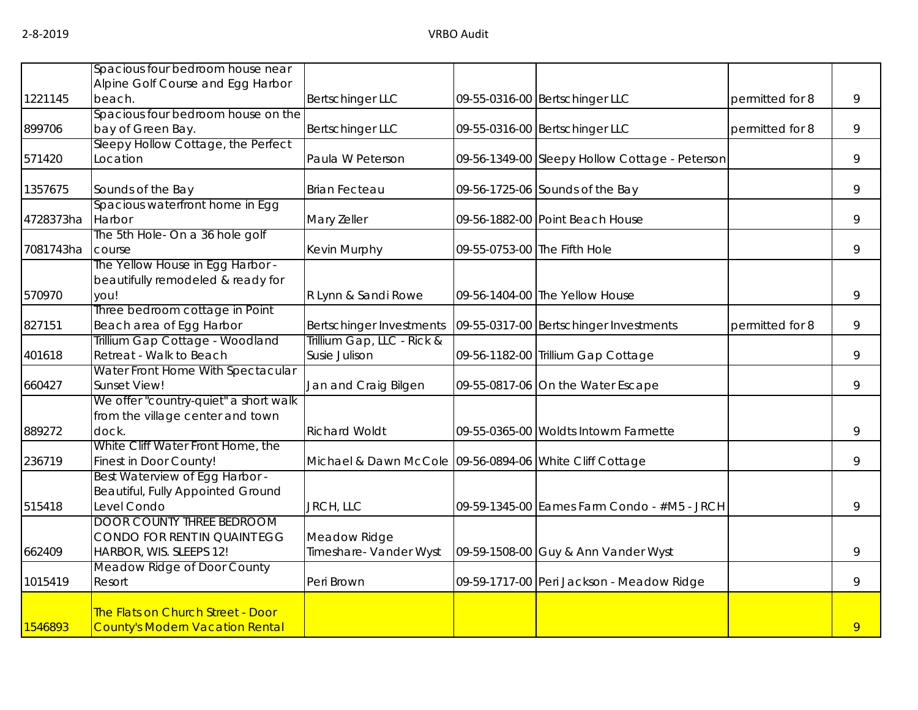|           | Spacious four bedroom house near                  |                                                         |                              |                                                |                 |   |
|-----------|---------------------------------------------------|---------------------------------------------------------|------------------------------|------------------------------------------------|-----------------|---|
|           | Alpine Golf Course and Egg Harbor                 |                                                         |                              |                                                |                 |   |
| 1221145   | beach.                                            | <b>Bertschinger LLC</b>                                 |                              | 09-55-0316-00 Bertschinger LLC                 | permitted for 8 | 9 |
|           | Spacious four bedroom house on the                |                                                         |                              |                                                |                 |   |
| 899706    | bay of Green Bay.                                 | <b>Bertschinger LLC</b>                                 |                              | 09-55-0316-00 Bertschinger LLC                 | permitted for 8 | 9 |
|           | Sleepy Hollow Cottage, the Perfect                |                                                         |                              |                                                |                 |   |
| 571420    | Location                                          | Paula W Peterson                                        |                              | 09-56-1349-00 Sleepy Hollow Cottage - Peterson |                 | 9 |
| 1357675   | Sounds of the Bay                                 | <b>Brian Fecteau</b>                                    |                              | 09-56-1725-06 Sounds of the Bay                |                 | 9 |
|           | Spacious waterfront home in Egg                   |                                                         |                              |                                                |                 |   |
| 4728373ha | Harbor                                            | Mary Zeller                                             |                              | 09-56-1882-00 Point Beach House                |                 | 9 |
|           | The 5th Hole- On a 36 hole golf                   |                                                         |                              |                                                |                 |   |
| 7081743ha | course                                            | Kevin Murphy                                            | 09-55-0753-00 The Fifth Hole |                                                |                 | 9 |
|           | The Yellow House in Egg Harbor -                  |                                                         |                              |                                                |                 |   |
|           | beautifully remodeled & ready for                 |                                                         |                              |                                                |                 |   |
| 570970    | you!                                              | R Lynn & Sandi Rowe                                     |                              | 09-56-1404-00 The Yellow House                 |                 | 9 |
|           | Three bedroom cottage in Point                    |                                                         |                              |                                                |                 |   |
| 827151    | Beach area of Egg Harbor                          | Bertschinger Investments                                |                              | 09-55-0317-00 Bertschinger Investments         | permitted for 8 | 9 |
|           | Trillium Gap Cottage - Woodland                   | Trillium Gap, LLC - Rick &                              |                              |                                                |                 |   |
| 401618    | Retreat - Walk to Beach                           | Susie Julison                                           |                              | 09-56-1182-00 Trillium Gap Cottage             |                 | 9 |
| 660427    | Water Front Home With Spectacular<br>Sunset View! | Jan and Craig Bilgen                                    |                              | 09-55-0817-06 On the Water Escape              |                 | 9 |
|           | We offer "country-quiet" a short walk             |                                                         |                              |                                                |                 |   |
|           | from the village center and town                  |                                                         |                              |                                                |                 |   |
| 889272    | dock.                                             | <b>Richard Woldt</b>                                    |                              | 09-55-0365-00 Woldts Intowm Farmette           |                 | 9 |
|           | White Cliff Water Front Home, the                 |                                                         |                              |                                                |                 |   |
| 236719    | Finest in Door County!                            | Michael & Dawn McCole 09-56-0894-06 White Cliff Cottage |                              |                                                |                 | 9 |
|           | Best Waterview of Egg Harbor -                    |                                                         |                              |                                                |                 |   |
|           | Beautiful, Fully Appointed Ground                 |                                                         |                              |                                                |                 |   |
| 515418    | Level Condo                                       | JRCH, LLC                                               |                              | 09-59-1345-00 Eames Farm Condo - #M5 - JRCH    |                 | 9 |
|           | <b>DOOR COUNTY THREE BEDROOM</b>                  |                                                         |                              |                                                |                 |   |
|           | CONDO FOR RENT IN QUAINT EGG                      | Meadow Ridge                                            |                              |                                                |                 |   |
| 662409    | HARBOR, WIS. SLEEPS 12!                           | Timeshare- Vander Wyst                                  |                              | 09-59-1508-00 Guy & Ann Vander Wyst            |                 | 9 |
|           | Meadow Ridge of Door County                       |                                                         |                              |                                                |                 |   |
| 1015419   | Resort                                            | Peri Brown                                              |                              | 09-59-1717-00 Peri Jackson - Meadow Ridge      |                 | 9 |
|           |                                                   |                                                         |                              |                                                |                 |   |
| 1546893   | <b>The Flats on Church Street - Door</b>          |                                                         |                              |                                                |                 |   |
|           | <b>County's Modern Vacation Rental</b>            |                                                         |                              |                                                |                 | 9 |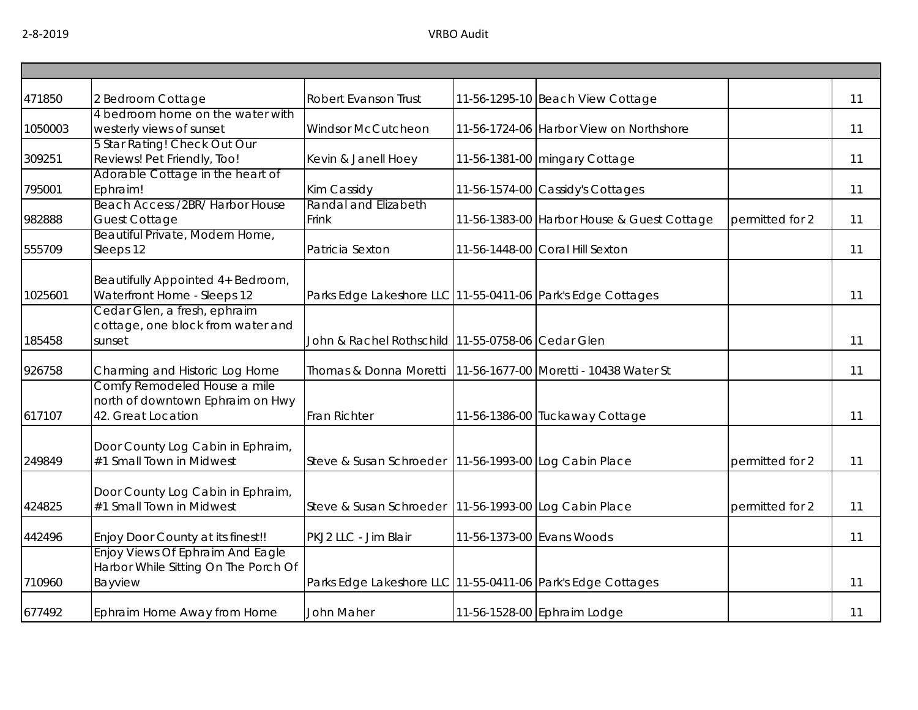| 471850  | 2 Bedroom Cottage                                                                      | Robert Evanson Trust                                              | 11-56-1295-10 Beach View Cottage           |                 | 11 |
|---------|----------------------------------------------------------------------------------------|-------------------------------------------------------------------|--------------------------------------------|-----------------|----|
| 1050003 | 4 bedroom home on the water with<br>westerly views of sunset                           | <b>Windsor McCutcheon</b>                                         | 11-56-1724-06 Harbor View on Northshore    |                 | 11 |
| 309251  | 5 Star Rating! Check Out Our<br>Reviews! Pet Friendly, Too!                            | Kevin & Janell Hoey                                               | 11-56-1381-00 mingary Cottage              |                 | 11 |
| 795001  | Adorable Cottage in the heart of<br>Ephraim!                                           | Kim Cassidy                                                       | 11-56-1574-00 Cassidy's Cottages           |                 | 11 |
| 982888  | Beach Access /2BR/ Harbor House<br><b>Guest Cottage</b>                                | Randal and Elizabeth<br>Frink                                     | 11-56-1383-00 Harbor House & Guest Cottage | permitted for 2 | 11 |
| 555709  | Beautiful Private, Modern Home,<br>Sleeps 12                                           | Patricia Sexton                                                   | 11-56-1448-00 Coral Hill Sexton            |                 | 11 |
| 1025601 | Beautifully Appointed 4+ Bedroom,<br>Waterfront Home - Sleeps 12                       | Parks Edge Lakeshore LLC 11-55-0411-06 Park's Edge Cottages       |                                            |                 | 11 |
| 185458  | Cedar Glen, a fresh, ephraim<br>cottage, one block from water and<br>sunset            | John & Rachel Rothschild 11-55-0758-06 Cedar Glen                 |                                            |                 | 11 |
| 926758  | Charming and Historic Log Home                                                         | Thomas & Donna Moretti   11-56-1677-00   Moretti - 10438 Water St |                                            |                 | 11 |
| 617107  | Comfy Remodeled House a mile<br>north of downtown Ephraim on Hwy<br>42. Great Location | Fran Richter                                                      | 11-56-1386-00 Tuckaway Cottage             |                 | 11 |
| 249849  | Door County Log Cabin in Ephraim,<br>#1 Small Town in Midwest                          | Steve & Susan Schroeder   11-56-1993-00 Log Cabin Place           |                                            | permitted for 2 | 11 |
| 424825  | Door County Log Cabin in Ephraim,<br>#1 Small Town in Midwest                          | Steve & Susan Schroeder   11-56-1993-00 Log Cabin Place           |                                            | permitted for 2 | 11 |
| 442496  | Enjoy Door County at its finest!!                                                      | PKJ2 LLC - Jim Blair                                              | 11-56-1373-00 Evans Woods                  |                 | 11 |
| 710960  | Enjoy Views Of Ephraim And Eagle<br>Harbor While Sitting On The Porch Of<br>Bayview    | Parks Edge Lakeshore LLC 11-55-0411-06 Park's Edge Cottages       |                                            |                 | 11 |
| 677492  | Ephraim Home Away from Home                                                            | John Maher                                                        | 11-56-1528-00 Ephraim Lodge                |                 | 11 |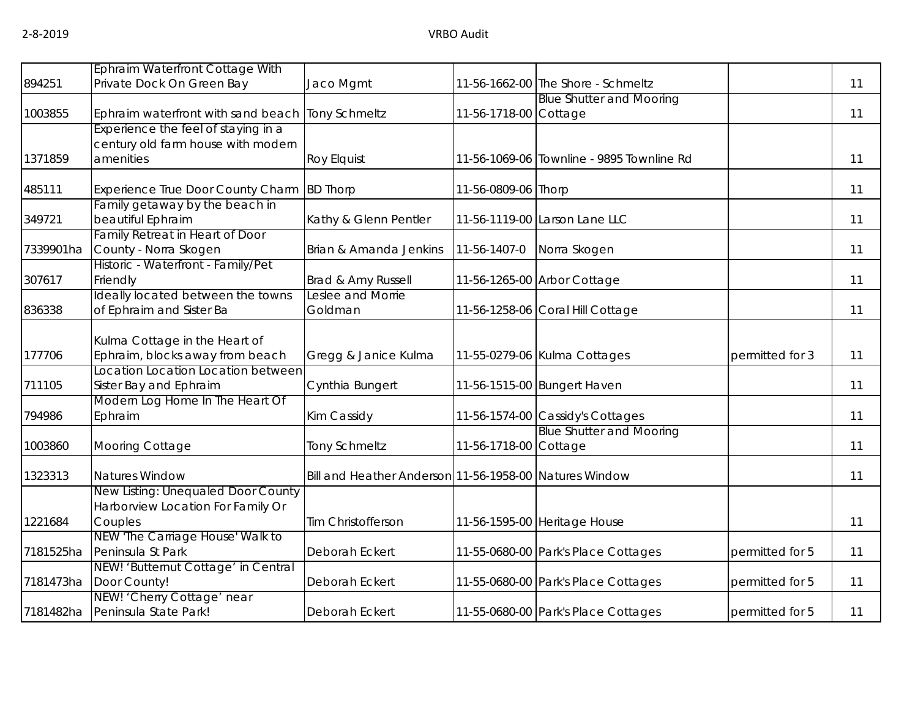|           | Ephraim Waterfront Cottage With                  |                                                        |                       |                                           |                 |    |
|-----------|--------------------------------------------------|--------------------------------------------------------|-----------------------|-------------------------------------------|-----------------|----|
| 894251    | Private Dock On Green Bay                        | Jaco Mgmt                                              |                       | 11-56-1662-00 The Shore - Schmeltz        |                 | 11 |
|           |                                                  |                                                        |                       | <b>Blue Shutter and Mooring</b>           |                 |    |
| 1003855   | Ephraim waterfront with sand beach Tony Schmeltz |                                                        | 11-56-1718-00 Cottage |                                           |                 | 11 |
|           | Experience the feel of staying in a              |                                                        |                       |                                           |                 |    |
|           | century old farm house with modern               |                                                        |                       |                                           |                 |    |
| 1371859   | amenities                                        | <b>Roy Elquist</b>                                     |                       | 11-56-1069-06 Townline - 9895 Townline Rd |                 | 11 |
| 485111    | Experience True Door County Charm BD Thorp       |                                                        | 11-56-0809-06 Thorp   |                                           |                 | 11 |
|           | Family getaway by the beach in                   |                                                        |                       |                                           |                 |    |
| 349721    | beautiful Ephraim                                | Kathy & Glenn Pentler                                  |                       | 11-56-1119-00 Larson Lane LLC             |                 | 11 |
|           | Family Retreat in Heart of Door                  |                                                        |                       |                                           |                 |    |
| 7339901ha | County - Norra Skogen                            | Brian & Amanda Jenkins                                 | 11-56-1407-0          | Norra Skogen                              |                 | 11 |
|           | Historic - Waterfront - Family/Pet               |                                                        |                       |                                           |                 |    |
| 307617    | Friendly                                         | Brad & Amy Russell                                     |                       | 11-56-1265-00 Arbor Cottage               |                 | 11 |
|           | Ideally located between the towns                | Leslee and Morrie                                      |                       |                                           |                 |    |
| 836338    | of Ephraim and Sister Ba                         | Goldman                                                |                       | 11-56-1258-06 Coral Hill Cottage          |                 | 11 |
|           |                                                  |                                                        |                       |                                           |                 |    |
|           | Kulma Cottage in the Heart of                    |                                                        |                       |                                           |                 |    |
| 177706    | Ephraim, blocks away from beach                  | Gregg & Janice Kulma                                   |                       | 11-55-0279-06 Kulma Cottages              | permitted for 3 | 11 |
|           | Location Location Location between               |                                                        |                       |                                           |                 |    |
| 711105    | Sister Bay and Ephraim                           | Cynthia Bungert                                        |                       | 11-56-1515-00 Bungert Haven               |                 | 11 |
|           | Modern Log Home In The Heart Of                  |                                                        |                       |                                           |                 |    |
| 794986    | Ephraim                                          | Kim Cassidy                                            |                       | 11-56-1574-00 Cassidy's Cottages          |                 | 11 |
|           |                                                  |                                                        |                       | <b>Blue Shutter and Mooring</b>           |                 |    |
| 1003860   | Mooring Cottage                                  | <b>Tony Schmeltz</b>                                   | 11-56-1718-00 Cottage |                                           |                 | 11 |
| 1323313   | <b>Natures Window</b>                            | Bill and Heather Anderson 11-56-1958-00 Natures Window |                       |                                           |                 | 11 |
|           | New Listing: Unequaled Door County               |                                                        |                       |                                           |                 |    |
|           | Harborview Location For Family Or                |                                                        |                       |                                           |                 |    |
| 1221684   | Couples                                          | Tim Christofferson                                     |                       | 11-56-1595-00 Heritage House              |                 | 11 |
|           | NEW 'The Carriage House' Walk to                 |                                                        |                       |                                           |                 |    |
| 7181525ha | Peninsula St Park                                | Deborah Eckert                                         |                       | 11-55-0680-00 Park's Place Cottages       | permitted for 5 | 11 |
|           | NEW! 'Butternut Cottage' in Central              |                                                        |                       |                                           |                 |    |
| 7181473ha | Door County!                                     | Deborah Eckert                                         |                       | 11-55-0680-00 Park's Place Cottages       | permitted for 5 | 11 |
|           | NEW! 'Cherry Cottage' near                       |                                                        |                       |                                           |                 |    |
| 7181482ha | Peninsula State Park!                            | Deborah Eckert                                         |                       | 11-55-0680-00 Park's Place Cottages       | permitted for 5 | 11 |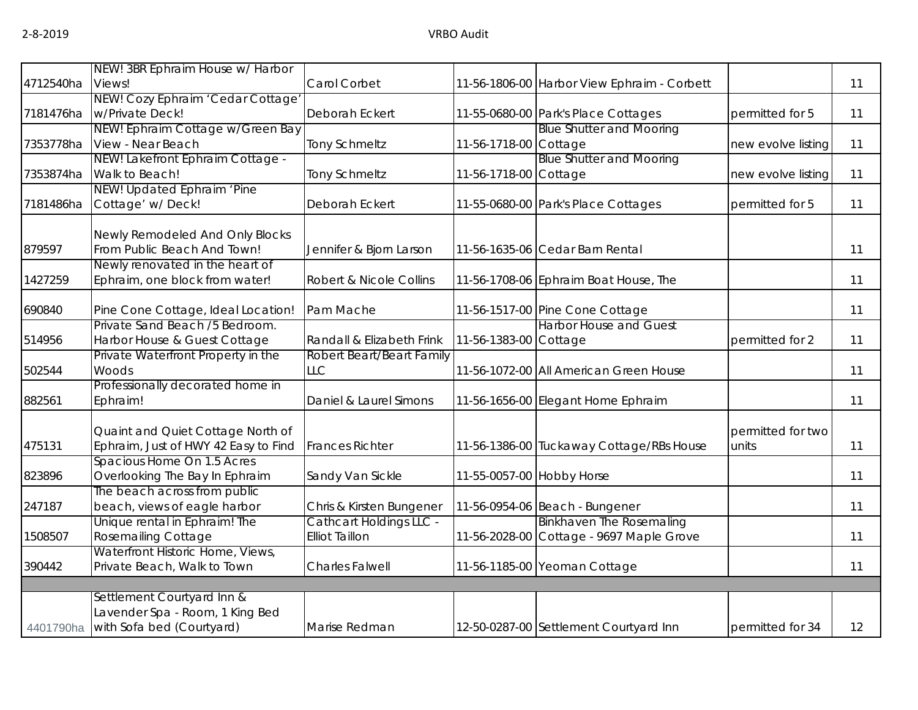|           | NEW! 3BR Ephraim House w/ Harbor     |                                |                           |                                             |                    |    |
|-----------|--------------------------------------|--------------------------------|---------------------------|---------------------------------------------|--------------------|----|
| 4712540ha | Views!                               | Carol Corbet                   |                           | 11-56-1806-00 Harbor View Ephraim - Corbett |                    | 11 |
|           | NEW! Cozy Ephraim 'Cedar Cottage'    |                                |                           |                                             |                    |    |
| 7181476ha | w/Private Deck!                      | Deborah Eckert                 |                           | 11-55-0680-00 Park's Place Cottages         | permitted for 5    | 11 |
|           | NEW! Ephraim Cottage w/Green Bay     |                                |                           | <b>Blue Shutter and Mooring</b>             |                    |    |
| 7353778ha | View - Near Beach                    | Tony Schmeltz                  | 11-56-1718-00 Cottage     |                                             | new evolve listing | 11 |
|           | NEW! Lakefront Ephraim Cottage -     |                                |                           | <b>Blue Shutter and Mooring</b>             |                    |    |
| 7353874ha | Walk to Beach!                       | Tony Schmeltz                  | 11-56-1718-00 Cottage     |                                             | new evolve listing | 11 |
|           | NEW! Updated Ephraim 'Pine           |                                |                           |                                             |                    |    |
| 7181486ha | Cottage' w/ Deck!                    | Deborah Eckert                 |                           | 11-55-0680-00 Park's Place Cottages         | permitted for 5    | 11 |
|           | Newly Remodeled And Only Blocks      |                                |                           |                                             |                    |    |
| 879597    | From Public Beach And Town!          | Jennifer & Bjorn Larson        |                           | 11-56-1635-06 Cedar Barn Rental             |                    | 11 |
|           | Newly renovated in the heart of      |                                |                           |                                             |                    |    |
| 1427259   | Ephraim, one block from water!       | Robert & Nicole Collins        |                           | 11-56-1708-06 Ephraim Boat House, The       |                    | 11 |
| 690840    | Pine Cone Cottage, Ideal Location!   | Pam Mache                      |                           | 11-56-1517-00 Pine Cone Cottage             |                    | 11 |
|           | Private Sand Beach /5 Bedroom.       |                                |                           | <b>Harbor House and Guest</b>               |                    |    |
| 514956    | Harbor House & Guest Cottage         | Randall & Elizabeth Frink      | 11-56-1383-00 Cottage     |                                             | permitted for 2    | 11 |
|           | Private Waterfront Property in the   | Robert Beart/Beart Family      |                           |                                             |                    |    |
| 502544    | Woods                                | <b>LLC</b>                     |                           | 11-56-1072-00 All American Green House      |                    | 11 |
|           | Professionally decorated home in     |                                |                           |                                             |                    |    |
| 882561    | Ephraim!                             | Daniel & Laurel Simons         |                           | 11-56-1656-00 Elegant Home Ephraim          |                    | 11 |
|           | Quaint and Quiet Cottage North of    |                                |                           |                                             | permitted for two  |    |
| 475131    | Ephraim, Just of HWY 42 Easy to Find | <b>Frances Richter</b>         |                           | 11-56-1386-00 Tuckaway Cottage/RBs House    | units              | 11 |
|           | Spacious Home On 1.5 Acres           |                                |                           |                                             |                    |    |
| 823896    | Overlooking The Bay In Ephraim       | Sandy Van Sickle               | 11-55-0057-00 Hobby Horse |                                             |                    | 11 |
|           | The beach across from public         |                                |                           |                                             |                    |    |
| 247187    | beach, views of eagle harbor         | Chris & Kirsten Bungener       |                           | 11-56-0954-06 Beach - Bungener              |                    | 11 |
|           | Unique rental in Ephraim! The        | <b>Cathcart Holdings LLC -</b> |                           | <b>Binkhaven The Rosemaling</b>             |                    |    |
| 1508507   | <b>Rosemailing Cottage</b>           | <b>Elliot Taillon</b>          |                           | 11-56-2028-00 Cottage - 9697 Maple Grove    |                    | 11 |
|           | Waterfront Historic Home, Views,     |                                |                           |                                             |                    |    |
| 390442    | Private Beach, Walk to Town          | <b>Charles Falwell</b>         |                           | 11-56-1185-00 Yeoman Cottage                |                    | 11 |
|           |                                      |                                |                           |                                             |                    |    |
|           | Settlement Courtyard Inn &           |                                |                           |                                             |                    |    |
|           | Lavender Spa - Room, 1 King Bed      |                                |                           |                                             |                    |    |
| 4401790ha | with Sofa bed (Courtyard)            | Marise Redman                  |                           | 12-50-0287-00 Settlement Courtyard Inn      | permitted for 34   | 12 |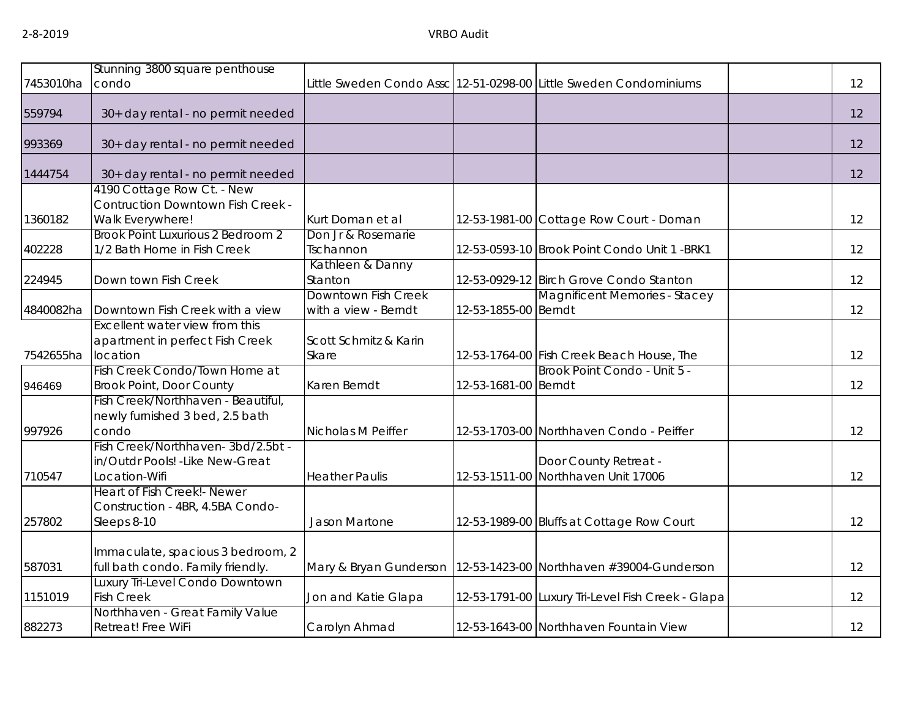|           | Stunning 3800 square penthouse                               |                             |                      |                                                                   |    |
|-----------|--------------------------------------------------------------|-----------------------------|----------------------|-------------------------------------------------------------------|----|
| 7453010ha | condo                                                        |                             |                      | Little Sweden Condo Assc 12-51-0298-00 Little Sweden Condominiums | 12 |
|           |                                                              |                             |                      |                                                                   |    |
| 559794    | 30+ day rental - no permit needed                            |                             |                      |                                                                   | 12 |
| 993369    | 30+ day rental - no permit needed                            |                             |                      |                                                                   | 12 |
| 1444754   | 30+ day rental - no permit needed                            |                             |                      |                                                                   | 12 |
|           | 4190 Cottage Row Ct. - New                                   |                             |                      |                                                                   |    |
| 1360182   | <b>Contruction Downtown Fish Creek -</b><br>Walk Everywhere! | Kurt Doman et al            |                      | 12-53-1981-00 Cottage Row Court - Doman                           | 12 |
|           | Brook Point Luxurious 2 Bedroom 2                            | Don Jr & Rosemarie          |                      |                                                                   |    |
| 402228    | 1/2 Bath Home in Fish Creek                                  | Tschannon                   |                      | 12-53-0593-10 Brook Point Condo Unit 1 -BRK1                      | 12 |
| 224945    | Down town Fish Creek                                         | Kathleen & Danny<br>Stanton |                      | 12-53-0929-12 Birch Grove Condo Stanton                           | 12 |
|           |                                                              | Downtown Fish Creek         |                      | <b>Magnificent Memories - Stacey</b>                              |    |
| 4840082ha | Downtown Fish Creek with a view                              | with a view - Berndt        | 12-53-1855-00 Berndt |                                                                   | 12 |
|           | Excellent water view from this                               |                             |                      |                                                                   |    |
|           | apartment in perfect Fish Creek                              | Scott Schmitz & Karin       |                      |                                                                   |    |
| 7542655ha | location                                                     | Skare                       |                      | 12-53-1764-00 Fish Creek Beach House, The                         | 12 |
|           | Fish Creek Condo/Town Home at                                |                             |                      | Brook Point Condo - Unit 5 -                                      |    |
| 946469    | <b>Brook Point, Door County</b>                              | Karen Berndt                | 12-53-1681-00 Berndt |                                                                   | 12 |
|           | Fish Creek/Northhaven - Beautiful,                           |                             |                      |                                                                   |    |
|           | newly furnished 3 bed, 2.5 bath                              |                             |                      |                                                                   |    |
| 997926    | condo<br>Fish Creek/Northhaven-3bd/2.5bt -                   | Nicholas M Peiffer          |                      | 12-53-1703-00 Northhaven Condo - Peiffer                          | 12 |
|           | in/Outdr Pools! - Like New-Great                             |                             |                      | Door County Retreat -                                             |    |
| 710547    | Location-Wifi                                                | <b>Heather Paulis</b>       |                      | 12-53-1511-00 Northhaven Unit 17006                               | 12 |
|           | Heart of Fish Creek! - Newer                                 |                             |                      |                                                                   |    |
|           | Construction - 4BR, 4.5BA Condo-                             |                             |                      |                                                                   |    |
| 257802    | Sleeps 8-10                                                  | <b>Jason Martone</b>        |                      | 12-53-1989-00 Bluffs at Cottage Row Court                         | 12 |
|           |                                                              |                             |                      |                                                                   |    |
|           | Immaculate, spacious 3 bedroom, 2                            |                             |                      |                                                                   |    |
| 587031    | full bath condo. Family friendly.                            | Mary & Bryan Gunderson      |                      | 12-53-1423-00 Northhaven #39004-Gunderson                         | 12 |
|           | Luxury Tri-Level Condo Downtown                              |                             |                      |                                                                   |    |
| 1151019   | <b>Fish Creek</b>                                            | Jon and Katie Glapa         |                      | 12-53-1791-00 Luxury Tri-Level Fish Creek - Glapa                 | 12 |
|           | Northhaven - Great Family Value                              |                             |                      |                                                                   |    |
| 882273    | Retreat! Free WiFi                                           | Carolyn Ahmad               |                      | 12-53-1643-00 Northhaven Fountain View                            | 12 |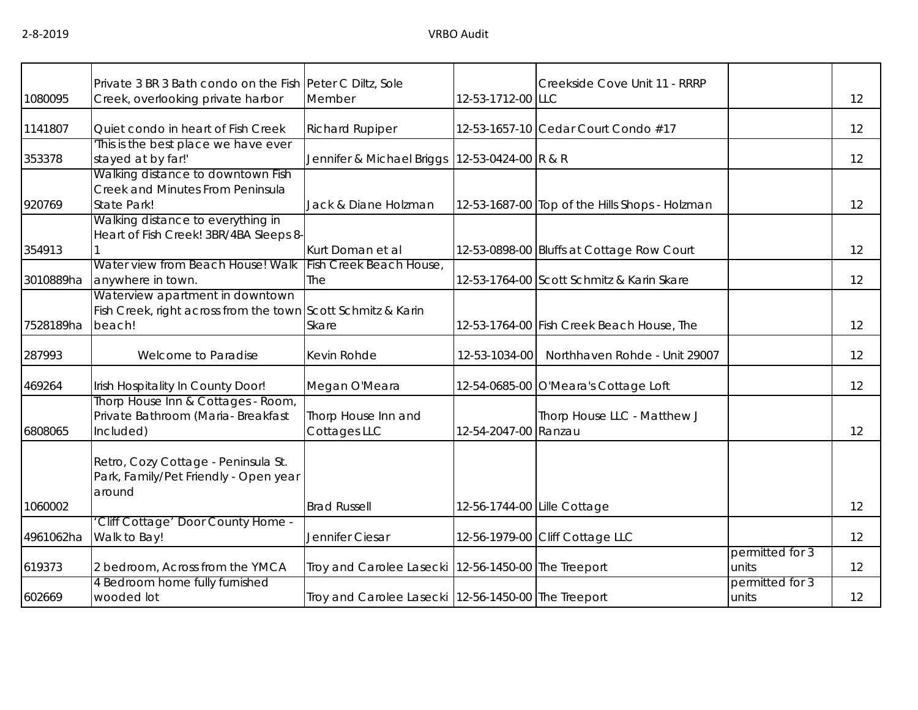|           | Private 3 BR 3 Bath condo on the Fish Peter C Diltz, Sole    |                                                     |                             | Creekside Cove Unit 11 - RRRP                  |                 |    |
|-----------|--------------------------------------------------------------|-----------------------------------------------------|-----------------------------|------------------------------------------------|-----------------|----|
| 1080095   | Creek, overlooking private harbor                            | Member                                              | 12-53-1712-00 LLC           |                                                |                 | 12 |
|           |                                                              |                                                     |                             |                                                |                 |    |
| 1141807   | Quiet condo in heart of Fish Creek                           | <b>Richard Rupiper</b>                              |                             | 12-53-1657-10 Cedar Court Condo #17            |                 | 12 |
|           | This is the best place we have ever                          |                                                     |                             |                                                |                 |    |
| 353378    | stayed at by far!'                                           | Jennifer & Michael Briggs                           | 12-53-0424-00 R & R         |                                                |                 | 12 |
|           | Walking distance to downtown Fish                            |                                                     |                             |                                                |                 |    |
|           | Creek and Minutes From Peninsula                             |                                                     |                             |                                                |                 |    |
| 920769    | State Park!                                                  | Jack & Diane Holzman                                |                             | 12-53-1687-00 Top of the Hills Shops - Holzman |                 | 12 |
|           | Walking distance to everything in                            |                                                     |                             |                                                |                 |    |
|           | Heart of Fish Creek! 3BR/4BA Sleeps 8-                       |                                                     |                             |                                                |                 |    |
| 354913    |                                                              | Kurt Doman et al                                    |                             | 12-53-0898-00 Bluffs at Cottage Row Court      |                 | 12 |
|           | Water view from Beach House! Walk                            | Fish Creek Beach House,                             |                             |                                                |                 |    |
| 3010889ha | anywhere in town.                                            | The                                                 |                             | 12-53-1764-00 Scott Schmitz & Karin Skare      |                 | 12 |
|           | Waterview apartment in downtown                              |                                                     |                             |                                                |                 |    |
|           | Fish Creek, right across from the town Scott Schmitz & Karin |                                                     |                             |                                                |                 |    |
| 7528189ha | beach!                                                       | Skare                                               |                             | 12-53-1764-00 Fish Creek Beach House, The      |                 | 12 |
|           |                                                              |                                                     |                             |                                                |                 |    |
| 287993    | Welcome to Paradise                                          | Kevin Rohde                                         | 12-53-1034-00               | Northhaven Rohde - Unit 29007                  |                 | 12 |
| 469264    | Irish Hospitality In County Door!                            | Megan O'Meara                                       |                             | 12-54-0685-00 O'Meara's Cottage Loft           |                 | 12 |
|           | Thorp House Inn & Cottages - Room,                           |                                                     |                             |                                                |                 |    |
|           | Private Bathroom (Maria- Breakfast                           | Thorp House Inn and                                 |                             | Thorp House LLC - Matthew J                    |                 |    |
| 6808065   | Included)                                                    | Cottages LLC                                        | 12-54-2047-00 Ranzau        |                                                |                 | 12 |
|           |                                                              |                                                     |                             |                                                |                 |    |
|           | Retro, Cozy Cottage - Peninsula St.                          |                                                     |                             |                                                |                 |    |
|           | Park, Family/Pet Friendly - Open year                        |                                                     |                             |                                                |                 |    |
|           | around                                                       |                                                     |                             |                                                |                 |    |
| 1060002   |                                                              | <b>Brad Russell</b>                                 | 12-56-1744-00 Lille Cottage |                                                |                 | 12 |
|           | 'Cliff Cottage' Door County Home -                           |                                                     |                             |                                                |                 |    |
| 4961062ha | Walk to Bay!                                                 | Jennifer Ciesar                                     |                             | 12-56-1979-00 Cliff Cottage LLC                |                 | 12 |
|           |                                                              |                                                     |                             |                                                | permitted for 3 |    |
| 619373    | 2 bedroom, Across from the YMCA                              | Troy and Carolee Lasecki 12-56-1450-00 The Treeport |                             |                                                | units           | 12 |
|           | 4 Bedroom home fully furnished                               |                                                     |                             |                                                | permitted for 3 |    |
| 602669    | wooded lot                                                   | Troy and Carolee Lasecki 12-56-1450-00 The Treeport |                             |                                                | units           | 12 |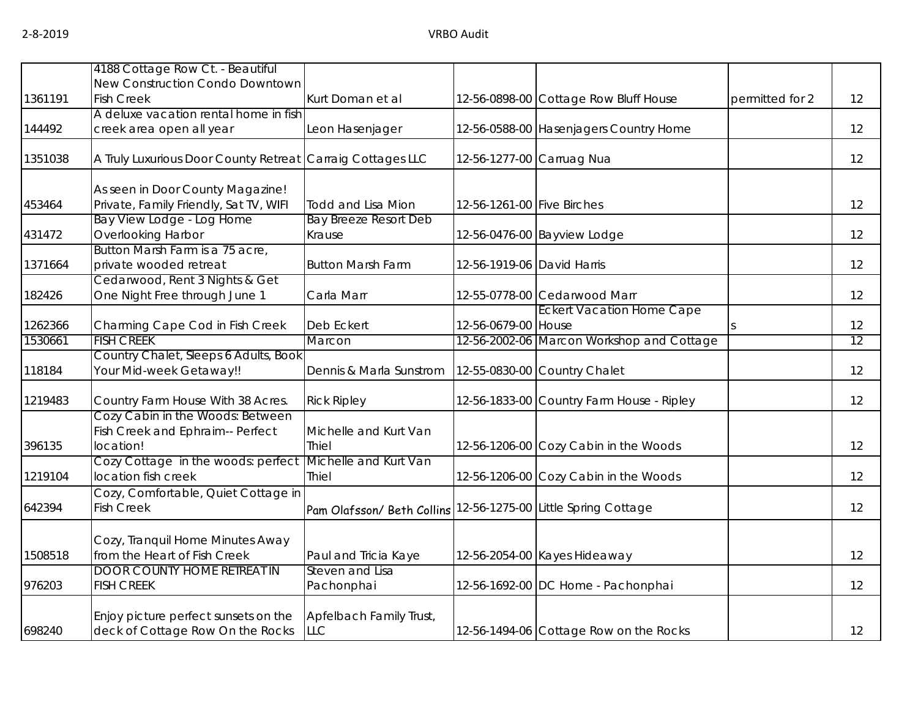|         | 4188 Cottage Row Ct. - Beautiful                                                  |                                       |                            |                                           |                 |    |
|---------|-----------------------------------------------------------------------------------|---------------------------------------|----------------------------|-------------------------------------------|-----------------|----|
|         | New Construction Condo Downtown                                                   |                                       |                            |                                           |                 |    |
| 1361191 | <b>Fish Creek</b>                                                                 | Kurt Doman et al                      |                            | 12-56-0898-00 Cottage Row Bluff House     | permitted for 2 | 12 |
|         | A deluxe vacation rental home in fish                                             |                                       |                            |                                           |                 |    |
| 144492  | creek area open all year                                                          | Leon Hasenjager                       |                            | 12-56-0588-00 Hasenjagers Country Home    |                 | 12 |
| 1351038 | A Truly Luxurious Door County Retreat                                             | Carraig Cottages LLC                  | 12-56-1277-00 Carruag Nua  |                                           |                 | 12 |
| 453464  | As seen in Door County Magazine!<br>Private, Family Friendly, Sat TV, WIFI        | <b>Todd and Lisa Mion</b>             | 12-56-1261-00 Five Birches |                                           |                 | 12 |
|         | Bay View Lodge - Log Home                                                         | <b>Bay Breeze Resort Deb</b>          |                            |                                           |                 |    |
| 431472  | Overlooking Harbor                                                                | Krause                                |                            | 12-56-0476-00 Bayview Lodge               |                 | 12 |
| 1371664 | Button Marsh Farm is a 75 acre,<br>private wooded retreat                         | <b>Button Marsh Farm</b>              | 12-56-1919-06 David Harris |                                           |                 | 12 |
| 182426  | Cedarwood, Rent 3 Nights & Get<br>One Night Free through June 1                   | Carla Marr                            |                            | 12-55-0778-00 Cedarwood Marr              |                 | 12 |
| 1262366 | Charming Cape Cod in Fish Creek                                                   | Deb Eckert                            | 12-56-0679-00 House        | <b>Eckert Vacation Home Cape</b>          |                 | 12 |
| 1530661 | <b>FISH CREEK</b>                                                                 | Marcon                                |                            | 12-56-2002-06 Marcon Workshop and Cottage |                 | 12 |
| 118184  | Country Chalet, Sleeps 6 Adults, Book<br>Your Mid-week Getaway!!                  | Dennis & Marla Sunstrom               |                            | 12-55-0830-00 Country Chalet              |                 | 12 |
| 1219483 | Country Farm House With 38 Acres.                                                 | <b>Rick Ripley</b>                    |                            | 12-56-1833-00 Country Farm House - Ripley |                 | 12 |
| 396135  | Cozy Cabin in the Woods: Between<br>Fish Creek and Ephraim-- Perfect<br>location! | Michelle and Kurt Van<br><b>Thiel</b> |                            | 12-56-1206-00 Cozy Cabin in the Woods     |                 | 12 |
| 1219104 | Cozy Cottage in the woods: perfect<br>location fish creek                         | Michelle and Kurt Van<br>Thiel        |                            | 12-56-1206-00 Cozy Cabin in the Woods     |                 | 12 |
| 642394  | Cozy, Comfortable, Quiet Cottage in<br><b>Fish Creek</b>                          | Pam Olafsson/ Beth Collins            |                            | 12-56-1275-00 Little Spring Cottage       |                 | 12 |
| 1508518 | Cozy, Tranquil Home Minutes Away<br>from the Heart of Fish Creek                  | Paul and Tricia Kaye                  |                            | 12-56-2054-00 Kayes Hideaway              |                 | 12 |
| 976203  | <b>DOOR COUNTY HOME RETREAT IN</b><br><b>FISH CREEK</b>                           | Steven and Lisa<br>Pachonphai         |                            | 12-56-1692-00 DC Home - Pachonphai        |                 | 12 |
| 698240  | Enjoy picture perfect sunsets on the<br>deck of Cottage Row On the Rocks          | Apfelbach Family Trust,<br><b>LLC</b> |                            | 12-56-1494-06 Cottage Row on the Rocks    |                 | 12 |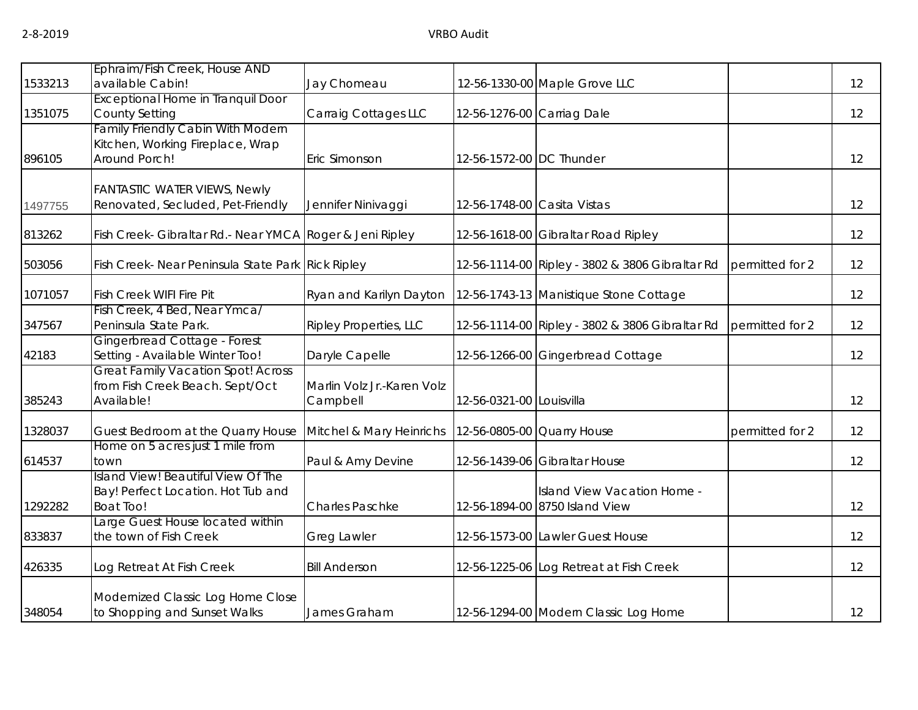|         | Ephraim/Fish Creek, House AND                                                                 |                                        |                             |                                                               |                 |                   |
|---------|-----------------------------------------------------------------------------------------------|----------------------------------------|-----------------------------|---------------------------------------------------------------|-----------------|-------------------|
| 1533213 | available Cabin!                                                                              | Jay Chomeau                            |                             | 12-56-1330-00 Maple Grove LLC                                 |                 | 12                |
| 1351075 | <b>Exceptional Home in Tranquil Door</b><br><b>County Setting</b>                             | Carraig Cottages LLC                   |                             | 12-56-1276-00 Carriag Dale                                    |                 | 12                |
| 896105  | <b>Family Friendly Cabin With Modern</b><br>Kitchen, Working Fireplace, Wrap<br>Around Porch! | Eric Simonson                          | 12-56-1572-00 DC Thunder    |                                                               |                 | 12                |
| 1497755 | <b>FANTASTIC WATER VIEWS, Newly</b><br>Renovated, Secluded, Pet-Friendly                      | Jennifer Ninivaggi                     | 12-56-1748-00 Casita Vistas |                                                               |                 | 12                |
| 813262  | Fish Creek- Gibraltar Rd.- Near YMCA Roger & Jeni Ripley                                      |                                        |                             | 12-56-1618-00 Gibraltar Road Ripley                           |                 | 12                |
| 503056  | Fish Creek- Near Peninsula State Park Rick Ripley                                             |                                        |                             | 12-56-1114-00 Ripley - 3802 & 3806 Gibraltar Rd               | permitted for 2 | 12                |
| 1071057 | Fish Creek WIFI Fire Pit                                                                      | Ryan and Karilyn Dayton                |                             | 12-56-1743-13 Manistique Stone Cottage                        |                 | 12                |
| 347567  | Fish Creek, 4 Bed, Near Ymca/<br>Peninsula State Park.                                        | <b>Ripley Properties, LLC</b>          |                             | 12-56-1114-00 Ripley - 3802 & 3806 Gibraltar Rd               | permitted for 2 | 12                |
| 42183   | Gingerbread Cottage - Forest<br>Setting - Available Winter Too!                               | Daryle Capelle                         |                             | 12-56-1266-00 Gingerbread Cottage                             |                 | 12                |
| 385243  | <b>Great Family Vacation Spot! Across</b><br>from Fish Creek Beach. Sept/Oct<br>Available!    | Marlin Volz Jr.-Karen Volz<br>Campbell | 12-56-0321-00 Louisvilla    |                                                               |                 | 12                |
| 1328037 | Guest Bedroom at the Quarry House                                                             | Mitchel & Mary Heinrichs               |                             | 12-56-0805-00 Quarry House                                    | permitted for 2 | 12                |
| 614537  | Home on 5 acres just 1 mile from<br>town                                                      | Paul & Amy Devine                      |                             | 12-56-1439-06 Gibraltar House                                 |                 | 12                |
| 1292282 | Island View! Beautiful View Of The<br>Bay! Perfect Location. Hot Tub and<br>Boat Too!         | <b>Charles Paschke</b>                 |                             | Island View Vacation Home -<br>12-56-1894-00 8750 Island View |                 | 12                |
| 833837  | Large Guest House located within<br>the town of Fish Creek                                    | <b>Greg Lawler</b>                     |                             | 12-56-1573-00 Lawler Guest House                              |                 | 12                |
| 426335  | Log Retreat At Fish Creek                                                                     | <b>Bill Anderson</b>                   |                             | 12-56-1225-06 Log Retreat at Fish Creek                       |                 | 12                |
| 348054  | Modernized Classic Log Home Close<br>to Shopping and Sunset Walks                             | James Graham                           |                             | 12-56-1294-00 Modern Classic Log Home                         |                 | $12 \overline{ }$ |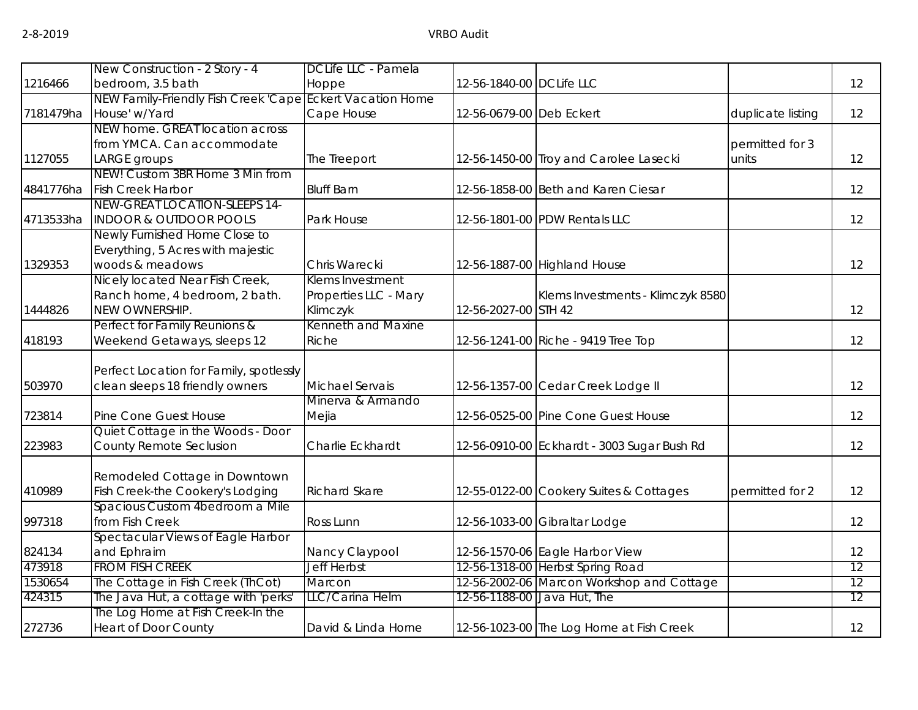|           | New Construction - 2 Story - 4                            | DCLife LLC - Pamela   |                          |                                             |                   |    |
|-----------|-----------------------------------------------------------|-----------------------|--------------------------|---------------------------------------------|-------------------|----|
| 1216466   | bedroom, 3.5 bath                                         | Hoppe                 | 12-56-1840-00 DCLife LLC |                                             |                   | 12 |
|           | NEW Family-Friendly Fish Creek 'Cape Eckert Vacation Home |                       |                          |                                             |                   |    |
| 7181479ha | House' w/Yard                                             | Cape House            | 12-56-0679-00 Deb Eckert |                                             | duplicate listing | 12 |
|           | NEW home. GREAT location across                           |                       |                          |                                             |                   |    |
|           | from YMCA. Can accommodate                                |                       |                          |                                             | permitted for 3   |    |
| 1127055   | LARGE groups                                              | The Treeport          |                          | 12-56-1450-00 Troy and Carolee Lasecki      | units             | 12 |
|           | NEW! Custom 3BR Home 3 Min from                           |                       |                          |                                             |                   |    |
| 4841776ha | <b>Fish Creek Harbor</b>                                  | <b>Bluff Barn</b>     |                          | 12-56-1858-00 Beth and Karen Ciesar         |                   | 12 |
|           | NEW-GREAT LOCATION-SLEEPS 14-                             |                       |                          |                                             |                   |    |
| 4713533ha | <b>INDOOR &amp; OUTDOOR POOLS</b>                         | Park House            |                          | 12-56-1801-00 PDW Rentals LLC               |                   | 12 |
|           | Newly Furnished Home Close to                             |                       |                          |                                             |                   |    |
|           | Everything, 5 Acres with majestic                         |                       |                          |                                             |                   |    |
| 1329353   | woods & meadows                                           | Chris Warecki         |                          | 12-56-1887-00 Highland House                |                   | 12 |
|           | Nicely located Near Fish Creek,                           | Klems Investment      |                          |                                             |                   |    |
|           | Ranch home, 4 bedroom, 2 bath.                            | Properties LLC - Mary |                          | Klems Investments - Klimczyk 8580           |                   |    |
| 1444826   | NEW OWNERSHIP.                                            | Klimczyk              | 12-56-2027-00 STH 42     |                                             |                   | 12 |
|           | Perfect for Family Reunions &                             | Kenneth and Maxine    |                          |                                             |                   |    |
| 418193    | Weekend Getaways, sleeps 12                               | Riche                 |                          | 12-56-1241-00 Riche - 9419 Tree Top         |                   | 12 |
|           |                                                           |                       |                          |                                             |                   |    |
|           | Perfect Location for Family, spotlessly                   |                       |                          |                                             |                   |    |
| 503970    | clean sleeps 18 friendly owners                           | Michael Servais       |                          | 12-56-1357-00 Cedar Creek Lodge II          |                   | 12 |
|           |                                                           | Minerva & Armando     |                          |                                             |                   |    |
| 723814    | Pine Cone Guest House                                     | Mejia                 |                          | 12-56-0525-00 Pine Cone Guest House         |                   | 12 |
|           | Quiet Cottage in the Woods - Door                         | Charlie Eckhardt      |                          |                                             |                   | 12 |
| 223983    | County Remote Seclusion                                   |                       |                          | 12-56-0910-00 Eckhardt - 3003 Sugar Bush Rd |                   |    |
|           | Remodeled Cottage in Downtown                             |                       |                          |                                             |                   |    |
| 410989    | Fish Creek-the Cookery's Lodging                          | <b>Richard Skare</b>  |                          | 12-55-0122-00 Cookery Suites & Cottages     | permitted for 2   | 12 |
|           | Spacious Custom 4bedroom a Mile                           |                       |                          |                                             |                   |    |
| 997318    | from Fish Creek                                           | Ross Lunn             |                          | 12-56-1033-00 Gibraltar Lodge               |                   | 12 |
|           | Spectacular Views of Eagle Harbor                         |                       |                          |                                             |                   |    |
| 824134    | and Ephraim                                               | Nancy Claypool        |                          | 12-56-1570-06 Eagle Harbor View             |                   | 12 |
| 473918    | <b>FROM FISH CREEK</b>                                    | <b>Jeff Herbst</b>    |                          | 12-56-1318-00 Herbst Spring Road            |                   | 12 |
| 1530654   | The Cottage in Fish Creek (ThCot)                         | Marcon                |                          | 12-56-2002-06 Marcon Workshop and Cottage   |                   | 12 |
| 424315    | The Java Hut, a cottage with 'perks'                      | LLC/Carina Helm       |                          | 12-56-1188-00 Java Hut, The                 |                   | 12 |
|           | The Log Home at Fish Creek-In the                         |                       |                          |                                             |                   |    |
| 272736    | <b>Heart of Door County</b>                               | David & Linda Horne   |                          | 12-56-1023-00 The Log Home at Fish Creek    |                   | 12 |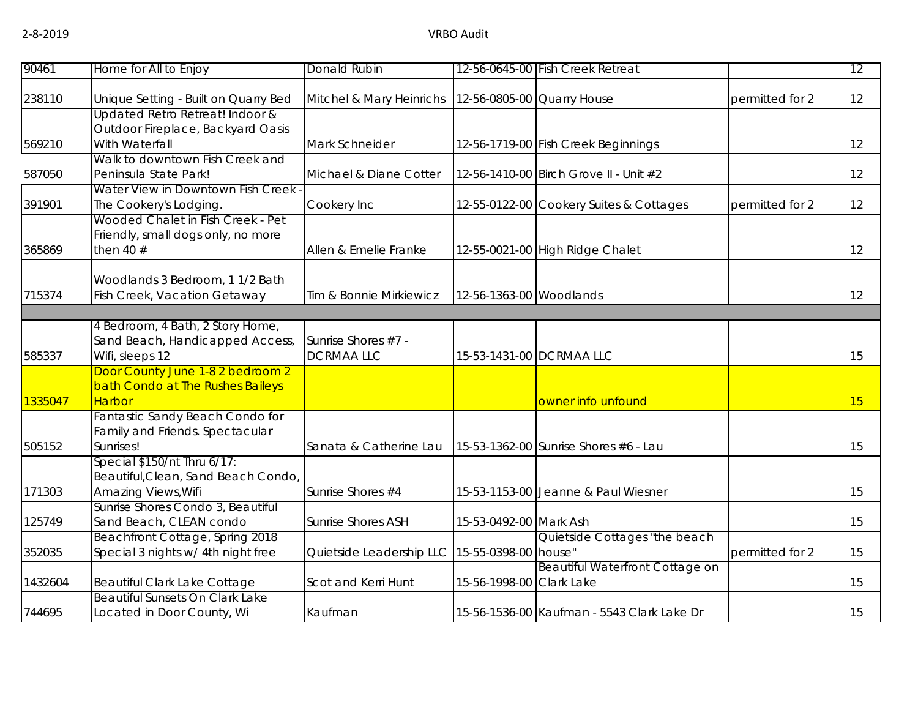| 90461   | Home for All to Enjoy                                                                            | Donald Rubin                            |                          | 12-56-0645-00 Fish Creek Retreat           |                 | 12 |
|---------|--------------------------------------------------------------------------------------------------|-----------------------------------------|--------------------------|--------------------------------------------|-----------------|----|
| 238110  | Unique Setting - Built on Quarry Bed                                                             | Mitchel & Mary Heinrichs                |                          | 12-56-0805-00 Quarry House                 | permitted for 2 | 12 |
| 569210  | Updated Retro Retreat! Indoor &<br>Outdoor Fireplace, Backyard Oasis<br>With Waterfall           | Mark Schneider                          |                          | 12-56-1719-00 Fish Creek Beginnings        |                 | 12 |
| 587050  | Walk to downtown Fish Creek and<br>Peninsula State Park!                                         | Michael & Diane Cotter                  |                          | 12-56-1410-00 Birch Grove II - Unit #2     |                 | 12 |
| 391901  | Water View in Downtown Fish Creek<br>The Cookery's Lodging.<br>Wooded Chalet in Fish Creek - Pet | Cookery Inc                             |                          | 12-55-0122-00 Cookery Suites & Cottages    | permitted for 2 | 12 |
| 365869  | Friendly, small dogs only, no more<br>then 40 $#$                                                | Allen & Emelie Franke                   |                          | 12-55-0021-00 High Ridge Chalet            |                 | 12 |
| 715374  | Woodlands 3 Bedroom, 1 1/2 Bath<br>Fish Creek, Vacation Getaway                                  | Tim & Bonnie Mirkiewicz                 | 12-56-1363-00 Woodlands  |                                            |                 | 12 |
|         | 4 Bedroom, 4 Bath, 2 Story Home,                                                                 |                                         |                          |                                            |                 |    |
| 585337  | Sand Beach, Handicapped Access,<br>Wifi, sleeps 12                                               | Sunrise Shores #7 -<br><b>DCRMAALLC</b> |                          | 15-53-1431-00 DCRMAA LLC                   |                 | 15 |
| 1335047 | Door County June 1-8 2 bedroom 2<br>bath Condo at The Rushes Baileys<br><b>Harbor</b>            |                                         |                          | owner info unfound                         |                 | 15 |
| 505152  | Fantastic Sandy Beach Condo for<br>Family and Friends. Spectacular<br>Sunrises!                  | Sanata & Catherine Lau                  |                          | 15-53-1362-00 Sunrise Shores #6 - Lau      |                 | 15 |
| 171303  | Special \$150/nt Thru 6/17:<br>Beautiful, Clean, Sand Beach Condo,<br>Amazing Views, Wifi        | Sunrise Shores #4                       |                          | 15-53-1153-00 Jeanne & Paul Wiesner        |                 | 15 |
| 125749  | Sunrise Shores Condo 3, Beautiful<br>Sand Beach, CLEAN condo                                     | <b>Sunrise Shores ASH</b>               | 15-53-0492-00 Mark Ash   |                                            |                 | 15 |
| 352035  | Beachfront Cottage, Spring 2018<br>Special 3 nights w/ 4th night free                            | Quietside Leadership LLC                | 15-55-0398-00 house"     | Quietside Cottages "the beach              | permitted for 2 | 15 |
| 1432604 | <b>Beautiful Clark Lake Cottage</b>                                                              | Scot and Kerri Hunt                     | 15-56-1998-00 Clark Lake | <b>Beautiful Waterfront Cottage on</b>     |                 | 15 |
| 744695  | <b>Beautiful Sunsets On Clark Lake</b><br>Located in Door County, Wi                             | Kaufman                                 |                          | 15-56-1536-00 Kaufman - 5543 Clark Lake Dr |                 | 15 |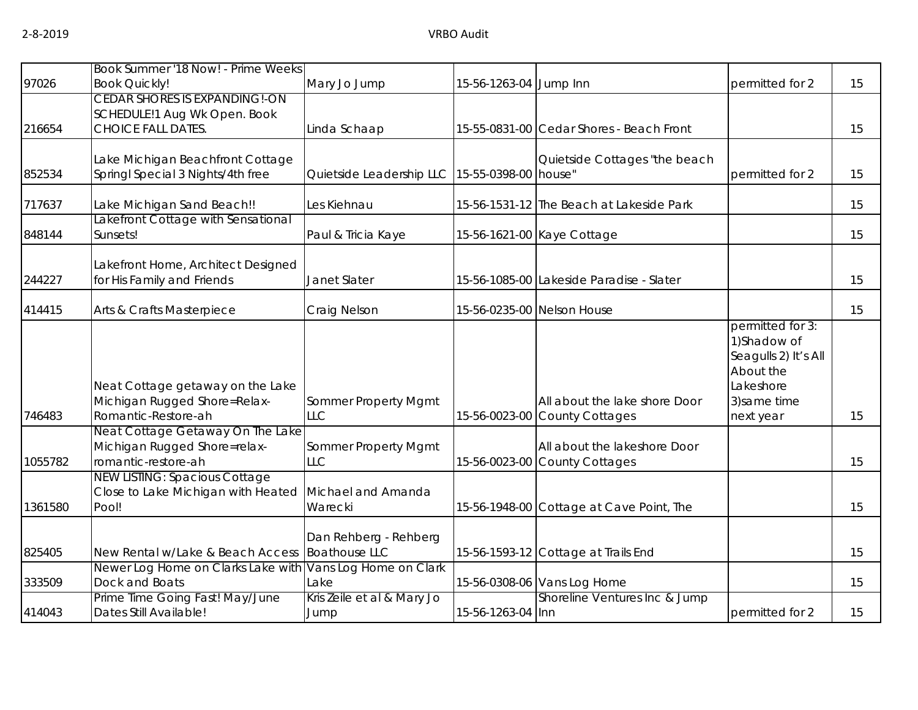|         | Book Summer '18 Now! - Prime Weeks                               |                                               |                        |                                          |                                                                                   |    |
|---------|------------------------------------------------------------------|-----------------------------------------------|------------------------|------------------------------------------|-----------------------------------------------------------------------------------|----|
| 97026   | <b>Book Quickly!</b>                                             | Mary Jo Jump                                  | 15-56-1263-04 Jump Inn |                                          | permitted for 2                                                                   | 15 |
|         | <b>CEDAR SHORES IS EXPANDING!-ON</b>                             |                                               |                        |                                          |                                                                                   |    |
|         | SCHEDULE!1 Aug Wk Open. Book                                     |                                               |                        |                                          |                                                                                   |    |
| 216654  | <b>CHOICE FALL DATES</b>                                         | Linda Schaap                                  |                        | 15-55-0831-00 Cedar Shores - Beach Front |                                                                                   | 15 |
|         |                                                                  |                                               |                        |                                          |                                                                                   |    |
|         | Lake Michigan Beachfront Cottage                                 |                                               |                        | Quietside Cottages "the beach            |                                                                                   |    |
| 852534  | Springl Special 3 Nights/4th free                                | Quietside Leadership LLC 15-55-0398-00 house" |                        |                                          | permitted for 2                                                                   | 15 |
| 717637  | Lake Michigan Sand Beach!!                                       | Les Kiehnau                                   |                        | 15-56-1531-12 The Beach at Lakeside Park |                                                                                   | 15 |
|         | akefront Cottage with Sensational                                |                                               |                        |                                          |                                                                                   |    |
| 848144  | Sunsets!                                                         | Paul & Tricia Kaye                            |                        | 15-56-1621-00 Kaye Cottage               |                                                                                   | 15 |
|         |                                                                  |                                               |                        |                                          |                                                                                   |    |
| 244227  | Lakefront Home, Architect Designed<br>for His Family and Friends | Janet Slater                                  |                        | 15-56-1085-00 Lakeside Paradise - Slater |                                                                                   | 15 |
|         |                                                                  |                                               |                        |                                          |                                                                                   |    |
| 414415  | Arts & Crafts Masterpiece                                        | Craig Nelson                                  |                        | 15-56-0235-00 Nelson House               |                                                                                   | 15 |
|         | Neat Cottage getaway on the Lake                                 |                                               |                        |                                          | permitted for 3:<br>1)Shadow of<br>Seagulls 2) It's All<br>About the<br>Lakeshore |    |
|         | Michigan Rugged Shore=Relax-                                     | Sommer Property Mgmt                          |                        | All about the lake shore Door            | 3) same time                                                                      |    |
| 746483  | Romantic-Restore-ah                                              | <b>LLC</b>                                    |                        | 15-56-0023-00 County Cottages            | next year                                                                         | 15 |
|         | Neat Cottage Getaway On The Lake                                 |                                               |                        |                                          |                                                                                   |    |
|         | Michigan Rugged Shore=relax-                                     | Sommer Property Mgmt                          |                        | All about the lakeshore Door             |                                                                                   |    |
| 1055782 | romantic-restore-ah                                              | <b>LLC</b>                                    |                        | 15-56-0023-00 County Cottages            |                                                                                   | 15 |
|         | <b>NEW LISTING: Spacious Cottage</b>                             |                                               |                        |                                          |                                                                                   |    |
|         | Close to Lake Michigan with Heated                               | Michael and Amanda                            |                        |                                          |                                                                                   |    |
| 1361580 | Pool!                                                            | Warecki                                       |                        | 15-56-1948-00 Cottage at Cave Point, The |                                                                                   | 15 |
|         |                                                                  | Dan Rehberg - Rehberg                         |                        |                                          |                                                                                   |    |
| 825405  | New Rental w/Lake & Beach Access                                 | <b>Boathouse LLC</b>                          |                        | 15-56-1593-12 Cottage at Trails End      |                                                                                   | 15 |
|         | Newer Log Home on Clarks Lake with                               | Vans Log Home on Clark                        |                        |                                          |                                                                                   |    |
| 333509  | Dock and Boats                                                   | Lake                                          |                        | 15-56-0308-06 Vans Log Home              |                                                                                   | 15 |
|         | Prime Time Going Fast! May/June                                  | Kris Zeile et al & Mary Jo                    |                        | Shoreline Ventures Inc & Jump            |                                                                                   |    |
| 414043  | Dates Still Available!                                           | Jump                                          | 15-56-1263-04 Inn      |                                          | permitted for 2                                                                   | 15 |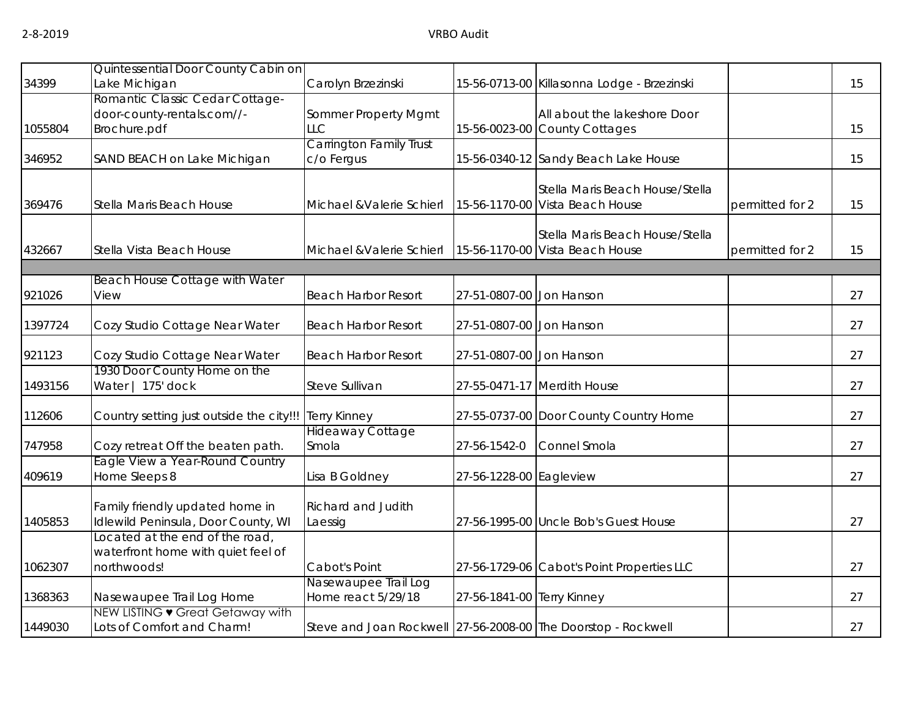|         | Quintessential Door County Cabin on                                                  |                                                               |                            |                                                                    |                 |    |
|---------|--------------------------------------------------------------------------------------|---------------------------------------------------------------|----------------------------|--------------------------------------------------------------------|-----------------|----|
| 34399   | Lake Michigan                                                                        | Carolyn Brzezinski                                            |                            | 15-56-0713-00 Killasonna Lodge - Brzezinski                        |                 | 15 |
| 1055804 | Romantic Classic Cedar Cottage-<br>door-county-rentals.com//-<br>Brochure.pdf        | Sommer Property Mgmt<br>LLC                                   |                            | All about the lakeshore Door<br>15-56-0023-00 County Cottages      |                 | 15 |
| 346952  | SAND BEACH on Lake Michigan                                                          | <b>Carrington Family Trust</b><br>c/o Fergus                  |                            | 15-56-0340-12 Sandy Beach Lake House                               |                 | 15 |
| 369476  | Stella Maris Beach House                                                             | Michael & Valerie Schierl                                     |                            | Stella Maris Beach House/Stella<br>15-56-1170-00 Vista Beach House | permitted for 2 | 15 |
| 432667  | Stella Vista Beach House                                                             | Michael & Valerie Schierl                                     |                            | Stella Maris Beach House/Stella<br>15-56-1170-00 Vista Beach House | permitted for 2 | 15 |
|         |                                                                                      |                                                               |                            |                                                                    |                 |    |
| 921026  | Beach House Cottage with Water<br>View                                               | <b>Beach Harbor Resort</b>                                    | 27-51-0807-00 Jon Hanson   |                                                                    |                 | 27 |
| 1397724 | Cozy Studio Cottage Near Water                                                       | <b>Beach Harbor Resort</b>                                    | 27-51-0807-00 Jon Hanson   |                                                                    |                 | 27 |
| 921123  | Cozy Studio Cottage Near Water                                                       | <b>Beach Harbor Resort</b>                                    | 27-51-0807-00 Jon Hanson   |                                                                    |                 | 27 |
| 1493156 | 1930 Door County Home on the<br>Water   175' dock                                    | Steve Sullivan                                                |                            | 27-55-0471-17 Merdith House                                        |                 | 27 |
| 112606  | Country setting just outside the city!!!                                             | <b>Terry Kinney</b>                                           |                            | 27-55-0737-00 Door County Country Home                             |                 | 27 |
| 747958  | Cozy retreat Off the beaten path.                                                    | <b>Hideaway Cottage</b><br>Smola                              | 27-56-1542-0               | Connel Smola                                                       |                 | 27 |
| 409619  | Eagle View a Year-Round Country<br>Home Sleeps 8                                     | Lisa B Goldney                                                | 27-56-1228-00 Eagleview    |                                                                    |                 | 27 |
| 1405853 | Family friendly updated home in<br>Idlewild Peninsula, Door County, WI               | <b>Richard and Judith</b><br>Laessig                          |                            | 27-56-1995-00 Uncle Bob's Guest House                              |                 | 27 |
| 1062307 | Located at the end of the road,<br>waterfront home with quiet feel of<br>northwoods! | Cabot's Point                                                 |                            | 27-56-1729-06 Cabot's Point Properties LLC                         |                 | 27 |
| 1368363 | Nasewaupee Trail Log Home                                                            | Nasewaupee Trail Log<br>Home react 5/29/18                    | 27-56-1841-00 Terry Kinney |                                                                    |                 | 27 |
| 1449030 | NEW LISTING • Great Getaway with<br>Lots of Comfort and Charm!                       | Steve and Joan Rockwell 27-56-2008-00 The Doorstop - Rockwell |                            |                                                                    |                 | 27 |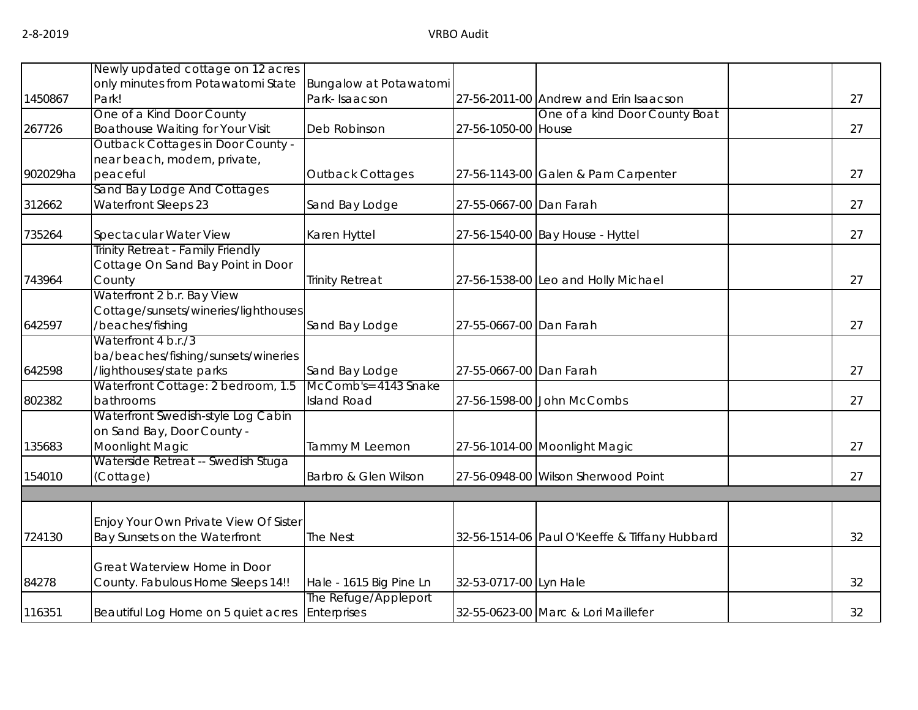|          | Newly updated cottage on 12 acres               |                                        |                         |                                               |    |
|----------|-------------------------------------------------|----------------------------------------|-------------------------|-----------------------------------------------|----|
|          | only minutes from Potawatomi State              | Bungalow at Potawatomi                 |                         |                                               |    |
| 1450867  | Park!                                           | Park-Isaacson                          |                         | 27-56-2011-00 Andrew and Erin Isaacson        | 27 |
|          | One of a Kind Door County                       |                                        |                         | One of a kind Door County Boat                |    |
| 267726   | <b>Boathouse Waiting for Your Visit</b>         | Deb Robinson                           | 27-56-1050-00 House     |                                               | 27 |
|          | Outback Cottages in Door County -               |                                        |                         |                                               |    |
|          | near beach, modern, private,                    |                                        |                         |                                               |    |
| 902029ha | peaceful                                        | <b>Outback Cottages</b>                |                         | 27-56-1143-00 Galen & Pam Carpenter           | 27 |
|          | Sand Bay Lodge And Cottages                     |                                        |                         |                                               |    |
| 312662   | <b>Waterfront Sleeps 23</b>                     | Sand Bay Lodge                         | 27-55-0667-00 Dan Farah |                                               | 27 |
| 735264   | Spectacular Water View                          | Karen Hyttel                           |                         | 27-56-1540-00 Bay House - Hyttel              | 27 |
|          | Trinity Retreat - Family Friendly               |                                        |                         |                                               |    |
|          | Cottage On Sand Bay Point in Door               |                                        |                         |                                               |    |
| 743964   | County                                          | <b>Trinity Retreat</b>                 |                         | 27-56-1538-00 Leo and Holly Michael           | 27 |
|          | Waterfront 2 b.r. Bay View                      |                                        |                         |                                               |    |
|          | Cottage/sunsets/wineries/lighthouses            |                                        |                         |                                               |    |
| 642597   | /beaches/fishing                                | Sand Bay Lodge                         | 27-55-0667-00 Dan Farah |                                               | 27 |
|          | Waterfront 4 b.r./3                             |                                        |                         |                                               |    |
|          | ba/beaches/fishing/sunsets/wineries             |                                        |                         |                                               |    |
| 642598   | /lighthouses/state parks                        | Sand Bay Lodge<br>McComb's= 4143 Snake | 27-55-0667-00 Dan Farah |                                               | 27 |
|          | Waterfront Cottage: 2 bedroom, 1.5<br>bathrooms | <b>Island Road</b>                     |                         |                                               | 27 |
| 802382   | Waterfront Swedish-style Log Cabin              |                                        |                         | 27-56-1598-00 John McCombs                    |    |
|          | on Sand Bay, Door County -                      |                                        |                         |                                               |    |
| 135683   | Moonlight Magic                                 | Tammy M Leemon                         |                         | 27-56-1014-00 Moonlight Magic                 | 27 |
|          | Waterside Retreat -- Swedish Stuga              |                                        |                         |                                               |    |
| 154010   | (Cottage)                                       | Barbro & Glen Wilson                   |                         | 27-56-0948-00 Wilson Sherwood Point           | 27 |
|          |                                                 |                                        |                         |                                               |    |
|          |                                                 |                                        |                         |                                               |    |
|          | Enjoy Your Own Private View Of Sister           |                                        |                         |                                               |    |
| 724130   | Bay Sunsets on the Waterfront                   | The Nest                               |                         | 32-56-1514-06 Paul O'Keeffe & Tiffany Hubbard | 32 |
|          | Great Waterview Home in Door                    |                                        |                         |                                               |    |
| 84278    | County. Fabulous Home Sleeps 14!!               | Hale - 1615 Big Pine Ln                | 32-53-0717-00 Lyn Hale  |                                               | 32 |
|          |                                                 | The Refuge/Appleport                   |                         |                                               |    |
| 116351   | Beautiful Log Home on 5 quiet acres             | Enterprises                            |                         | 32-55-0623-00 Marc & Lori Maillefer           | 32 |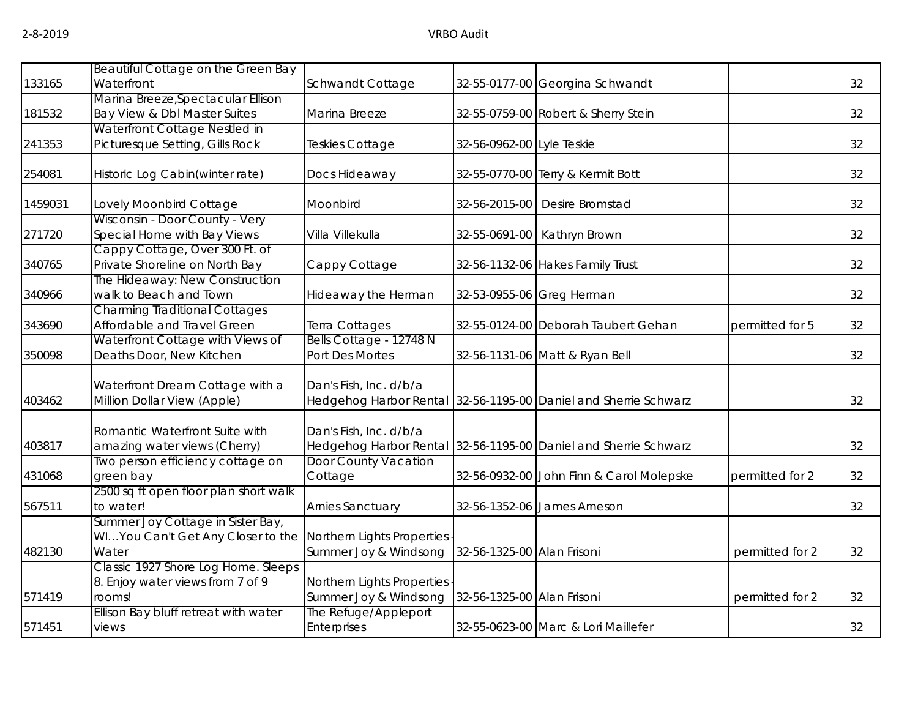|         | Beautiful Cottage on the Green Bay                               |                             |                            |                                                                 |                 |    |
|---------|------------------------------------------------------------------|-----------------------------|----------------------------|-----------------------------------------------------------------|-----------------|----|
| 133165  | Waterfront                                                       | Schwandt Cottage            |                            | 32-55-0177-00 Georgina Schwandt                                 |                 | 32 |
|         | Marina Breeze, Spectacular Ellison                               |                             |                            |                                                                 |                 |    |
| 181532  | Bay View & Dbl Master Suites                                     | Marina Breeze               |                            | 32-55-0759-00 Robert & Sherry Stein                             |                 | 32 |
|         | Waterfront Cottage Nestled in                                    |                             |                            |                                                                 |                 |    |
| 241353  | Picturesque Setting, Gills Rock                                  | Teskies Cottage             | 32-56-0962-00 Lyle Teskie  |                                                                 |                 | 32 |
| 254081  | Historic Log Cabin(winter rate)                                  | Docs Hideaway               |                            | 32-55-0770-00 Terry & Kermit Bott                               |                 | 32 |
| 1459031 | Lovely Moonbird Cottage                                          | Moonbird                    | 32-56-2015-00              | Desire Bromstad                                                 |                 | 32 |
|         | Wisconsin - Door County - Very                                   |                             |                            |                                                                 |                 |    |
| 271720  | Special Home with Bay Views                                      | Villa Villekulla            | 32-55-0691-00              | Kathryn Brown                                                   |                 | 32 |
|         | Cappy Cottage, Over 300 Ft. of                                   |                             |                            |                                                                 |                 |    |
| 340765  | Private Shoreline on North Bay<br>The Hideaway: New Construction | Cappy Cottage               |                            | 32-56-1132-06 Hakes Family Trust                                |                 | 32 |
| 340966  | walk to Beach and Town                                           | Hideaway the Herman         |                            | 32-53-0955-06 Greg Herman                                       |                 | 32 |
|         | <b>Charming Traditional Cottages</b>                             |                             |                            |                                                                 |                 |    |
| 343690  | Affordable and Travel Green                                      | Terra Cottages              |                            | 32-55-0124-00 Deborah Taubert Gehan                             | permitted for 5 | 32 |
|         | Waterfront Cottage with Views of                                 | Bells Cottage - 12748 N     |                            |                                                                 |                 |    |
| 350098  | Deaths Door, New Kitchen                                         | Port Des Mortes             |                            | 32-56-1131-06 Matt & Ryan Bell                                  |                 | 32 |
|         | Waterfront Dream Cottage with a                                  | Dan's Fish, Inc. d/b/a      |                            |                                                                 |                 |    |
| 403462  | Million Dollar View (Apple)                                      |                             |                            | Hedgehog Harbor Rental 32-56-1195-00 Daniel and Sherrie Schwarz |                 | 32 |
|         | Romantic Waterfront Suite with                                   | Dan's Fish, Inc. d/b/a      |                            |                                                                 |                 |    |
| 403817  | amazing water views (Cherry)                                     |                             |                            | Hedgehog Harbor Rental 32-56-1195-00 Daniel and Sherrie Schwarz |                 | 32 |
|         | Two person efficiency cottage on                                 | <b>Door County Vacation</b> |                            |                                                                 |                 |    |
| 431068  | green bay                                                        | Cottage                     |                            | 32-56-0932-00 John Finn & Carol Molepske                        | permitted for 2 | 32 |
|         | 2500 sq ft open floor plan short walk                            |                             |                            |                                                                 |                 |    |
| 567511  | to water!                                                        | Arnies Sanctuary            |                            | 32-56-1352-06 James Arneson                                     |                 | 32 |
|         | Summer Joy Cottage in Sister Bay,                                |                             |                            |                                                                 |                 |    |
|         | WIYou Can't Get Any Closer to the                                | Northern Lights Properties  |                            |                                                                 |                 |    |
| 482130  | Water                                                            | Summer Joy & Windsong       | 32-56-1325-00 Alan Frisoni |                                                                 | permitted for 2 | 32 |
|         | Classic 1927 Shore Log Home. Sleeps                              |                             |                            |                                                                 |                 |    |
|         | 8. Enjoy water views from 7 of 9                                 | Northern Lights Properties  |                            |                                                                 |                 |    |
| 571419  | rooms!                                                           | Summer Joy & Windsong       | 32-56-1325-00 Alan Frisoni |                                                                 | permitted for 2 | 32 |
|         | Ellison Bay bluff retreat with water                             | The Refuge/Appleport        |                            |                                                                 |                 |    |
| 571451  | views                                                            | <b>Enterprises</b>          |                            | 32-55-0623-00 Marc & Lori Maillefer                             |                 | 32 |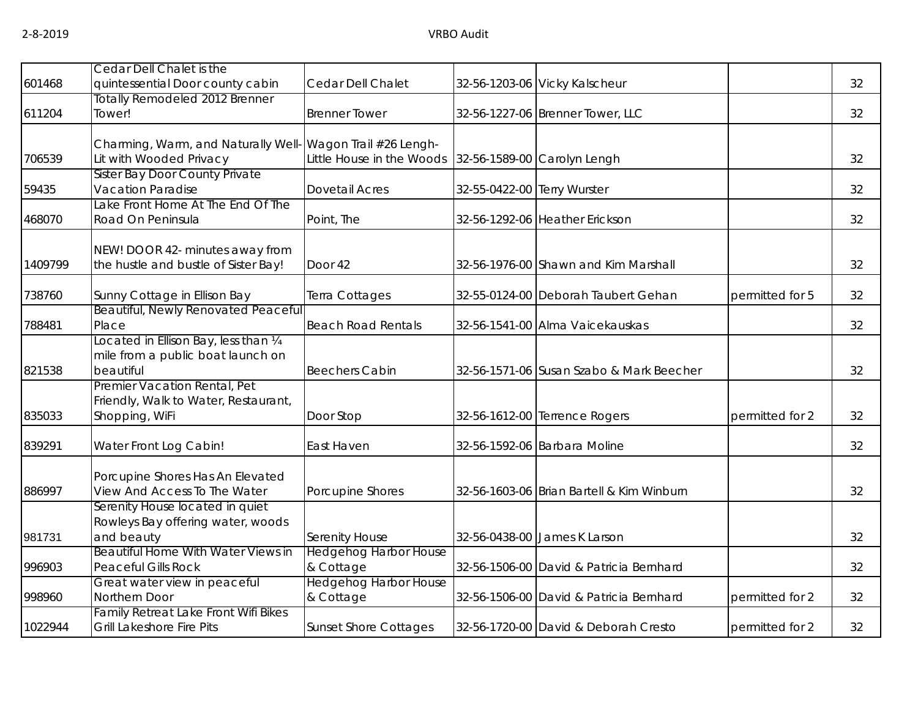| 601468  | Cedar Dell Chalet is the<br>quintessential Door county cabin                           | Cedar Dell Chalet                         |                             | 32-56-1203-06 Vicky Kalscheur             |                 | 32 |
|---------|----------------------------------------------------------------------------------------|-------------------------------------------|-----------------------------|-------------------------------------------|-----------------|----|
| 611204  | <b>Totally Remodeled 2012 Brenner</b><br>Tower!                                        | <b>Brenner Tower</b>                      |                             | 32-56-1227-06 Brenner Tower, LLC          |                 | 32 |
| 706539  | Charming, Warm, and Naturally Well- Wagon Trail #26 Lengh-<br>Lit with Wooded Privacy  | Little House in the Woods                 |                             | 32-56-1589-00 Carolyn Lengh               |                 | 32 |
| 59435   | Sister Bay Door County Private<br>Vacation Paradise                                    | <b>Dovetail Acres</b>                     | 32-55-0422-00 Terry Wurster |                                           |                 | 32 |
| 468070  | Lake Front Home At The End Of The<br>Road On Peninsula                                 | Point, The                                |                             | 32-56-1292-06 Heather Erickson            |                 | 32 |
| 1409799 | NEW! DOOR 42- minutes away from<br>the hustle and bustle of Sister Bay!                | Door 42                                   |                             | 32-56-1976-00 Shawn and Kim Marshall      |                 | 32 |
| 738760  | Sunny Cottage in Ellison Bay                                                           | Terra Cottages                            |                             | 32-55-0124-00 Deborah Taubert Gehan       | permitted for 5 | 32 |
| 788481  | <b>Beautiful, Newly Renovated Peaceful</b><br>Place                                    | <b>Beach Road Rentals</b>                 |                             | 32-56-1541-00 Alma Vaicekauskas           |                 | 32 |
| 821538  | ocated in Ellison Bay, less than 1/4<br>mile from a public boat launch on<br>beautiful | <b>Beechers Cabin</b>                     |                             | 32-56-1571-06 Susan Szabo & Mark Beecher  |                 | 32 |
| 835033  | Premier Vacation Rental, Pet<br>Friendly, Walk to Water, Restaurant,<br>Shopping, WiFi | Door Stop                                 |                             | 32-56-1612-00 Terrence Rogers             | permitted for 2 | 32 |
| 839291  | Water Front Log Cabin!                                                                 | East Haven                                |                             | 32-56-1592-06 Barbara Moline              |                 | 32 |
| 886997  | Porcupine Shores Has An Elevated<br>View And Access To The Water                       | Porcupine Shores                          |                             | 32-56-1603-06 Brian Bartell & Kim Winburn |                 | 32 |
| 981731  | Serenity House located in quiet<br>Rowleys Bay offering water, woods<br>and beauty     | Serenity House                            |                             | 32-56-0438-00 James K Larson              |                 | 32 |
| 996903  | Beautiful Home With Water Views in<br><b>Peaceful Gills Rock</b>                       | <b>Hedgehog Harbor House</b><br>& Cottage |                             | 32-56-1506-00 David & Patricia Bernhard   |                 | 32 |
| 998960  | Great water view in peaceful<br>Northern Door                                          | <b>Hedgehog Harbor House</b><br>& Cottage |                             | 32-56-1506-00 David & Patricia Bernhard   | permitted for 2 | 32 |
| 1022944 | Family Retreat Lake Front Wifi Bikes<br>Grill Lakeshore Fire Pits                      | <b>Sunset Shore Cottages</b>              |                             | 32-56-1720-00 David & Deborah Cresto      | permitted for 2 | 32 |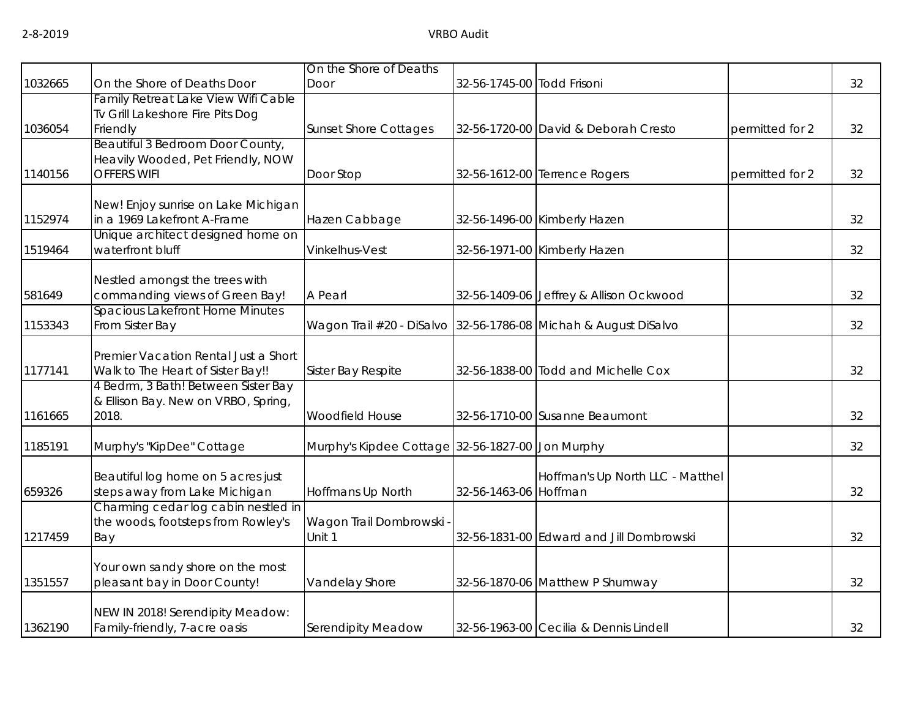|         |                                                                     | On the Shore of Deaths                           |                            |                                                                 |                 |    |
|---------|---------------------------------------------------------------------|--------------------------------------------------|----------------------------|-----------------------------------------------------------------|-----------------|----|
| 1032665 | On the Shore of Deaths Door                                         | Door                                             | 32-56-1745-00 Todd Frisoni |                                                                 |                 | 32 |
|         | Family Retreat Lake View Wifi Cable                                 |                                                  |                            |                                                                 |                 |    |
|         | Tv Grill Lakeshore Fire Pits Dog                                    |                                                  |                            |                                                                 |                 |    |
| 1036054 | Friendly                                                            | <b>Sunset Shore Cottages</b>                     |                            | 32-56-1720-00 David & Deborah Cresto                            | permitted for 2 | 32 |
|         | Beautiful 3 Bedroom Door County,                                    |                                                  |                            |                                                                 |                 |    |
|         | Heavily Wooded, Pet Friendly, NOW                                   |                                                  |                            |                                                                 |                 |    |
| 1140156 | <b>OFFERS WIFI</b>                                                  | Door Stop                                        |                            | 32-56-1612-00 Terrence Rogers                                   | permitted for 2 | 32 |
|         |                                                                     |                                                  |                            |                                                                 |                 |    |
| 1152974 | New! Enjoy sunrise on Lake Michigan<br>in a 1969 Lakefront A-Frame  |                                                  |                            |                                                                 |                 |    |
|         | Unique architect designed home on                                   | Hazen Cabbage                                    |                            | 32-56-1496-00 Kimberly Hazen                                    |                 | 32 |
| 1519464 | waterfront bluff                                                    | Vinkelhus-Vest                                   |                            | 32-56-1971-00 Kimberly Hazen                                    |                 | 32 |
|         |                                                                     |                                                  |                            |                                                                 |                 |    |
|         | Nestled amongst the trees with                                      |                                                  |                            |                                                                 |                 |    |
| 581649  | commanding views of Green Bay!                                      | A Pearl                                          |                            | 32-56-1409-06 Jeffrey & Allison Ockwood                         |                 | 32 |
|         | <b>Spacious Lakefront Home Minutes</b>                              |                                                  |                            |                                                                 |                 |    |
| 1153343 | From Sister Bay                                                     |                                                  |                            | Wagon Trail #20 - DiSalvo 32-56-1786-08 Michah & August DiSalvo |                 | 32 |
|         |                                                                     |                                                  |                            |                                                                 |                 |    |
|         | Premier Vacation Rental Just a Short                                |                                                  |                            |                                                                 |                 |    |
| 1177141 | Walk to The Heart of Sister Bay!!                                   | Sister Bay Respite                               |                            | 32-56-1838-00 Todd and Michelle Cox                             |                 | 32 |
|         | 4 Bedrm, 3 Bath! Between Sister Bay                                 |                                                  |                            |                                                                 |                 |    |
|         | & Ellison Bay. New on VRBO, Spring,                                 |                                                  |                            |                                                                 |                 |    |
| 1161665 | 2018.                                                               | Woodfield House                                  |                            | 32-56-1710-00 Susanne Beaumont                                  |                 | 32 |
|         |                                                                     |                                                  |                            |                                                                 |                 |    |
| 1185191 | Murphy's "KipDee" Cottage                                           | Murphy's Kipdee Cottage 32-56-1827-00 Jon Murphy |                            |                                                                 |                 | 32 |
|         |                                                                     |                                                  |                            |                                                                 |                 |    |
| 659326  | Beautiful log home on 5 acres just<br>steps away from Lake Michigan | Hoffmans Up North                                | 32-56-1463-06 Hoffman      | Hoffman's Up North LLC - Matthel                                |                 | 32 |
|         | Charming cedar log cabin nestled in                                 |                                                  |                            |                                                                 |                 |    |
|         | the woods, footsteps from Rowley's                                  | Wagon Trail Dombrowski -                         |                            |                                                                 |                 |    |
| 1217459 | Bay                                                                 | Unit 1                                           |                            | 32-56-1831-00 Edward and Jill Dombrowski                        |                 | 32 |
|         |                                                                     |                                                  |                            |                                                                 |                 |    |
|         | Your own sandy shore on the most                                    |                                                  |                            |                                                                 |                 |    |
| 1351557 | pleasant bay in Door County!                                        | Vandelay Shore                                   |                            | 32-56-1870-06 Matthew P Shumway                                 |                 | 32 |
|         |                                                                     |                                                  |                            |                                                                 |                 |    |
|         | NEW IN 2018! Serendipity Meadow:                                    |                                                  |                            |                                                                 |                 |    |
| 1362190 | Family-friendly, 7-acre oasis                                       | Serendipity Meadow                               |                            | 32-56-1963-00 Cecilia & Dennis Lindell                          |                 | 32 |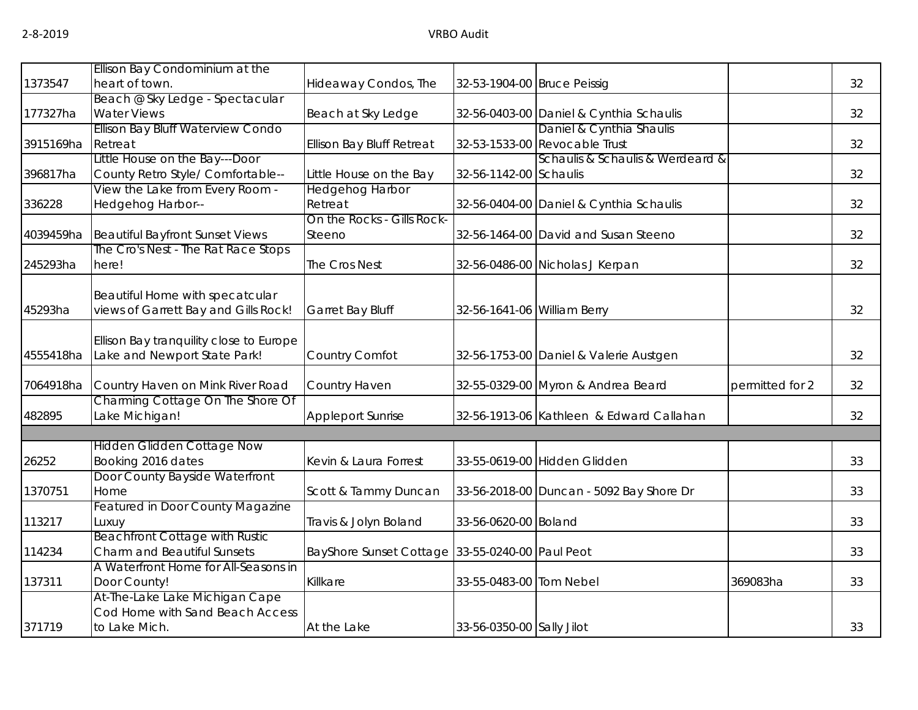|           | Ellison Bay Condominium at the          |                                                 |                             |                                          |                 |    |
|-----------|-----------------------------------------|-------------------------------------------------|-----------------------------|------------------------------------------|-----------------|----|
| 1373547   | heart of town.                          | Hideaway Condos, The                            | 32-53-1904-00 Bruce Peissig |                                          |                 | 32 |
|           | Beach @ Sky Ledge - Spectacular         |                                                 |                             |                                          |                 |    |
| 177327ha  | <b>Water Views</b>                      | Beach at Sky Ledge                              |                             | 32-56-0403-00 Daniel & Cynthia Schaulis  |                 | 32 |
|           | Ellison Bay Bluff Waterview Condo       |                                                 |                             | Daniel & Cynthia Shaulis                 |                 |    |
| 3915169ha | Retreat                                 | <b>Ellison Bay Bluff Retreat</b>                |                             | 32-53-1533-00 Revocable Trust            |                 | 32 |
|           | Little House on the Bay---Door          |                                                 |                             | Schaulis & Schaulis & Werdeard &         |                 |    |
| 396817ha  | County Retro Style/ Comfortable--       | Little House on the Bay                         | 32-56-1142-00 Schaulis      |                                          |                 | 32 |
|           | View the Lake from Every Room -         | <b>Hedgehog Harbor</b>                          |                             |                                          |                 |    |
| 336228    | Hedgehog Harbor--                       | Retreat                                         |                             | 32-56-0404-00 Daniel & Cynthia Schaulis  |                 | 32 |
|           |                                         | On the Rocks - Gills Rock-                      |                             |                                          |                 |    |
| 4039459ha | Beautiful Bayfront Sunset Views         | Steeno                                          |                             | 32-56-1464-00 David and Susan Steeno     |                 | 32 |
|           | The Cro's Nest - The Rat Race Stops     |                                                 |                             |                                          |                 |    |
| 245293ha  | here!                                   | The Cros Nest                                   |                             | 32-56-0486-00 Nicholas J Kerpan          |                 | 32 |
|           |                                         |                                                 |                             |                                          |                 |    |
|           | Beautiful Home with specatcular         |                                                 |                             |                                          |                 |    |
| 45293ha   | views of Garrett Bay and Gills Rock!    | Garret Bay Bluff                                | 32-56-1641-06 William Berry |                                          |                 | 32 |
|           |                                         |                                                 |                             |                                          |                 |    |
|           | Ellison Bay tranquility close to Europe |                                                 |                             |                                          |                 |    |
| 4555418ha | Lake and Newport State Park!            | Country Comfot                                  |                             | 32-56-1753-00 Daniel & Valerie Austgen   |                 | 32 |
| 7064918ha | Country Haven on Mink River Road        | Country Haven                                   |                             | 32-55-0329-00 Myron & Andrea Beard       | permitted for 2 | 32 |
|           | Charming Cottage On The Shore Of        |                                                 |                             |                                          |                 |    |
| 482895    | ake Michigan!                           | Appleport Sunrise                               |                             | 32-56-1913-06 Kathleen & Edward Callahan |                 | 32 |
|           |                                         |                                                 |                             |                                          |                 |    |
|           | <b>Hidden Glidden Cottage Now</b>       |                                                 |                             |                                          |                 |    |
| 26252     | Booking 2016 dates                      | Kevin & Laura Forrest                           |                             | 33-55-0619-00 Hidden Glidden             |                 | 33 |
|           | Door County Bayside Waterfront          |                                                 |                             |                                          |                 |    |
| 1370751   | Home                                    | Scott & Tammy Duncan                            |                             | 33-56-2018-00 Duncan - 5092 Bay Shore Dr |                 | 33 |
|           | <b>Featured in Door County Magazine</b> |                                                 |                             |                                          |                 |    |
| 113217    | Luxuy                                   | Travis & Jolyn Boland                           | 33-56-0620-00 Boland        |                                          |                 | 33 |
|           | <b>Beachfront Cottage with Rustic</b>   |                                                 |                             |                                          |                 |    |
| 114234    | <b>Charm and Beautiful Sunsets</b>      | BayShore Sunset Cottage 33-55-0240-00 Paul Peot |                             |                                          |                 | 33 |
|           | A Waterfront Home for All-Seasons in    |                                                 |                             |                                          |                 |    |
| 137311    | Door County!                            | Killkare                                        | 33-55-0483-00 Tom Nebel     |                                          | 369083ha        | 33 |
|           | At-The-Lake Lake Michigan Cape          |                                                 |                             |                                          |                 |    |
|           | Cod Home with Sand Beach Access         |                                                 |                             |                                          |                 |    |
| 371719    | to Lake Mich.                           | At the Lake                                     | 33-56-0350-00 Sally Jilot   |                                          |                 | 33 |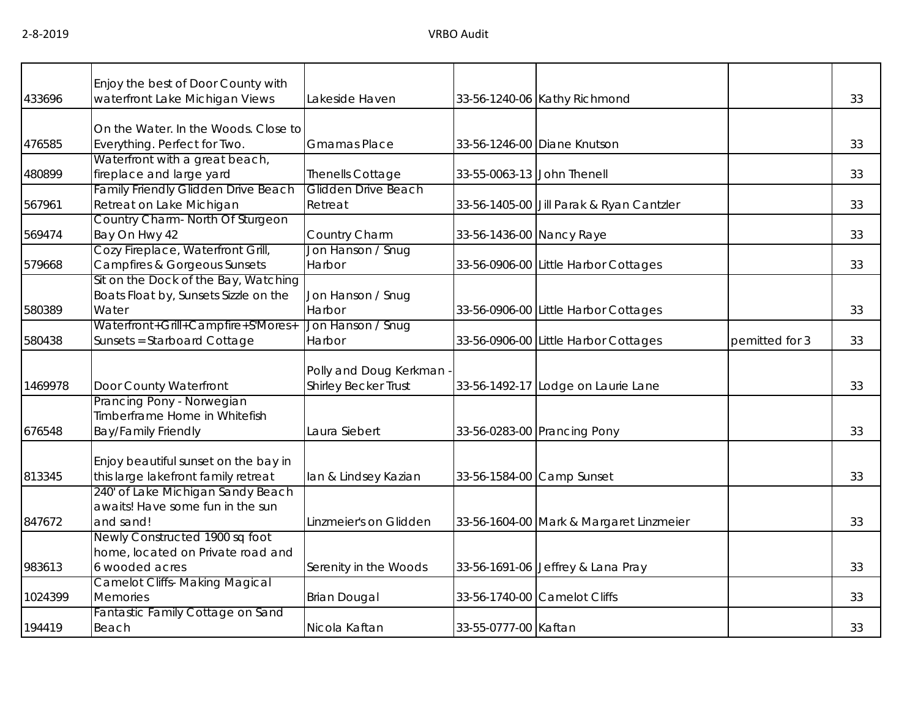| 433696  | Enjoy the best of Door County with<br>waterfront Lake Michigan Views | Lakeside Haven              |                            | 33-56-1240-06 Kathy Richmond             |                | 33 |
|---------|----------------------------------------------------------------------|-----------------------------|----------------------------|------------------------------------------|----------------|----|
|         |                                                                      |                             |                            |                                          |                |    |
|         | On the Water. In the Woods. Close to                                 |                             |                            |                                          |                |    |
| 476585  | Everything. Perfect for Two.                                         | <b>Gmamas Place</b>         |                            | 33-56-1246-00 Diane Knutson              |                | 33 |
|         | Waterfront with a great beach,                                       |                             |                            |                                          |                |    |
| 480899  | fireplace and large yard                                             | <b>Thenells Cottage</b>     | 33-55-0063-13 John Thenell |                                          |                | 33 |
|         | Family Friendly Glidden Drive Beach                                  | Glidden Drive Beach         |                            |                                          |                |    |
| 567961  | Retreat on Lake Michigan                                             | Retreat                     |                            | 33-56-1405-00 Jill Parak & Ryan Cantzler |                | 33 |
|         | Country Charm- North Of Sturgeon                                     |                             |                            |                                          |                |    |
| 569474  | Bay On Hwy 42                                                        | Country Charm               | 33-56-1436-00 Nancy Raye   |                                          |                | 33 |
|         | Cozy Fireplace, Waterfront Grill,                                    | Jon Hanson / Snug           |                            |                                          |                |    |
| 579668  | <b>Campfires &amp; Gorgeous Sunsets</b>                              | Harbor                      |                            | 33-56-0906-00 Little Harbor Cottages     |                | 33 |
|         | Sit on the Dock of the Bay, Watching                                 |                             |                            |                                          |                |    |
|         | Boats Float by, Sunsets Sizzle on the                                | Jon Hanson / Snug           |                            |                                          |                |    |
| 580389  | Water                                                                | Harbor                      |                            | 33-56-0906-00 Little Harbor Cottages     |                | 33 |
|         | Waterfront+Grill+Campfire+S'Mores+                                   | Jon Hanson / Snug           |                            |                                          |                |    |
| 580438  | Sunsets = Starboard Cottage                                          | Harbor                      |                            | 33-56-0906-00 Little Harbor Cottages     | pemitted for 3 | 33 |
|         |                                                                      |                             |                            |                                          |                |    |
|         |                                                                      | Polly and Doug Kerkman -    |                            |                                          |                |    |
| 1469978 | Door County Waterfront                                               | <b>Shirley Becker Trust</b> |                            | 33-56-1492-17 Lodge on Laurie Lane       |                | 33 |
|         | Prancing Pony - Norwegian                                            |                             |                            |                                          |                |    |
|         | Timberframe Home in Whitefish                                        | Laura Siebert               |                            |                                          |                |    |
| 676548  | <b>Bay/Family Friendly</b>                                           |                             |                            | 33-56-0283-00 Prancing Pony              |                | 33 |
|         | Enjoy beautiful sunset on the bay in                                 |                             |                            |                                          |                |    |
| 813345  | this large lakefront family retreat                                  | lan & Lindsey Kazian        |                            | 33-56-1584-00 Camp Sunset                |                | 33 |
|         | 240' of Lake Michigan Sandy Beach                                    |                             |                            |                                          |                |    |
|         | awaits! Have some fun in the sun                                     |                             |                            |                                          |                |    |
| 847672  | and sand!                                                            | Linzmeier's on Glidden      |                            | 33-56-1604-00 Mark & Margaret Linzmeier  |                | 33 |
|         | Newly Constructed 1900 sq foot                                       |                             |                            |                                          |                |    |
|         | home, located on Private road and                                    |                             |                            |                                          |                |    |
| 983613  | 6 wooded acres                                                       | Serenity in the Woods       |                            | 33-56-1691-06 Jeffrey & Lana Pray        |                | 33 |
|         | <b>Camelot Cliffs- Making Magical</b>                                |                             |                            |                                          |                |    |
| 1024399 | <b>Memories</b>                                                      | <b>Brian Dougal</b>         |                            | 33-56-1740-00 Camelot Cliffs             |                | 33 |
|         | Fantastic Family Cottage on Sand                                     |                             |                            |                                          |                |    |
| 194419  | Beach                                                                | Nicola Kaftan               | 33-55-0777-00 Kaftan       |                                          |                | 33 |
|         |                                                                      |                             |                            |                                          |                |    |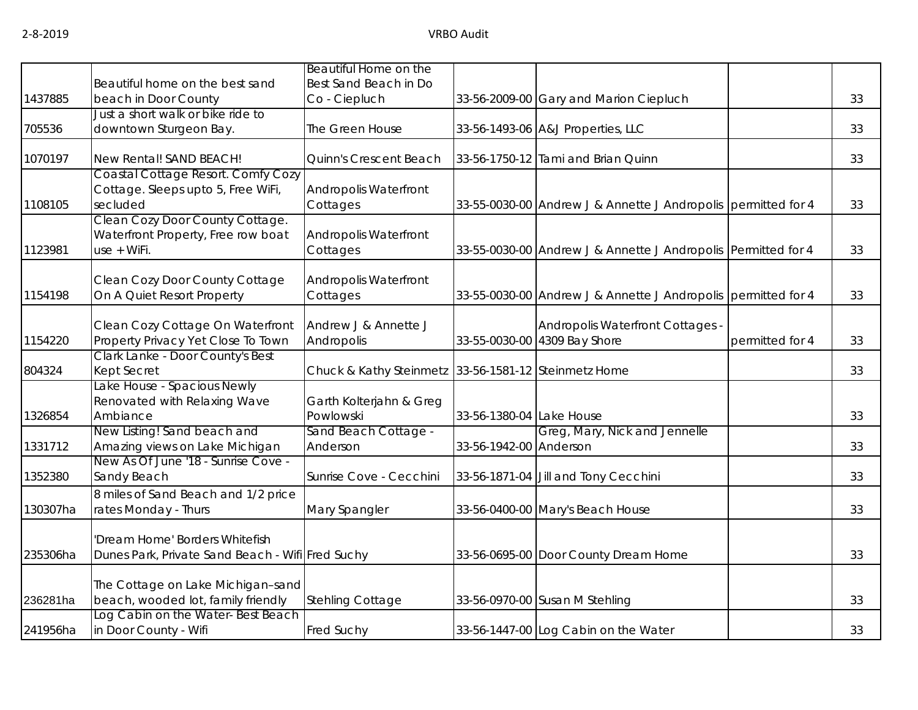|          | Beautiful home on the best sand                                                      | Beautiful Home on the<br>Best Sand Beach in Do       |                          |                                                                  |                 |    |
|----------|--------------------------------------------------------------------------------------|------------------------------------------------------|--------------------------|------------------------------------------------------------------|-----------------|----|
| 1437885  | beach in Door County                                                                 | Co - Ciepluch                                        |                          | 33-56-2009-00 Gary and Marion Ciepluch                           |                 | 33 |
| 705536   | Just a short walk or bike ride to<br>downtown Sturgeon Bay.                          | The Green House                                      |                          | 33-56-1493-06 A&J Properties, LLC                                |                 | 33 |
| 1070197  | New Rental! SAND BEACH!                                                              | Quinn's Crescent Beach                               |                          | 33-56-1750-12 Tami and Brian Quinn                               |                 | 33 |
| 1108105  | Coastal Cottage Resort. Comfy Cozy<br>Cottage. Sleeps upto 5, Free WiFi,<br>secluded | <b>Andropolis Waterfront</b><br>Cottages             |                          | 33-55-0030-00 Andrew J & Annette J Andropolis permitted for 4    |                 | 33 |
| 1123981  | Clean Cozy Door County Cottage.<br>Waterfront Property, Free row boat<br>use + WiFi. | <b>Andropolis Waterfront</b><br>Cottages             |                          | 33-55-0030-00 Andrew J & Annette J Andropolis Permitted for 4    |                 | 33 |
| 1154198  | Clean Cozy Door County Cottage<br>On A Quiet Resort Property                         | Andropolis Waterfront<br>Cottages                    |                          | 33-55-0030-00 Andrew J & Annette J Andropolis permitted for 4    |                 | 33 |
| 1154220  | Clean Cozy Cottage On Waterfront<br>Property Privacy Yet Close To Town               | Andrew J & Annette J<br>Andropolis                   |                          | Andropolis Waterfront Cottages -<br>33-55-0030-00 4309 Bay Shore | permitted for 4 | 33 |
| 804324   | Clark Lanke - Door County's Best<br>Kept Secret                                      | Chuck & Kathy Steinmetz 33-56-1581-12 Steinmetz Home |                          |                                                                  |                 | 33 |
| 1326854  | Lake House - Spacious Newly<br>Renovated with Relaxing Wave<br>Ambiance              | Garth Kolterjahn & Greg<br>Powlowski                 | 33-56-1380-04 Lake House |                                                                  |                 | 33 |
| 1331712  | New Listing! Sand beach and<br>Amazing views on Lake Michigan                        | Sand Beach Cottage -<br>Anderson                     | 33-56-1942-00 Anderson   | Greg, Mary, Nick and Jennelle                                    |                 | 33 |
| 1352380  | New As Of June '18 - Sunrise Cove -<br>Sandy Beach                                   | Sunrise Cove - Cecchini                              |                          | 33-56-1871-04 Jill and Tony Cecchini                             |                 | 33 |
| 130307ha | 8 miles of Sand Beach and 1/2 price<br>rates Monday - Thurs                          | Mary Spangler                                        |                          | 33-56-0400-00 Mary's Beach House                                 |                 | 33 |
| 235306ha | 'Dream Home' Borders Whitefish<br>Dunes Park, Private Sand Beach - Wifi Fred Suchy   |                                                      |                          | 33-56-0695-00 Door County Dream Home                             |                 | 33 |
| 236281ha | The Cottage on Lake Michigan-sand<br>beach, wooded lot, family friendly              | <b>Stehling Cottage</b>                              |                          | 33-56-0970-00 Susan M Stehling                                   |                 | 33 |
| 241956ha | Log Cabin on the Water-Best Beach<br>in Door County - Wifi                           | Fred Suchy                                           |                          | 33-56-1447-00 Log Cabin on the Water                             |                 | 33 |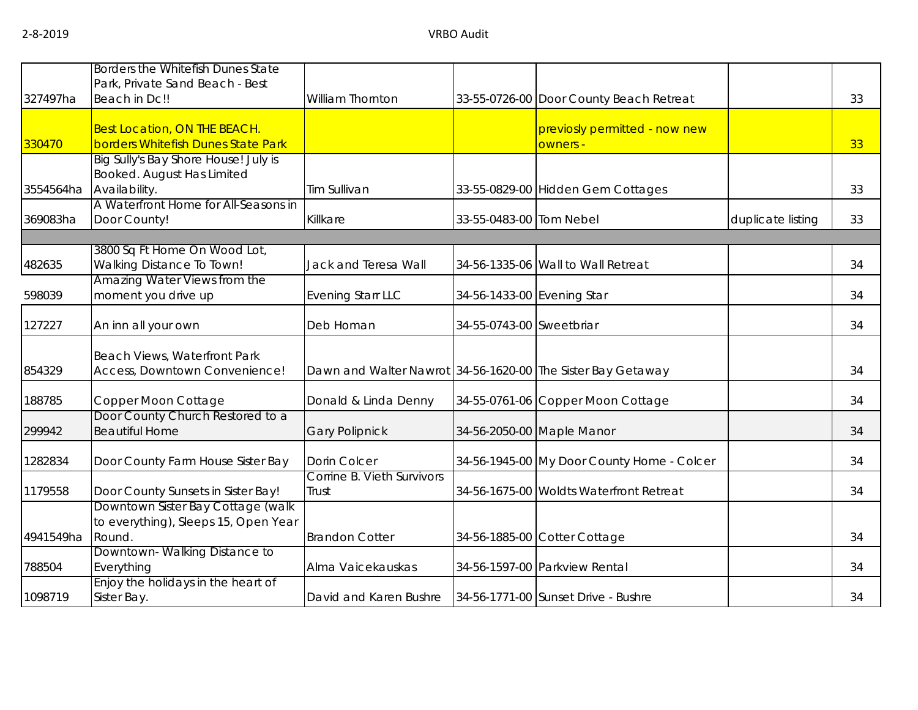|           | Borders the Whitefish Dunes State    |                                                             |                            |                                            |                   |    |
|-----------|--------------------------------------|-------------------------------------------------------------|----------------------------|--------------------------------------------|-------------------|----|
|           | Park, Private Sand Beach - Best      |                                                             |                            |                                            |                   |    |
| 327497ha  | Beach in Dc!!                        | William Thornton                                            |                            | 33-55-0726-00 Door County Beach Retreat    |                   | 33 |
|           |                                      |                                                             |                            |                                            |                   |    |
|           | <b>Best Location, ON THE BEACH.</b>  |                                                             |                            | previosly permitted - now new              |                   |    |
| 330470    | borders Whitefish Dunes State Park   |                                                             |                            | owners -                                   |                   | 33 |
|           | Big Sully's Bay Shore House! July is |                                                             |                            |                                            |                   |    |
|           | Booked. August Has Limited           |                                                             |                            |                                            |                   |    |
| 3554564ha | Availability.                        | Tim Sullivan                                                |                            | 33-55-0829-00 Hidden Gem Cottages          |                   | 33 |
|           | A Waterfront Home for All-Seasons in |                                                             |                            |                                            |                   |    |
| 369083ha  | Door County!                         | Killkare                                                    | 33-55-0483-00 Tom Nebel    |                                            | duplicate listing | 33 |
|           |                                      |                                                             |                            |                                            |                   |    |
|           | 3800 Sq Ft Home On Wood Lot,         |                                                             |                            |                                            |                   |    |
| 482635    | Walking Distance To Town!            | Jack and Teresa Wall                                        |                            | 34-56-1335-06 Wall to Wall Retreat         |                   | 34 |
|           | Amazing Water Views from the         |                                                             |                            |                                            |                   |    |
| 598039    | moment you drive up                  | <b>Evening Starr LLC</b>                                    | 34-56-1433-00 Evening Star |                                            |                   | 34 |
|           |                                      |                                                             |                            |                                            |                   |    |
| 127227    | An inn all your own                  | Deb Homan                                                   | 34-55-0743-00 Sweetbriar   |                                            |                   | 34 |
|           |                                      |                                                             |                            |                                            |                   |    |
|           | Beach Views, Waterfront Park         |                                                             |                            |                                            |                   | 34 |
| 854329    | Access, Downtown Convenience!        | Dawn and Walter Nawrot 34-56-1620-00 The Sister Bay Getaway |                            |                                            |                   |    |
| 188785    | Copper Moon Cottage                  | Donald & Linda Denny                                        |                            | 34-55-0761-06 Copper Moon Cottage          |                   | 34 |
|           | Door County Church Restored to a     |                                                             |                            |                                            |                   |    |
| 299942    | <b>Beautiful Home</b>                | <b>Gary Polipnick</b>                                       |                            | 34-56-2050-00 Maple Manor                  |                   | 34 |
| 1282834   | Door County Farm House Sister Bay    | Dorin Colcer                                                |                            | 34-56-1945-00 My Door County Home - Colcer |                   | 34 |
|           |                                      | Corrine B. Vieth Survivors                                  |                            |                                            |                   |    |
| 1179558   | Door County Sunsets in Sister Bay!   | Trust                                                       |                            | 34-56-1675-00 Woldts Waterfront Retreat    |                   | 34 |
|           | Downtown Sister Bay Cottage (walk    |                                                             |                            |                                            |                   |    |
|           | to everything), Sleeps 15, Open Year |                                                             |                            |                                            |                   |    |
|           | Round.                               |                                                             |                            |                                            |                   |    |
| 4941549ha | Downtown-Walking Distance to         | <b>Brandon Cotter</b>                                       |                            | 34-56-1885-00 Cotter Cottage               |                   | 34 |
| 788504    | Everything                           | Alma Vaicekauskas                                           |                            | 34-56-1597-00 Parkview Rental              |                   | 34 |
|           | Enjoy the holidays in the heart of   |                                                             |                            |                                            |                   |    |
|           |                                      | David and Karen Bushre                                      |                            | 34-56-1771-00 Sunset Drive - Bushre        |                   | 34 |
| 1098719   | Sister Bay.                          |                                                             |                            |                                            |                   |    |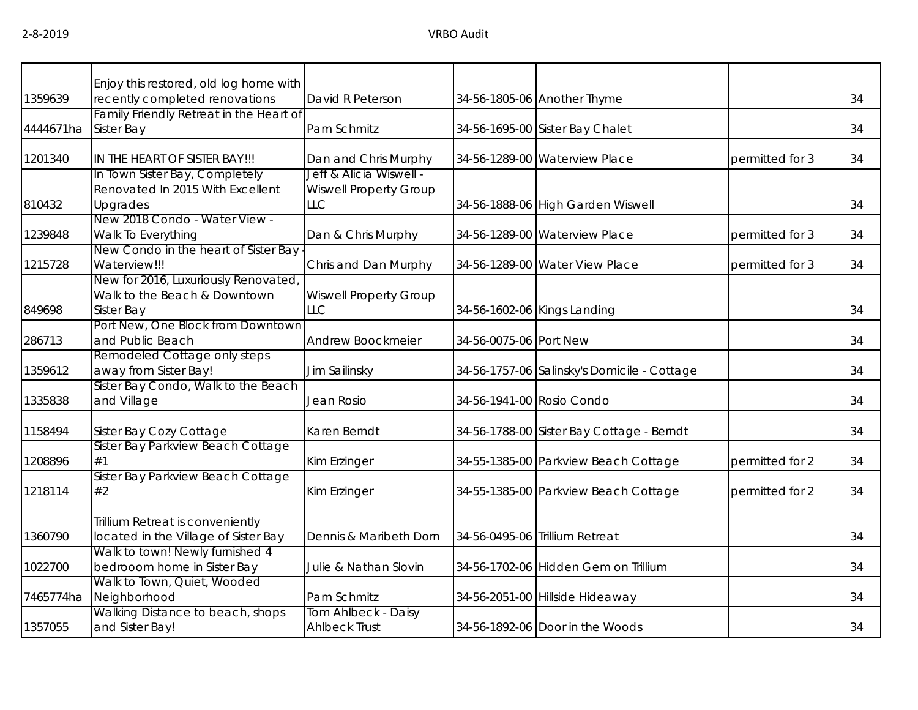|           | Enjoy this restored, old log home with                       |                               |                        |                                             |                 |    |
|-----------|--------------------------------------------------------------|-------------------------------|------------------------|---------------------------------------------|-----------------|----|
| 1359639   | recently completed renovations                               | David R Peterson              |                        | 34-56-1805-06 Another Thyme                 |                 | 34 |
|           | Family Friendly Retreat in the Heart of                      |                               |                        |                                             |                 |    |
| 4444671ha | Sister Bay                                                   | Pam Schmitz                   |                        | 34-56-1695-00 Sister Bay Chalet             |                 | 34 |
| 1201340   | IN THE HEART OF SISTER BAY!!!                                | Dan and Chris Murphy          |                        | 34-56-1289-00 Waterview Place               | permitted for 3 | 34 |
|           | In Town Sister Bay, Completely                               | Jeff & Alicia Wiswell -       |                        |                                             |                 |    |
|           | Renovated In 2015 With Excellent                             | <b>Wiswell Property Group</b> |                        |                                             |                 |    |
| 810432    | Upgrades                                                     | <b>LLC</b>                    |                        | 34-56-1888-06 High Garden Wiswell           |                 | 34 |
|           | New 2018 Condo - Water View -                                |                               |                        |                                             |                 |    |
| 1239848   | Walk To Everything                                           | Dan & Chris Murphy            |                        | 34-56-1289-00 Waterview Place               | permitted for 3 | 34 |
|           | New Condo in the heart of Sister Bay                         |                               |                        |                                             |                 |    |
| 1215728   | Waterview!!!                                                 | Chris and Dan Murphy          |                        | 34-56-1289-00 Water View Place              | permitted for 3 | 34 |
|           | New for 2016, Luxuriously Renovated,                         |                               |                        |                                             |                 |    |
|           | Walk to the Beach & Downtown                                 | <b>Wiswell Property Group</b> |                        |                                             |                 |    |
| 849698    | Sister Bay                                                   | <b>LLC</b>                    |                        | 34-56-1602-06 Kings Landing                 |                 | 34 |
|           | Port New, One Block from Downtown                            |                               |                        |                                             |                 |    |
| 286713    | and Public Beach                                             | Andrew Boockmeier             | 34-56-0075-06 Port New |                                             |                 | 34 |
|           | Remodeled Cottage only steps                                 |                               |                        |                                             |                 |    |
| 1359612   | away from Sister Bay!<br>Sister Bay Condo, Walk to the Beach | Jim Sailinsky                 |                        | 34-56-1757-06 Salinsky's Domicile - Cottage |                 | 34 |
| 1335838   | and Village                                                  | Jean Rosio                    |                        | 34-56-1941-00 Rosio Condo                   |                 | 34 |
|           |                                                              |                               |                        |                                             |                 |    |
| 1158494   | Sister Bay Cozy Cottage                                      | Karen Berndt                  |                        | 34-56-1788-00 Sister Bay Cottage - Berndt   |                 | 34 |
|           | Sister Bay Parkview Beach Cottage                            |                               |                        |                                             |                 |    |
| 1208896   | #1                                                           | Kim Erzinger                  |                        | 34-55-1385-00 Parkview Beach Cottage        | permitted for 2 | 34 |
|           | Sister Bay Parkview Beach Cottage                            |                               |                        |                                             |                 |    |
| 1218114   | #2                                                           | Kim Erzinger                  |                        | 34-55-1385-00 Parkview Beach Cottage        | permitted for 2 | 34 |
|           |                                                              |                               |                        |                                             |                 |    |
|           | Trillium Retreat is conveniently                             |                               |                        |                                             |                 |    |
| 1360790   | located in the Village of Sister Bay                         | Dennis & Maribeth Dorn        |                        | 34-56-0495-06 Trillium Retreat              |                 | 34 |
|           | Walk to town! Newly furnished 4                              |                               |                        |                                             |                 | 34 |
| 1022700   | bedrooom home in Sister Bay<br>Walk to Town, Quiet, Wooded   | Julie & Nathan Slovin         |                        | 34-56-1702-06 Hidden Gem on Trillium        |                 |    |
| 7465774ha | Neighborhood                                                 | Pam Schmitz                   |                        | 34-56-2051-00 Hillside Hideaway             |                 | 34 |
|           | Walking Distance to beach, shops                             | Tom Ahlbeck - Daisy           |                        |                                             |                 |    |
| 1357055   | and Sister Bay!                                              | <b>Ahlbeck Trust</b>          |                        | 34-56-1892-06 Door in the Woods             |                 | 34 |
|           |                                                              |                               |                        |                                             |                 |    |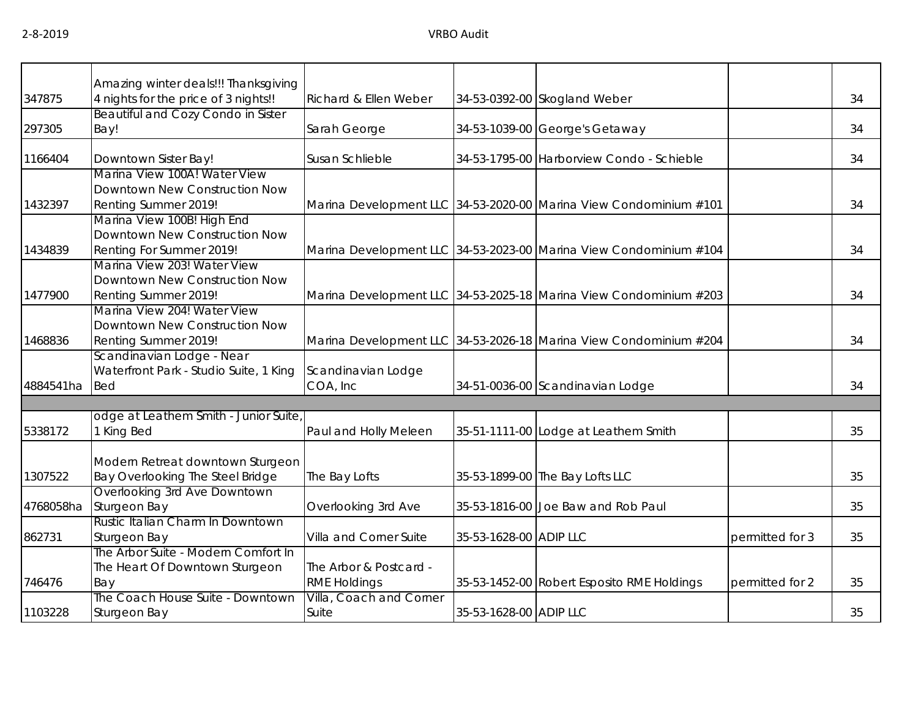|           | Amazing winter deals!!! Thanksgiving    |                         |                        |                                                                   |                 |    |
|-----------|-----------------------------------------|-------------------------|------------------------|-------------------------------------------------------------------|-----------------|----|
| 347875    | 4 nights for the price of 3 nights!!    | Richard & Ellen Weber   |                        | 34-53-0392-00 Skogland Weber                                      |                 | 34 |
|           | Beautiful and Cozy Condo in Sister      |                         |                        |                                                                   |                 |    |
| 297305    | Bay!                                    | Sarah George            |                        | 34-53-1039-00 George's Getaway                                    |                 | 34 |
| 1166404   | Downtown Sister Bay!                    | Susan Schlieble         |                        | 34-53-1795-00 Harborview Condo - Schieble                         |                 | 34 |
|           | Marina View 100A! Water View            |                         |                        |                                                                   |                 |    |
|           | Downtown New Construction Now           |                         |                        |                                                                   |                 |    |
| 1432397   | Renting Summer 2019!                    |                         |                        | Marina Development LLC 34-53-2020-00 Marina View Condominium #101 |                 | 34 |
|           | Marina View 100B! High End              |                         |                        |                                                                   |                 |    |
|           | Downtown New Construction Now           |                         |                        |                                                                   |                 |    |
| 1434839   | Renting For Summer 2019!                |                         |                        | Marina Development LLC 34-53-2023-00 Marina View Condominium #104 |                 | 34 |
|           | Marina View 203! Water View             |                         |                        |                                                                   |                 |    |
|           | Downtown New Construction Now           |                         |                        |                                                                   |                 |    |
| 1477900   | Renting Summer 2019!                    |                         |                        | Marina Development LLC 34-53-2025-18 Marina View Condominium #203 |                 | 34 |
|           | Marina View 204! Water View             |                         |                        |                                                                   |                 |    |
|           | Downtown New Construction Now           |                         |                        |                                                                   |                 |    |
| 1468836   | Renting Summer 2019!                    |                         |                        | Marina Development LLC 34-53-2026-18 Marina View Condominium #204 |                 | 34 |
|           | Scandinavian Lodge - Near               |                         |                        |                                                                   |                 |    |
|           | Waterfront Park - Studio Suite, 1 King  | Scandinavian Lodge      |                        |                                                                   |                 |    |
| 4884541ha | <b>Bed</b>                              | COA, Inc                |                        | 34-51-0036-00 Scandinavian Lodge                                  |                 | 34 |
|           |                                         |                         |                        |                                                                   |                 |    |
|           | odge at Leathem Smith - Junior Suite,   |                         |                        |                                                                   |                 |    |
| 5338172   | 1 King Bed                              | Paul and Holly Meleen   |                        | 35-51-1111-00 Lodge at Leathem Smith                              |                 | 35 |
|           |                                         |                         |                        |                                                                   |                 |    |
|           | Modern Retreat downtown Sturgeon        |                         |                        |                                                                   |                 |    |
| 1307522   | <b>Bay Overlooking The Steel Bridge</b> | The Bay Lofts           |                        | 35-53-1899-00 The Bay Lofts LLC                                   |                 | 35 |
|           | Overlooking 3rd Ave Downtown            |                         |                        |                                                                   |                 |    |
| 4768058ha | Sturgeon Bay                            | Overlooking 3rd Ave     |                        | 35-53-1816-00 Joe Baw and Rob Paul                                |                 | 35 |
|           | Rustic Italian Charm In Downtown        |                         |                        |                                                                   |                 |    |
| 862731    | Sturgeon Bay                            | Villa and Corner Suite  | 35-53-1628-00 ADIP LLC |                                                                   | permitted for 3 | 35 |
|           | The Arbor Suite - Modern Comfort In     |                         |                        |                                                                   |                 |    |
|           | The Heart Of Downtown Sturgeon          | The Arbor & Postcard -  |                        |                                                                   |                 |    |
| 746476    | Bay                                     | <b>RME Holdings</b>     |                        | 35-53-1452-00 Robert Esposito RME Holdings                        | permitted for 2 | 35 |
|           | The Coach House Suite - Downtown        | Villa, Coach and Corner |                        |                                                                   |                 |    |
| 1103228   | Sturgeon Bay                            | Suite                   | 35-53-1628-00 ADIP LLC |                                                                   |                 | 35 |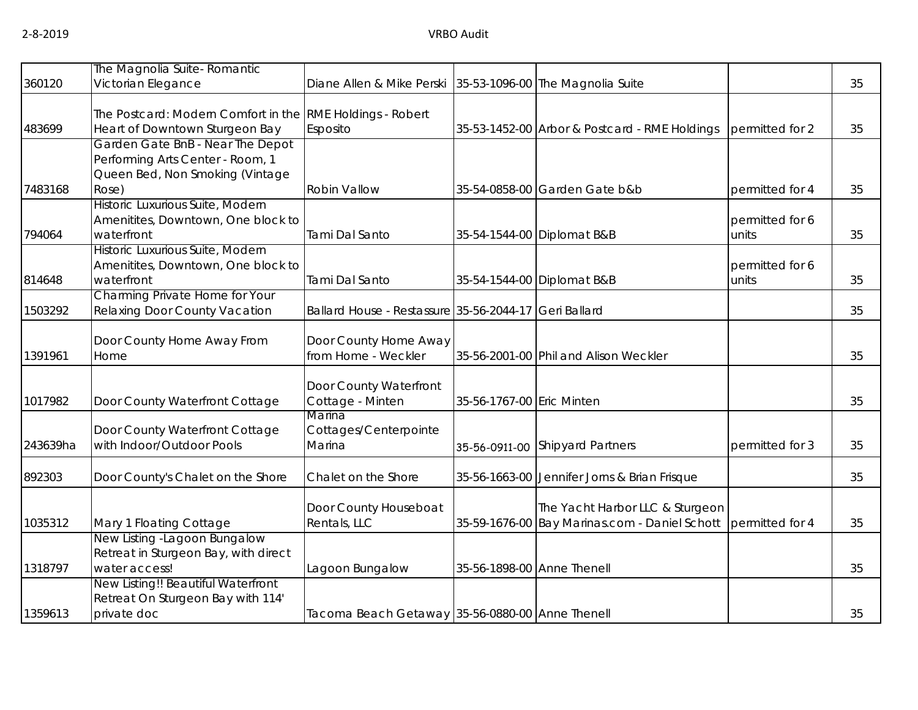|          | The Magnolia Suite- Romantic                                                                                     |                                                       |                            |                                                                                  |                          |    |
|----------|------------------------------------------------------------------------------------------------------------------|-------------------------------------------------------|----------------------------|----------------------------------------------------------------------------------|--------------------------|----|
| 360120   | Victorian Elegance                                                                                               | Diane Allen & Mike Perski                             |                            | 35-53-1096-00 The Magnolia Suite                                                 |                          | 35 |
| 483699   | The Postcard: Modern Comfort in the RME Holdings - Robert<br>Heart of Downtown Sturgeon Bay                      | Esposito                                              |                            | 35-53-1452-00 Arbor & Postcard - RME Holdings                                    | permitted for 2          | 35 |
| 7483168  | Garden Gate BnB - Near The Depot<br>Performing Arts Center - Room, 1<br>Queen Bed, Non Smoking (Vintage<br>Rose) | Robin Vallow                                          |                            | 35-54-0858-00 Garden Gate b&b                                                    | permitted for 4          | 35 |
| 794064   | Historic Luxurious Suite, Modern<br>Amenitites, Downtown, One block to<br>waterfront                             | Tami Dal Santo                                        |                            | 35-54-1544-00 Diplomat B&B                                                       | permitted for 6<br>units | 35 |
| 814648   | Historic Luxurious Suite, Modern<br>Amenitites, Downtown, One block to<br>waterfront                             | Tami Dal Santo                                        |                            | 35-54-1544-00 Diplomat B&B                                                       | permitted for 6<br>units | 35 |
| 1503292  | Charming Private Home for Your<br>Relaxing Door County Vacation                                                  | Ballard House - Restassure 35-56-2044-17 Geri Ballard |                            |                                                                                  |                          | 35 |
| 1391961  | Door County Home Away From<br>Home                                                                               | Door County Home Away<br>from Home - Weckler          |                            | 35-56-2001-00 Phil and Alison Weckler                                            |                          | 35 |
| 1017982  | Door County Waterfront Cottage                                                                                   | Door County Waterfront<br>Cottage - Minten            | 35-56-1767-00 Eric Minten  |                                                                                  |                          | 35 |
| 243639ha | Door County Waterfront Cottage<br>with Indoor/Outdoor Pools                                                      | Marina<br>Cottages/Centerpointe<br>Marina             |                            | 35-56-0911-00 Shipyard Partners                                                  | permitted for 3          | 35 |
| 892303   | Door County's Chalet on the Shore                                                                                | Chalet on the Shore                                   |                            | 35-56-1663-00 Jennifer Jorns & Brian Frisque                                     |                          | 35 |
| 1035312  | Mary 1 Floating Cottage                                                                                          | Door County Houseboat<br>Rentals, LLC                 |                            | The Yacht Harbor LLC & Sturgeon<br>35-59-1676-00 Bay Marinas.com - Daniel Schott | permitted for 4          | 35 |
| 1318797  | New Listing -Lagoon Bungalow<br>Retreat in Sturgeon Bay, with direct<br>water access!                            | Lagoon Bungalow                                       | 35-56-1898-00 Anne Thenell |                                                                                  |                          | 35 |
| 1359613  | New Listing!! Beautiful Waterfront<br>Retreat On Sturgeon Bay with 114'<br>private doc                           | Tacoma Beach Getaway 35-56-0880-00 Anne Thenell       |                            |                                                                                  |                          | 35 |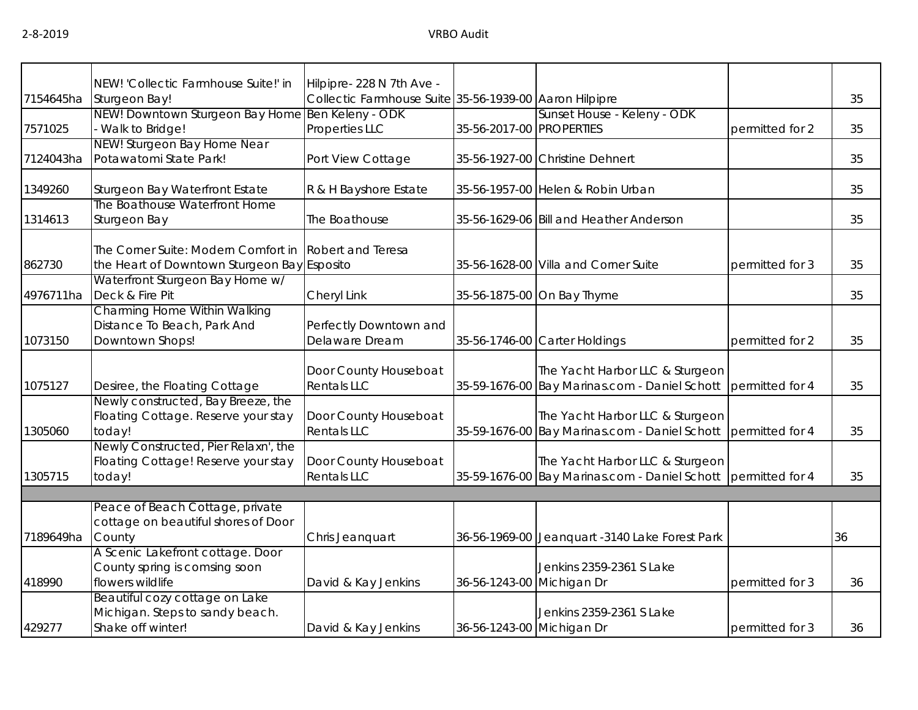|           | NEW! 'Collectic Farmhouse Suite!' in                                                   | Hilpipre- 228 N 7th Ave -                              |                           |                                                                                  |                 |    |
|-----------|----------------------------------------------------------------------------------------|--------------------------------------------------------|---------------------------|----------------------------------------------------------------------------------|-----------------|----|
| 7154645ha | Sturgeon Bay!                                                                          | Collectic Farmhouse Suite 35-56-1939-00 Aaron Hilpipre |                           |                                                                                  |                 | 35 |
| 7571025   | NEW! Downtown Sturgeon Bay Home Ben Keleny - ODK<br>Walk to Bridge!                    | Properties LLC                                         | 35-56-2017-00 PROPERTIES  | Sunset House - Keleny - ODK                                                      | permitted for 2 | 35 |
| 7124043ha | NEW! Sturgeon Bay Home Near<br>Potawatomi State Park!                                  | Port View Cottage                                      |                           | 35-56-1927-00 Christine Dehnert                                                  |                 | 35 |
| 1349260   | Sturgeon Bay Waterfront Estate                                                         | R & H Bayshore Estate                                  |                           | 35-56-1957-00 Helen & Robin Urban                                                |                 | 35 |
| 1314613   | The Boathouse Waterfront Home<br>Sturgeon Bay                                          | The Boathouse                                          |                           | 35-56-1629-06 Bill and Heather Anderson                                          |                 | 35 |
| 862730    | The Corner Suite: Modern Comfort in<br>the Heart of Downtown Sturgeon Bay Esposito     | Robert and Teresa                                      |                           | 35-56-1628-00 Villa and Corner Suite                                             | permitted for 3 | 35 |
| 4976711ha | Waterfront Sturgeon Bay Home w/<br>Deck & Fire Pit                                     | Cheryl Link                                            |                           | 35-56-1875-00 On Bay Thyme                                                       |                 | 35 |
| 1073150   | Charming Home Within Walking<br>Distance To Beach, Park And<br>Downtown Shops!         | Perfectly Downtown and<br>Delaware Dream               |                           | 35-56-1746-00 Carter Holdings                                                    | permitted for 2 | 35 |
| 1075127   | Desiree, the Floating Cottage                                                          | Door County Houseboat<br><b>Rentals LLC</b>            |                           | The Yacht Harbor LLC & Sturgeon<br>35-59-1676-00 Bay Marinas.com - Daniel Schott | permitted for 4 | 35 |
| 1305060   | Newly constructed, Bay Breeze, the<br>Floating Cottage. Reserve your stay<br>today!    | Door County Houseboat<br><b>Rentals LLC</b>            |                           | The Yacht Harbor LLC & Sturgeon<br>35-59-1676-00 Bay Marinas.com - Daniel Schott | permitted for 4 | 35 |
| 1305715   | Newly Constructed, Pier Relaxn', the<br>Floating Cottage! Reserve your stay<br>today!  | Door County Houseboat<br><b>Rentals LLC</b>            |                           | The Yacht Harbor LLC & Sturgeon<br>35-59-1676-00 Bay Marinas.com - Daniel Schott | permitted for 4 | 35 |
|           |                                                                                        |                                                        |                           |                                                                                  |                 |    |
| 7189649ha | Peace of Beach Cottage, private<br>cottage on beautiful shores of Door<br>County       | Chris Jeanquart                                        |                           | 36-56-1969-00 Jeanquart -3140 Lake Forest Park                                   |                 | 36 |
| 418990    | A Scenic Lakefront cottage. Door<br>County spring is comsing soon<br>flowers wildlife  | David & Kay Jenkins                                    | 36-56-1243-00 Michigan Dr | Jenkins 2359-2361 S Lake                                                         | permitted for 3 | 36 |
| 429277    | Beautiful cozy cottage on Lake<br>Michigan. Steps to sandy beach.<br>Shake off winter! | David & Kay Jenkins                                    | 36-56-1243-00 Michigan Dr | Jenkins 2359-2361 S Lake                                                         | permitted for 3 | 36 |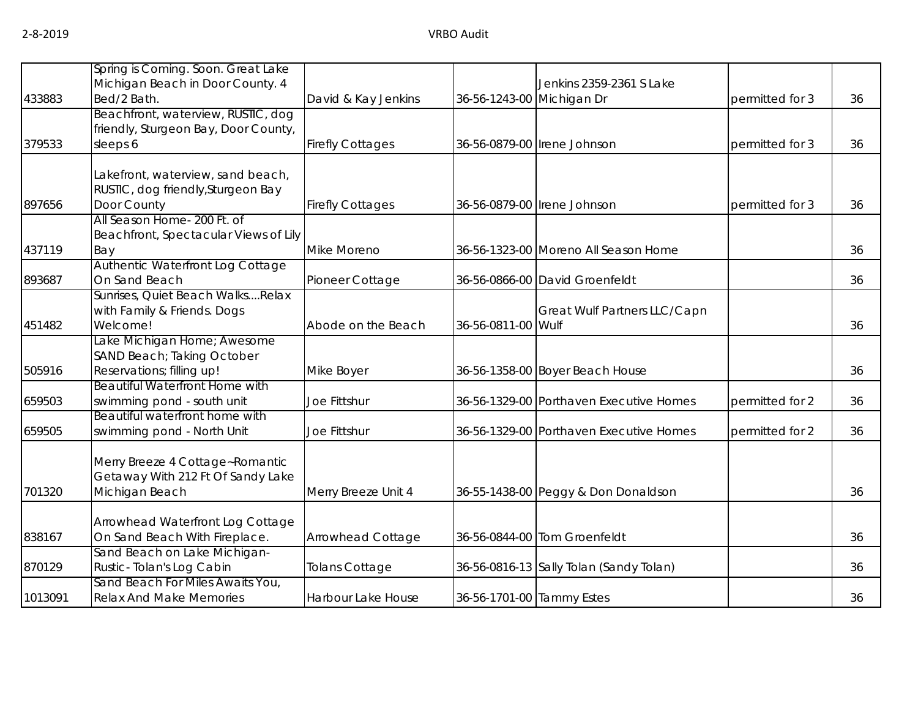| 433883  | Spring is Coming. Soon. Great Lake<br>Michigan Beach in Door County. 4<br>Bed/2 Bath.  | David & Kay Jenkins     | 36-56-1243-00 Michigan Dr | Jenkins 2359-2361 S Lake                | permitted for 3 | 36 |
|---------|----------------------------------------------------------------------------------------|-------------------------|---------------------------|-----------------------------------------|-----------------|----|
| 379533  | Beachfront, waterview, RUSTIC, dog<br>friendly, Sturgeon Bay, Door County,<br>sleeps 6 | <b>Firefly Cottages</b> |                           | 36-56-0879-00 Irene Johnson             | permitted for 3 | 36 |
| 897656  | Lakefront, waterview, sand beach,<br>RUSTIC, dog friendly, Sturgeon Bay<br>Door County | <b>Firefly Cottages</b> |                           | 36-56-0879-00 Irene Johnson             | permitted for 3 | 36 |
| 437119  | All Season Home- 200 Ft. of<br>Beachfront, Spectacular Views of Lily<br>Bay            | Mike Moreno             |                           | 36-56-1323-00 Moreno All Season Home    |                 | 36 |
| 893687  | Authentic Waterfront Log Cottage<br>On Sand Beach                                      | Pioneer Cottage         |                           | 36-56-0866-00 David Groenfeldt          |                 | 36 |
| 451482  | Sunrises, Quiet Beach WalksRelax<br>with Family & Friends. Dogs<br>Welcome!            | Abode on the Beach      | 36-56-0811-00 Wulf        | Great Wulf Partners LLC/Capn            |                 | 36 |
| 505916  | Lake Michigan Home; Awesome<br>SAND Beach; Taking October<br>Reservations; filling up! | Mike Boyer              |                           | 36-56-1358-00 Boyer Beach House         |                 | 36 |
| 659503  | <b>Beautiful Waterfront Home with</b><br>swimming pond - south unit                    | Joe Fittshur            |                           | 36-56-1329-00 Porthaven Executive Homes | permitted for 2 | 36 |
| 659505  | Beautiful waterfront home with<br>swimming pond - North Unit                           | Joe Fittshur            |                           | 36-56-1329-00 Porthaven Executive Homes | permitted for 2 | 36 |
| 701320  | Merry Breeze 4 Cottage~Romantic<br>Getaway With 212 Ft Of Sandy Lake<br>Michigan Beach | Merry Breeze Unit 4     |                           | 36-55-1438-00 Peggy & Don Donaldson     |                 | 36 |
| 838167  | Arrowhead Waterfront Log Cottage<br>On Sand Beach With Fireplace.                      | Arrowhead Cottage       |                           | 36-56-0844-00 Tom Groenfeldt            |                 | 36 |
| 870129  | Sand Beach on Lake Michigan-<br>Rustic-Tolan's Log Cabin                               | <b>Tolans Cottage</b>   |                           | 36-56-0816-13 Sally Tolan (Sandy Tolan) |                 | 36 |
| 1013091 | Sand Beach For Miles Awaits You,<br><b>Relax And Make Memories</b>                     | Harbour Lake House      | 36-56-1701-00 Tammy Estes |                                         |                 | 36 |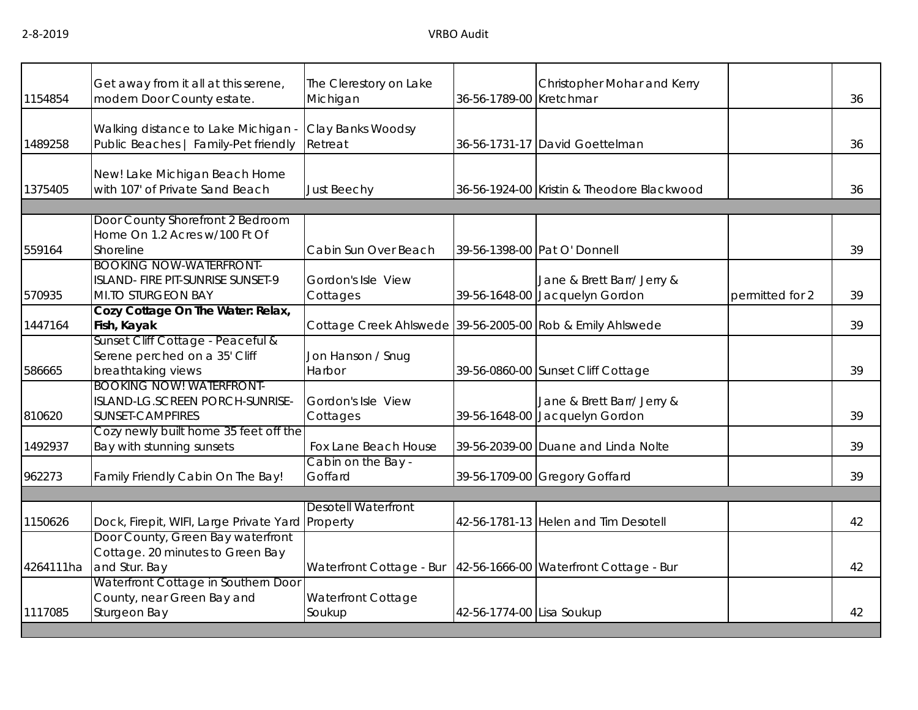| 1154854   | Get away from it all at this serene,<br>modern Door County estate.                        | The Clerestory on Lake<br>Michigan                        | 36-56-1789-00 Kretchmar   | Christopher Mohar and Kerry                                  |                 | 36 |
|-----------|-------------------------------------------------------------------------------------------|-----------------------------------------------------------|---------------------------|--------------------------------------------------------------|-----------------|----|
| 1489258   | Walking distance to Lake Michigan -<br>Public Beaches   Family-Pet friendly               | Clay Banks Woodsy<br>Retreat                              |                           | 36-56-1731-17 David Goettelman                               |                 | 36 |
| 1375405   | New! Lake Michigan Beach Home<br>with 107' of Private Sand Beach                          | <b>Just Beechy</b>                                        |                           | 36-56-1924-00 Kristin & Theodore Blackwood                   |                 | 36 |
|           | Door County Shorefront 2 Bedroom                                                          |                                                           |                           |                                                              |                 |    |
| 559164    | Home On 1.2 Acres w/100 Ft Of<br>Shoreline                                                | Cabin Sun Over Beach                                      |                           | 39-56-1398-00 Pat O' Donnell                                 |                 | 39 |
| 570935    | <b>BOOKING NOW-WATERFRONT-</b><br>ISLAND- FIRE PIT-SUNRISE SUNSET-9<br>MI.TO STURGEON BAY | Gordon's Isle View<br>Cottages                            |                           | Jane & Brett Barr/ Jerry &<br>39-56-1648-00 Jacquelyn Gordon | permitted for 2 | 39 |
| 1447164   | Cozy Cottage On The Water: Relax,<br>Fish, Kayak                                          | Cottage Creek Ahlswede 39-56-2005-00 Rob & Emily Ahlswede |                           |                                                              |                 | 39 |
| 586665    | Sunset Cliff Cottage - Peaceful &<br>Serene perched on a 35' Cliff<br>breathtaking views  | Jon Hanson / Snug<br>Harbor                               |                           | 39-56-0860-00 Sunset Cliff Cottage                           |                 | 39 |
| 810620    | <b>BOOKING NOW! WATERFRONT-</b><br>ISLAND-LG.SCREEN PORCH-SUNRISE-<br>SUNSET-CAMPFIRES    | Gordon's Isle View<br>Cottages                            |                           | Jane & Brett Barr/ Jerry &<br>39-56-1648-00 Jacquelyn Gordon |                 | 39 |
| 1492937   | Cozy newly built home 35 feet off the<br>Bay with stunning sunsets                        | Fox Lane Beach House                                      |                           | 39-56-2039-00 Duane and Linda Nolte                          |                 | 39 |
| 962273    | Family Friendly Cabin On The Bay!                                                         | Cabin on the Bay -<br>Goffard                             |                           | 39-56-1709-00 Gregory Goffard                                |                 | 39 |
|           |                                                                                           | <b>Desotell Waterfront</b>                                |                           |                                                              |                 |    |
| 1150626   | Dock, Firepit, WIFI, Large Private Yard Property                                          |                                                           |                           | 42-56-1781-13 Helen and Tim Desotell                         |                 | 42 |
| 4264111ha | Door County, Green Bay waterfront<br>Cottage. 20 minutes to Green Bay<br>and Stur. Bay    | Waterfront Cottage - Bur                                  |                           | 42-56-1666-00 Waterfront Cottage - Bur                       |                 | 42 |
| 1117085   | Waterfront Cottage in Southern Door<br>County, near Green Bay and<br>Sturgeon Bay         | Waterfront Cottage<br>Soukup                              | 42-56-1774-00 Lisa Soukup |                                                              |                 | 42 |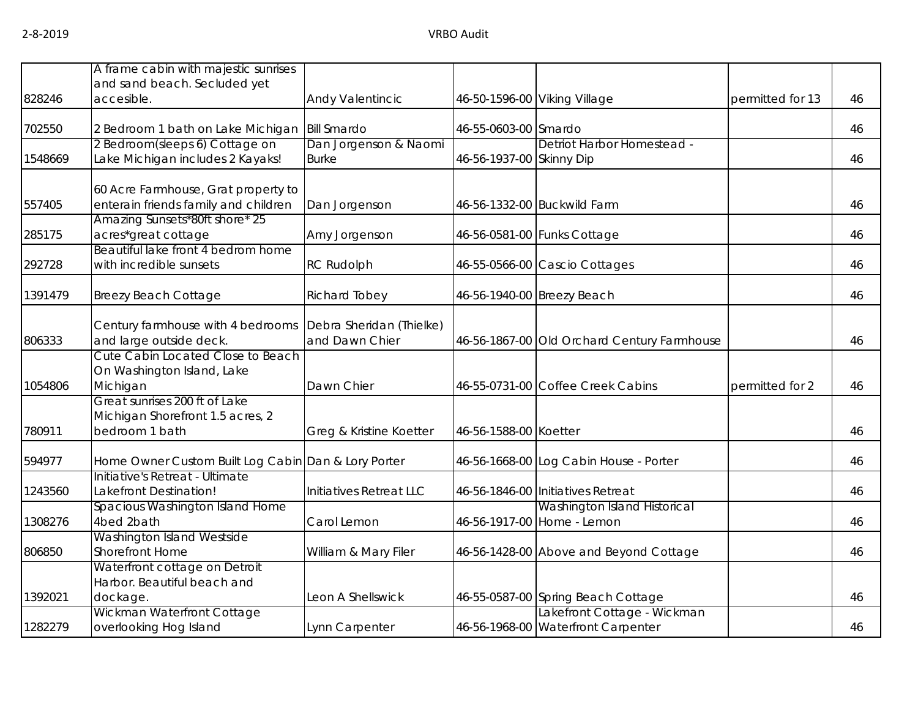|         | A frame cabin with majestic sunrises                                                |                                            |                          |                                                            |                  |    |
|---------|-------------------------------------------------------------------------------------|--------------------------------------------|--------------------------|------------------------------------------------------------|------------------|----|
|         | and sand beach. Secluded yet                                                        |                                            |                          |                                                            |                  |    |
| 828246  | accesible.                                                                          | Andy Valentincic                           |                          | 46-50-1596-00 Viking Village                               | permitted for 13 | 46 |
| 702550  | 2 Bedroom 1 bath on Lake Michigan                                                   | <b>Bill Smardo</b>                         | 46-55-0603-00 Smardo     |                                                            |                  | 46 |
|         | 2 Bedroom(sleeps 6) Cottage on                                                      | Dan Jorgenson & Naomi                      |                          | Detriot Harbor Homestead -                                 |                  |    |
| 1548669 | Lake Michigan includes 2 Kayaks!                                                    | <b>Burke</b>                               | 46-56-1937-00 Skinny Dip |                                                            |                  | 46 |
| 557405  | 60 Acre Farmhouse, Grat property to<br>enterain friends family and children         | Dan Jorgenson                              |                          | 46-56-1332-00 Buckwild Farm                                |                  | 46 |
|         | Amazing Sunsets*80ft shore* 25                                                      |                                            |                          |                                                            |                  |    |
| 285175  | acres*great cottage                                                                 | Amy Jorgenson                              |                          | 46-56-0581-00 Funks Cottage                                |                  | 46 |
| 292728  | Beautiful lake front 4 bedrom home<br>with incredible sunsets                       | <b>RC Rudolph</b>                          |                          | 46-55-0566-00 Cascio Cottages                              |                  | 46 |
| 1391479 | <b>Breezy Beach Cottage</b>                                                         | Richard Tobey                              |                          | 46-56-1940-00 Breezy Beach                                 |                  | 46 |
| 806333  | Century farmhouse with 4 bedrooms<br>and large outside deck.                        | Debra Sheridan (Thielke)<br>and Dawn Chier |                          | 46-56-1867-00 Old Orchard Century Farmhouse                |                  | 46 |
| 1054806 | Cute Cabin Located Close to Beach<br>On Washington Island, Lake<br>Michigan         | Dawn Chier                                 |                          | 46-55-0731-00 Coffee Creek Cabins                          | permitted for 2  | 46 |
| 780911  | Great sunrises 200 ft of Lake<br>Michigan Shorefront 1.5 acres, 2<br>bedroom 1 bath | Greg & Kristine Koetter                    | 46-56-1588-00 Koetter    |                                                            |                  | 46 |
| 594977  | Home Owner Custom Built Log Cabin Dan & Lory Porter                                 |                                            |                          | 46-56-1668-00 Log Cabin House - Porter                     |                  | 46 |
| 1243560 | Initiative's Retreat - Ultimate<br>Lakefront Destination!                           | Initiatives Retreat LLC                    |                          | 46-56-1846-00 Initiatives Retreat                          |                  | 46 |
| 1308276 | Spacious Washington Island Home<br>4bed 2bath                                       | Carol Lemon                                |                          | Washington Island Historical<br>46-56-1917-00 Home - Lemon |                  | 46 |
| 806850  | Washington Island Westside<br><b>Shorefront Home</b>                                | William & Mary Filer                       |                          | 46-56-1428-00 Above and Beyond Cottage                     |                  | 46 |
|         | Waterfront cottage on Detroit                                                       |                                            |                          |                                                            |                  |    |
| 1392021 | Harbor. Beautiful beach and<br>dockage.                                             | Leon A Shellswick                          |                          | 46-55-0587-00 Spring Beach Cottage                         |                  | 46 |
|         | Wickman Waterfront Cottage                                                          |                                            |                          | Lakefront Cottage - Wickman                                |                  |    |
| 1282279 | overlooking Hog Island                                                              | Lynn Carpenter                             |                          | 46-56-1968-00 Waterfront Carpenter                         |                  | 46 |